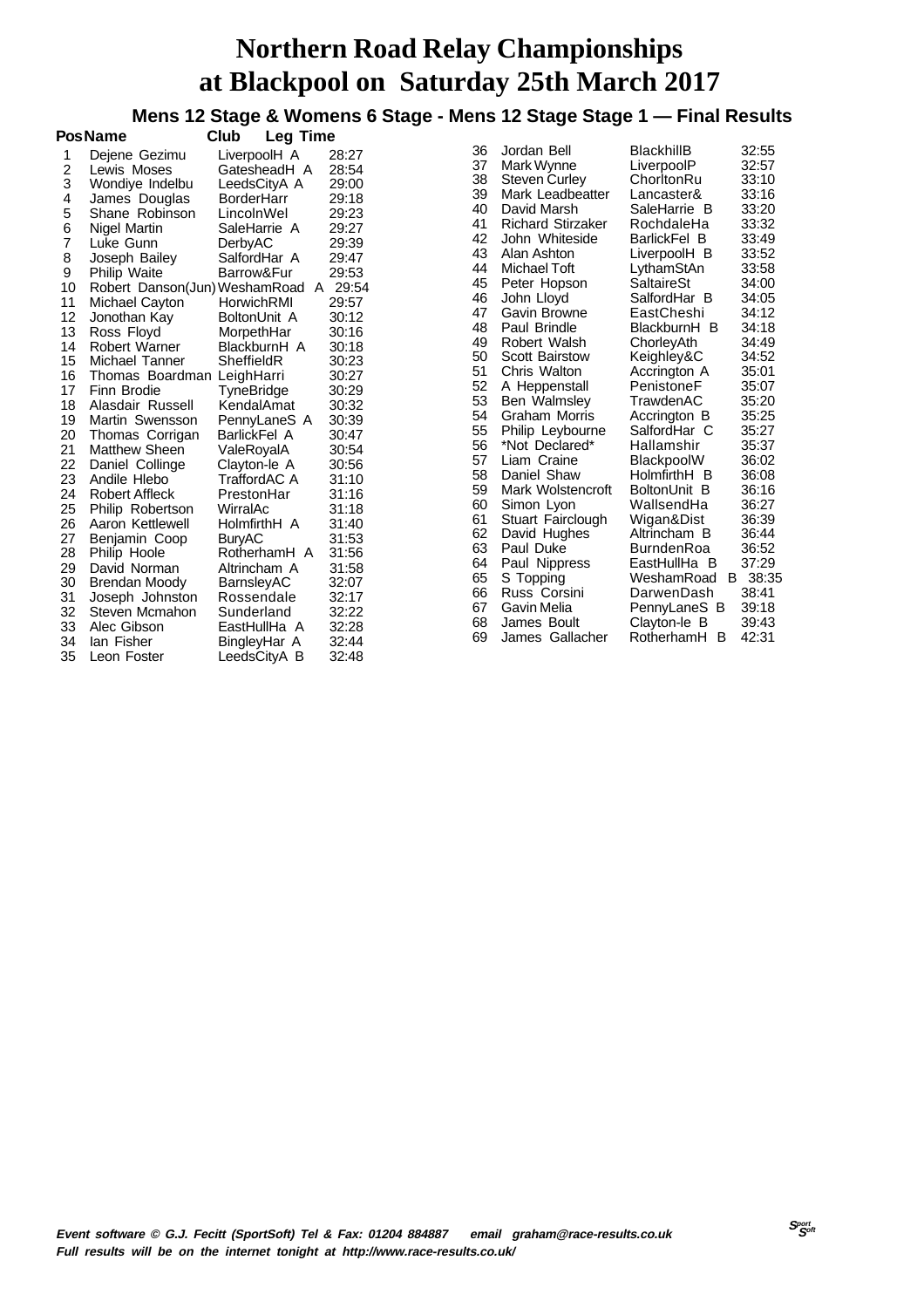**Mens 12 Stage & Womens 6 Stage - Mens 12 Stage Stage 1 — Final Results**

|                | <b>Pos Name</b>               | Club<br>Leg Time  |              |       |  |  |
|----------------|-------------------------------|-------------------|--------------|-------|--|--|
| 1              | Dejene Gezimu                 | LiverpoolH A      |              | 28:27 |  |  |
| $\overline{c}$ | Lewis Moses                   |                   | GatesheadH A | 28:54 |  |  |
| 3              | Wondiye Indelbu               | LeedsCityA A      |              | 29:00 |  |  |
| 4              | James Douglas                 | <b>BorderHarr</b> |              | 29:18 |  |  |
| 5              | Shane Robinson                | LincolnWel        |              | 29:23 |  |  |
| 6              | <b>Nigel Martin</b>           | SaleHarrie A      |              | 29:27 |  |  |
| 7              | Luke Gunn                     | DerbyAC           |              | 29:39 |  |  |
| 8              | Joseph Bailey                 | SalfordHar A      |              | 29:47 |  |  |
| 9              | Philip Waite                  | Barrow&Fur        |              | 29:53 |  |  |
| 10             | Robert Danson(Jun) WeshamRoad |                   | A            | 29:54 |  |  |
| 11             | Michael Cayton                | HorwichRMI        |              | 29:57 |  |  |
| 12             | Jonothan Kay                  | BoltonUnit A      |              | 30:12 |  |  |
| 13             | Ross Floyd                    | MorpethHar        |              | 30:16 |  |  |
| 14             | Robert Warner                 | BlackburnH A      |              | 30:18 |  |  |
| 15             | Michael Tanner                | SheffieldR        |              | 30:23 |  |  |
| 16             | Thomas Boardman               | LeighHarri        |              | 30:27 |  |  |
| 17             | Finn Brodie                   | TyneBridge        |              | 30:29 |  |  |
| 18             | Alasdair Russell              | KendalAmat        |              | 30:32 |  |  |
| 19             | Martin Swensson               |                   | PennyLaneS A | 30:39 |  |  |
| 20             | Thomas Corrigan               | BarlickFel A      |              | 30:47 |  |  |
| 21             | Matthew Sheen                 | ValeRoyalA        |              | 30:54 |  |  |
| 22             | Daniel Collinge               | Clayton-le A      |              | 30:56 |  |  |
| 23             | Andile Hlebo                  | TraffordAC A      |              | 31:10 |  |  |
| 24             | <b>Robert Affleck</b>         | PrestonHar        |              | 31:16 |  |  |
| 25             | Philip Robertson              | WirralAc          |              | 31:18 |  |  |
| 26             | Aaron Kettlewell              | HolmfirthH A      |              | 31:40 |  |  |
| 27             | Benjamin Coop                 | <b>BuryAC</b>     |              | 31:53 |  |  |
| 28             | Philip Hoole                  |                   | RotherhamH A | 31:56 |  |  |
| 29             | David Norman                  | Altrincham A      |              | 31:58 |  |  |
| 30             | <b>Brendan Moody</b>          | BarnsleyAC        |              | 32:07 |  |  |
| 31             | Joseph Johnston               | Rossendale        |              | 32:17 |  |  |
| 32             | Steven Mcmahon                | Sunderland        |              | 32:22 |  |  |
| 33             | Alec Gibson                   | EastHullHa A      |              | 32:28 |  |  |
| 34             | lan Fisher                    | BingleyHar A      |              | 32:44 |  |  |
| 35             | Leon Foster                   | LeedsCityA B      |              | 32:48 |  |  |

| 36             | Jordan Bell                             | BlackhillB                                    | 32:55                   |
|----------------|-----------------------------------------|-----------------------------------------------|-------------------------|
| 37             | Mark Wynne                              | LiverpoolP                                    | 32:57                   |
| 38             | Steven Curley                           | ChorltonRu                                    | 33:10                   |
| 39             | Mark Leadbeatter                        | Lancaster&                                    | 33:16                   |
| 40             | David Marsh                             | SaleHarrie B                                  | 33:20                   |
| 41             | <b>Richard Stirzaker</b>                | RochdaleHa                                    | 33:32                   |
| 42             | John Whiteside                          | BarlickFel B                                  | 33:49                   |
| 43             | Alan Ashton                             | LiverpoolH B                                  | 33:52                   |
| 44             | Michael Toft                            | LythamStAn                                    | 33:58                   |
| 45             | Peter Hopson                            | SaltaireSt                                    | 34:00                   |
| 46             | John Lloyd                              | SalfordHar B                                  | 34:05                   |
| 47             | Gavin Browne                            | EastCheshi                                    | 34:12                   |
| 48             | Paul Brindle                            | BlackburnH B                                  | 34:18                   |
| 49             | Robert Walsh                            | ChorleyAth                                    | 34:49                   |
| 50             | <b>Scott Bairstow</b>                   | Keighley&C                                    | 34:52                   |
| 51             | Chris Walton                            | Accrington A                                  | 35:01                   |
| 52             | A Heppenstall                           | PenistoneF                                    | 35:07                   |
| 53             | Ben Walmsley                            | TrawdenAC                                     | 35:20                   |
| 54             | Graham Morris                           | Accrington B                                  | 35:25                   |
| 55             | Philip Leybourne                        | SalfordHar C                                  | 35:27                   |
| 56             | *Not Declared*                          | Hallamshir                                    | 35:37                   |
| 57             | Liam Craine                             | BlackpoolW                                    | 36:02                   |
| 58             | Daniel Shaw                             | HolmfirthH B                                  | 36:08                   |
| 59             | Mark Wolstencroft                       | BoltonUnit B                                  | 36:16                   |
| 60             | Simon Lyon                              | WallsendHa                                    | 36:27                   |
| 61             | Stuart Fairclough                       | Wigan&Dist                                    | 36:39                   |
| 62             | David Hughes                            | Altrincham B                                  | 36:44                   |
| 63<br>64<br>65 | Paul Duke<br>Paul Nippress<br>S Topping | BurndenRoa<br>EastHullHa B<br>WeshamRoad<br>В | 36:52<br>37:29<br>38:35 |
| 66             | Russ Corsini                            | DarwenDash                                    | 38:41                   |
| 67             | Gavin Melia                             | PennyLaneS B                                  | 39:18                   |
| 68<br>69       | James Boult<br>James Gallacher          | Clayton-le B<br>RotherhamH<br>B               | 39:43<br>42:31          |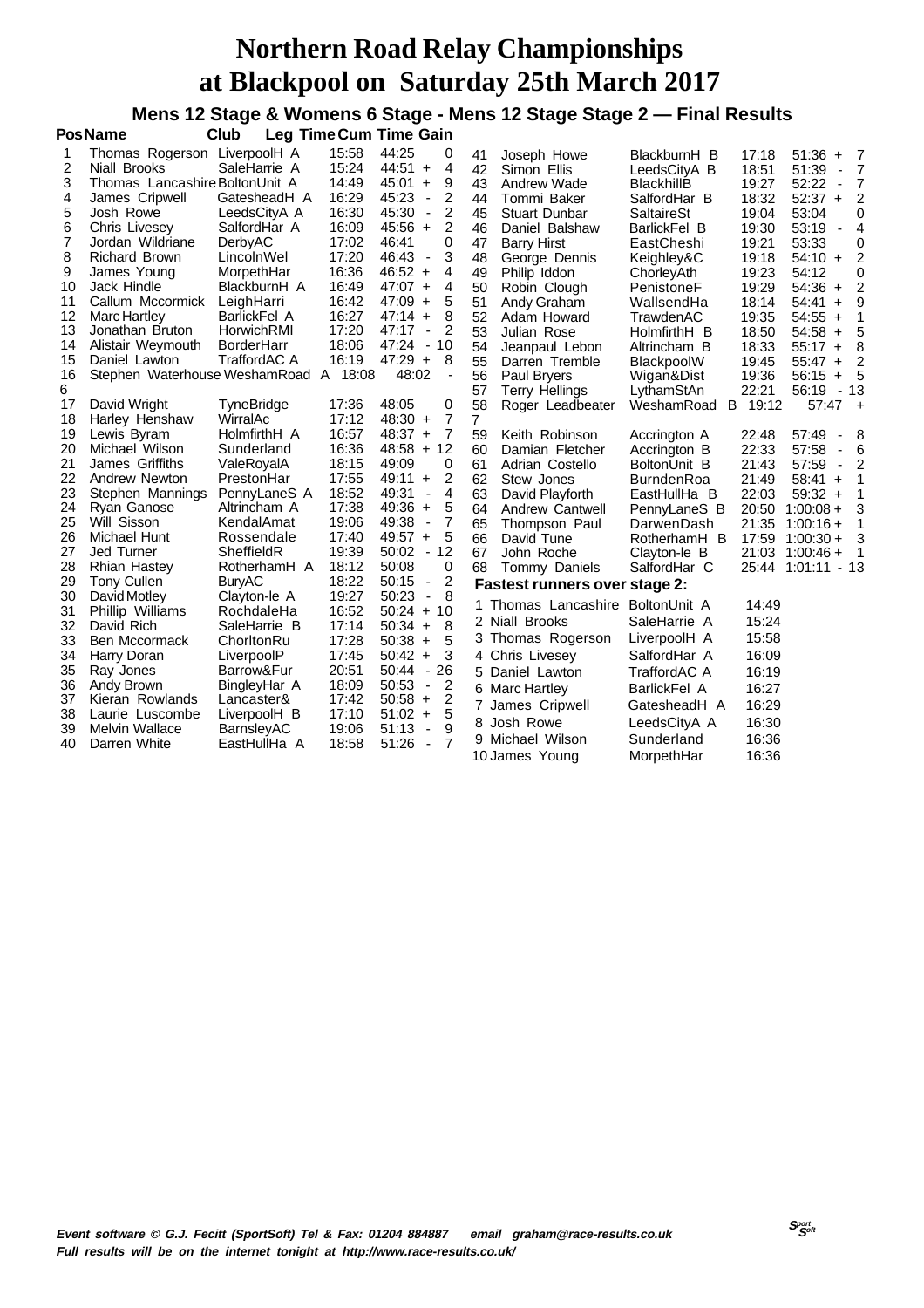**Mens 12 Stage & Womens 6 Stage - Mens 12 Stage Stage 2 — Final Results**

|    | <b>PosName</b>                        | Club                |       | <b>Leg Time Cum Time Gain</b>                       |    |                                      |                   |       |                                   |                |
|----|---------------------------------------|---------------------|-------|-----------------------------------------------------|----|--------------------------------------|-------------------|-------|-----------------------------------|----------------|
| 1  | Thomas Rogerson LiverpoolH A          |                     | 15:58 | 44:25<br>0                                          | 41 | Joseph Howe                          | BlackburnH B      | 17:18 | 51:36<br>$\ddot{}$                | - 7            |
| 2  | <b>Niall Brooks</b>                   | SaleHarrie A        | 15:24 | 44:51<br>4<br>$+$                                   | 42 | Simon Ellis                          | LeedsCityA B      | 18:51 | 51:39<br>$\blacksquare$           | $\overline{7}$ |
| 3  | Thomas Lancashire BoltonUnit A        |                     | 14:49 | 9<br>45:01<br>$\ddot{}$                             | 43 | Andrew Wade                          | <b>BlackhillB</b> | 19:27 | 52:22<br>$\overline{\phantom{a}}$ | $\overline{7}$ |
| 4  | James Cripwell                        | GatesheadH A        | 16:29 | 45:23<br>2<br>$\overline{\phantom{a}}$              | 44 | Tommi Baker                          | SalfordHar B      | 18:32 | $52:37 +$                         | 2              |
| 5  | Josh Rowe                             | LeedsCityA A        | 16:30 | $\overline{2}$<br>45:30<br>$\overline{\phantom{a}}$ | 45 | <b>Stuart Dunbar</b>                 | SaltaireSt        | 19:04 | 53:04                             | 0              |
| 6  | <b>Chris Livesey</b>                  | SalfordHar A        | 16:09 | 2<br>$45:56 +$                                      | 46 | Daniel Balshaw                       | BarlickFel B      | 19:30 | 53:19<br>$\overline{\phantom{a}}$ | $\overline{4}$ |
| 7  | Jordan Wildriane                      | DerbyAC             | 17:02 | 0<br>46:41                                          | 47 | <b>Barry Hirst</b>                   | EastCheshi        | 19:21 | 53:33                             | 0              |
| 8  | <b>Richard Brown</b>                  | LincolnWel          | 17:20 | 3<br>46:43<br>$\overline{\phantom{a}}$              | 48 | George Dennis                        | Keighley&C        | 19:18 | $54:10 +$                         | 2              |
| 9  | James Young                           | MorpethHar          | 16:36 | $46:52 +$<br>4                                      | 49 | Philip Iddon                         | ChorleyAth        | 19:23 | 54:12                             | 0              |
| 10 | Jack Hindle                           | BlackburnH A        | 16:49 | $47:07 +$<br>4                                      | 50 | Robin Clough                         | PenistoneF        | 19:29 | $54:36 +$                         | $\overline{2}$ |
| 11 | Callum Mccormick                      | LeighHarri          | 16:42 | $47:09 +$<br>5                                      | 51 | Andy Graham                          | WallsendHa        | 18:14 | 54:41<br>$\ddot{}$                | 9              |
| 12 | Marc Hartley                          | BarlickFel A        | 16:27 | $47:14 +$<br>8                                      | 52 | Adam Howard                          | TrawdenAC         | 19:35 | $54:55 +$                         | 1              |
| 13 | Jonathan Bruton                       | HorwichRMI          | 17:20 | 2<br>47:17<br>$\overline{\phantom{a}}$              | 53 | Julian Rose                          | HolmfirthH B      | 18:50 | $54:58 +$                         | 5              |
| 14 | Alistair Weymouth                     | <b>BorderHarr</b>   | 18:06 | 47:24 - 10                                          | 54 | Jeanpaul Lebon                       | Altrincham B      | 18:33 | $55:17 +$                         | 8              |
| 15 | Daniel Lawton                         | <b>TraffordAC A</b> | 16:19 | $47:29 +$<br>8                                      | 55 | Darren Tremble                       | <b>BlackpoolW</b> | 19:45 | $55:47 +$                         | $\overline{2}$ |
| 16 | Stephen Waterhouse WeshamRoad A 18:08 |                     |       | 48:02                                               | 56 | Paul Bryers                          | Wigan&Dist        | 19:36 | $56:15 +$                         | 5              |
| 6  |                                       |                     |       |                                                     | 57 | <b>Terry Hellings</b>                | LythamStAn        | 22:21 | 56:19                             | $-13$          |
| 17 | David Wright                          | <b>TyneBridge</b>   | 17:36 | 48:05<br>0                                          | 58 | Roger Leadbeater                     | B<br>WeshamRoad   | 19:12 | $57:47 +$                         |                |
| 18 | Harley Henshaw                        | WirralAc            | 17:12 | 7<br>$48:30 +$                                      | 7  |                                      |                   |       |                                   |                |
| 19 | Lewis Byram                           | HolmfirthH A        | 16:57 | $\overline{7}$<br>$48:37 +$                         | 59 | Keith Robinson                       | Accrington A      | 22:48 | 57:49                             | 8              |
| 20 | Michael Wilson                        | Sunderland          | 16:36 | $48:58 + 12$                                        | 60 | Damian Fletcher                      | Accrington B      | 22:33 | 57:58<br>$\overline{\phantom{a}}$ | 6              |
| 21 | James Griffiths                       | ValeRoyalA          | 18:15 | 49:09<br>0                                          | 61 | Adrian Costello                      | BoltonUnit B      | 21:43 | 57:59<br>$\overline{\phantom{a}}$ | 2              |
| 22 | Andrew Newton                         | PrestonHar          | 17:55 | 2<br>$49:11 +$                                      | 62 | Stew Jones                           | <b>BurndenRoa</b> | 21:49 | $58:41 +$                         | 1              |
| 23 | Stephen Mannings                      | PennyLaneS A        | 18:52 | 4<br>49:31<br>$\overline{\phantom{a}}$              | 63 | David Playforth                      | EastHullHa B      | 22:03 | $59:32 +$                         | 1              |
| 24 | Ryan Ganose                           | Altrincham A        | 17:38 | 5<br>$49:36 +$                                      | 64 | Andrew Cantwell                      | PennyLaneS B      | 20:50 | $1:00:08 +$                       | 3              |
| 25 | Will Sisson                           | KendalAmat          | 19:06 | 7<br>49:38<br>$\overline{\phantom{a}}$              | 65 | Thompson Paul                        | DarwenDash        | 21:35 | $1:00:16+$                        | 1              |
| 26 | Michael Hunt                          | Rossendale          | 17:40 | $49:57 +$<br>5                                      | 66 | David Tune                           | RotherhamH B      | 17:59 | $1:00:30+$                        | 3              |
| 27 | Jed Turner                            | SheffieldR          | 19:39 | 50:02<br>$-12$                                      | 67 | John Roche                           | Clayton-le B      | 21:03 | $1:00:46+$                        | 1              |
| 28 | <b>Rhian Hastey</b>                   | RotherhamH A        | 18:12 | 0<br>50:08                                          | 68 | Tommy Daniels                        | SalfordHar C      | 25:44 | 1:01:11                           | - 13           |
| 29 | <b>Tony Cullen</b>                    | <b>BuryAC</b>       | 18:22 | $\overline{2}$<br>50:15<br>$\blacksquare$           |    | <b>Fastest runners over stage 2:</b> |                   |       |                                   |                |
| 30 | David Motley                          | Clayton-le A        | 19:27 | 8<br>50:23<br>$\blacksquare$                        |    | 1 Thomas Lancashire                  | BoltonUnit A      | 14:49 |                                   |                |
| 31 | Phillip Williams                      | RochdaleHa          | 16:52 | $50:24 + 10$                                        |    | 2 Niall Brooks                       | SaleHarrie A      | 15:24 |                                   |                |
| 32 | David Rich                            | SaleHarrie B        | 17:14 | $50:34 +$<br>8                                      |    |                                      |                   |       |                                   |                |
| 33 | Ben Mccormack                         | ChorltonRu          | 17:28 | 5<br>$50:38 +$                                      |    | 3 Thomas Rogerson                    | LiverpoolH A      | 15:58 |                                   |                |
| 34 | Harry Doran                           | LiverpoolP          | 17:45 | 3<br>$50:42 +$                                      |    | 4 Chris Livesey                      | SalfordHar A      | 16:09 |                                   |                |
| 35 | Ray Jones                             | Barrow&Fur          | 20:51 | $-26$<br>50:44                                      |    | 5 Daniel Lawton                      | TraffordAC A      | 16:19 |                                   |                |
| 36 | Andy Brown                            | BingleyHar A        | 18:09 | 2<br>50:53<br>$\overline{\phantom{a}}$              |    | 6 Marc Hartley                       | BarlickFel A      | 16:27 |                                   |                |
| 37 | Kieran Rowlands                       | Lancaster&          | 17:42 | 2<br>$50:58 +$                                      |    | 7 James Cripwell                     | GatesheadH A      | 16:29 |                                   |                |
| 38 | Laurie Luscombe                       | LiverpoolH B        | 17:10 | 5<br>$51:02 +$                                      |    | 8 Josh Rowe                          | LeedsCityA A      | 16:30 |                                   |                |
| 39 | <b>Melvin Wallace</b>                 | BarnsleyAC          | 19:06 | 9<br>51:13<br>$\overline{\phantom{a}}$              | 9. | Michael Wilson                       | Sunderland        | 16:36 |                                   |                |
| 40 | Darren White                          | EastHullHa A        | 18:58 | $51:26 -$<br>7                                      |    |                                      |                   |       |                                   |                |
|    |                                       |                     |       |                                                     |    | 10 James Young                       | MorpethHar        | 16:36 |                                   |                |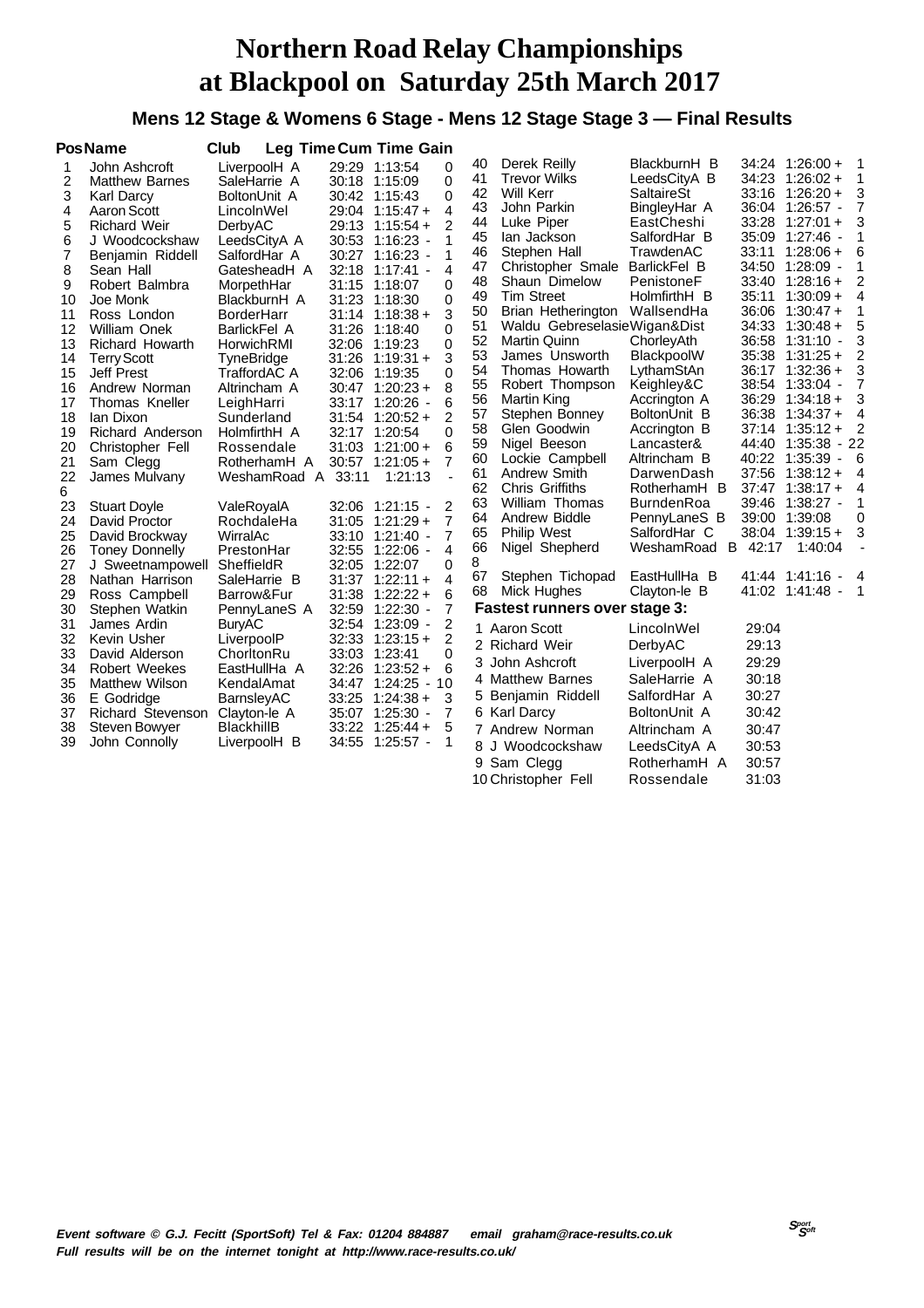#### **Mens 12 Stage & Womens 6 Stage - Mens 12 Stage Stage 3 — Final Results**

|                                                                                                                                          | <b>PosName</b>                                                                                                                                                                                                                                                                                                                                                                                                                                       | Club                                                                                                                                                                                                                                                                                                                                                                       |                                                             | Leg Time Cum Time Gain                                                                                                                                                                                                                                                                                                                                                                                                                                                                                                                                                       |                                                                                                                                                    |                                                                                                                                                                                                                                                                                                                                                                                                                                                                       |                                                                                                                                                                                                                                                                                                                                                                            |                                                                                        |                                                                                                                                                                                                                                                                                                                                                                                                                                                                                         |                                                                                                                                       |
|------------------------------------------------------------------------------------------------------------------------------------------|------------------------------------------------------------------------------------------------------------------------------------------------------------------------------------------------------------------------------------------------------------------------------------------------------------------------------------------------------------------------------------------------------------------------------------------------------|----------------------------------------------------------------------------------------------------------------------------------------------------------------------------------------------------------------------------------------------------------------------------------------------------------------------------------------------------------------------------|-------------------------------------------------------------|------------------------------------------------------------------------------------------------------------------------------------------------------------------------------------------------------------------------------------------------------------------------------------------------------------------------------------------------------------------------------------------------------------------------------------------------------------------------------------------------------------------------------------------------------------------------------|----------------------------------------------------------------------------------------------------------------------------------------------------|-----------------------------------------------------------------------------------------------------------------------------------------------------------------------------------------------------------------------------------------------------------------------------------------------------------------------------------------------------------------------------------------------------------------------------------------------------------------------|----------------------------------------------------------------------------------------------------------------------------------------------------------------------------------------------------------------------------------------------------------------------------------------------------------------------------------------------------------------------------|----------------------------------------------------------------------------------------|-----------------------------------------------------------------------------------------------------------------------------------------------------------------------------------------------------------------------------------------------------------------------------------------------------------------------------------------------------------------------------------------------------------------------------------------------------------------------------------------|---------------------------------------------------------------------------------------------------------------------------------------|
| 1<br>2<br>3<br>4<br>5<br>6<br>7<br>8<br>9<br>10<br>11<br>12<br>13<br>14<br>15<br>16<br>17<br>18<br>19<br>20<br>21<br>22<br>6<br>23<br>24 | John Ashcroft<br><b>Matthew Barnes</b><br>Karl Darcy<br>Aaron Scott<br><b>Richard Weir</b><br>J Woodcockshaw<br>Benjamin Riddell<br>Sean Hall<br>Robert Balmbra<br>Joe Monk<br>Ross London<br><b>William Onek</b><br><b>Richard Howarth</b><br><b>Terry Scott</b><br><b>Jeff Prest</b><br>Andrew Norman<br>Thomas Kneller<br>lan Dixon<br>Richard Anderson<br>Christopher Fell<br>Sam Clegg<br>James Mulvany<br><b>Stuart Doyle</b><br>David Proctor | LiverpoolH A<br>SaleHarrie A<br>BoltonUnit A<br>LincolnWel<br>DerbyAC<br>LeedsCityA A<br>SalfordHar A<br>GatesheadH A<br>MorpethHar<br>BlackburnH A<br><b>BorderHarr</b><br>BarlickFel A<br>HorwichRMI<br>TyneBridge<br>TraffordAC A<br>Altrincham A<br>LeighHarri<br>Sunderland<br>HolmfirthH A<br>Rossendale<br>RotherhamH A<br>WeshamRoad A<br>ValeRoyalA<br>RochdaleHa | 32:18<br>31:15<br>31:26<br>32:17<br>31:03<br>33:11<br>31:05 | 29:29 1:13:54<br>0<br>0<br>30:18 1:15:09<br>0<br>30:42 1:15:43<br>4<br>29:04 1:15:47 +<br>2<br>$29:13$ 1:15:54 +<br>1<br>30:53 1:16:23 -<br>1<br>30:27 1:16:23 -<br>4<br>1:17:41 -<br>0<br>1:18:07<br>0<br>31:23 1:18:30<br>3<br>$31:14$ 1:18:38 +<br>0<br>1:18:40<br>0<br>32:06 1:19:23<br>3<br>$31:26$ 1:19:31 +<br>$\mathbf 0$<br>32:06 1:19:35<br>8<br>$30:47$ 1:20:23 +<br>6<br>33:17 1:20:26 -<br>$\overline{2}$<br>$31:54$ 1:20:52 +<br>$\Omega$<br>1:20:54<br>6<br>$1:21:00 +$<br>7<br>$30:57$ 1:21:05 +<br>1:21:13<br>L.<br>2<br>32:06 1:21:15 -<br>7<br>$1:21:29+$ | 40<br>41<br>42<br>43<br>44<br>45<br>46<br>47<br>48<br>49<br>50<br>51<br>52<br>53<br>54<br>55<br>56<br>57<br>58<br>59<br>60<br>61<br>62<br>63<br>64 | Derek Reilly<br><b>Trevor Wilks</b><br>Will Kerr<br>John Parkin<br>Luke Piper<br>lan Jackson<br>Stephen Hall<br>Christopher Smale<br>Shaun Dimelow<br><b>Tim Street</b><br>Brian Hetherington<br>Waldu GebreselasieWigan&Dist<br>Martin Quinn<br>James Unsworth<br>Thomas Howarth<br>Robert Thompson<br>Martin King<br>Stephen Bonney<br>Glen Goodwin<br>Nigel Beeson<br>Lockie Campbell<br>Andrew Smith<br><b>Chris Griffiths</b><br>William Thomas<br>Andrew Biddle | BlackburnH B<br>LeedsCityA B<br><b>SaltaireSt</b><br>BingleyHar A<br>EastCheshi<br>SalfordHar B<br>TrawdenAC<br>BarlickFel B<br>PenistoneF<br>HolmfirthH B<br>WallsendHa<br>ChorleyAth<br>BlackpoolW<br>LythamStAn<br>Keighley&C<br>Accrington A<br>BoltonUnit B<br>Accrington B<br>Lancaster&<br>Altrincham B<br>DarwenDash<br>RotherhamH B<br>BurndenRoa<br>PennyLaneS B | 33:11<br>35:11<br>36:06<br>36:38<br>39:00                                              | $34:24$ 1:26:00 +<br>$34:23$ 1:26:02 +<br>$33:16$ 1:26:20 +<br>36:04 1:26:57 -<br>$33:28$ 1:27:01 +<br>35:09 1:27:46 -<br>$1:28:06+$<br>34:50 1:28:09 -<br>$33:40$ 1:28:16 +<br>$1:30:09 +$<br>$1:30:47+$<br>$34:33$ 1:30:48 +<br>36:58 1:31:10 -<br>$35:38$ 1:31:25 +<br>$36:17$ 1:32:36 +<br>38:54 1:33:04 -<br>$36:29$ 1:34:18 +<br>$1:34:37+$<br>$37:14$ 1:35:12 +<br>44:40 1:35:38 - 22<br>40:22 1:35:39 -<br>$37:56$ 1:38:12 +<br>$37:47$ 1:38:17 +<br>39:46 1:38:27 -<br>1:39:08 | -1<br>-1<br>3<br>$\overline{7}$<br>3<br>1<br>6<br>1<br>2<br>4<br>1<br>5<br>3<br>2<br>3<br>7<br>3<br>4<br>2<br>- 6<br>4<br>4<br>1<br>0 |
| 25<br>26<br>27<br>28<br>29<br>30<br>31<br>32<br>33<br>34<br>35<br>36<br>37<br>38<br>39                                                   | David Brockway<br><b>Toney Donnelly</b><br>J Sweetnampowell<br>Nathan Harrison<br>Ross Campbell<br>Stephen Watkin<br>James Ardin<br>Kevin Usher<br>David Alderson<br>Robert Weekes<br><b>Matthew Wilson</b><br>E Godridge<br>Richard Stevenson<br>Steven Bowyer<br>John Connolly                                                                                                                                                                     | WirralAc<br>PrestonHar<br>SheffieldR<br>SaleHarrie B<br>Barrow&Fur<br>PennyLaneS A<br><b>BuryAC</b><br>LiverpoolP<br>ChorltonRu<br>EastHullHa A<br>KendalAmat<br>BarnsleyAC<br>Clayton-le A<br><b>BlackhillB</b><br>LiverpoolH B                                                                                                                                           | 32:55<br>31:38<br>32:59<br>32:33<br>33:25<br>34:55          | 7<br>33:10 1:21:40 -<br>$1:22:06$ -<br>4<br>32:05 1:22:07<br>0<br>4<br>$31:37$ 1:22:11 +<br>6<br>$1:22:22 +$<br>7<br>$1:22:30$ -<br>2<br>32:54 1:23:09 -<br>2<br>$1:23:15+$<br>33:03 1:23:41<br>0<br>6<br>$32:26$ 1:23:52 +<br>34:47 1:24:25 - 10<br>$1:24:38 +$<br>3<br>7<br>35:07 1:25:30 -<br>5<br>$33:22$ 1:25:44 +<br>1<br>1:25:57 -                                                                                                                                                                                                                                    | 65<br>66<br>8<br>67<br>68<br>3<br>9                                                                                                                | <b>Philip West</b><br>Nigel Shepherd<br>Stephen Tichopad<br>Mick Hughes<br><b>Fastest runners over stage 3:</b><br>1 Aaron Scott<br>2 Richard Weir<br>John Ashcroft<br>4 Matthew Barnes<br>5 Benjamin Riddell<br>6 Karl Darcy<br>7 Andrew Norman<br>8 J Woodcockshaw<br>Sam Clegg<br>10 Christopher Fell                                                                                                                                                              | SalfordHar C<br>WeshamRoad B 42:17<br>EastHullHa B<br>Clayton-le B<br>LincolnWel<br>DerbyAC<br>LiverpoolH A<br>SaleHarrie A<br>SalfordHar A<br>BoltonUnit A<br>Altrincham A<br>LeedsCityA A<br>RotherhamH A<br>Rossendale                                                                                                                                                  | 29:04<br>29:13<br>29:29<br>30:18<br>30:27<br>30:42<br>30:47<br>30:53<br>30:57<br>31:03 | $38:04$ 1:39:15 +<br>1:40:04<br>41:44 1:41:16 -<br>41:02 1:41:48 -                                                                                                                                                                                                                                                                                                                                                                                                                      | 3<br>4<br>$\overline{1}$                                                                                                              |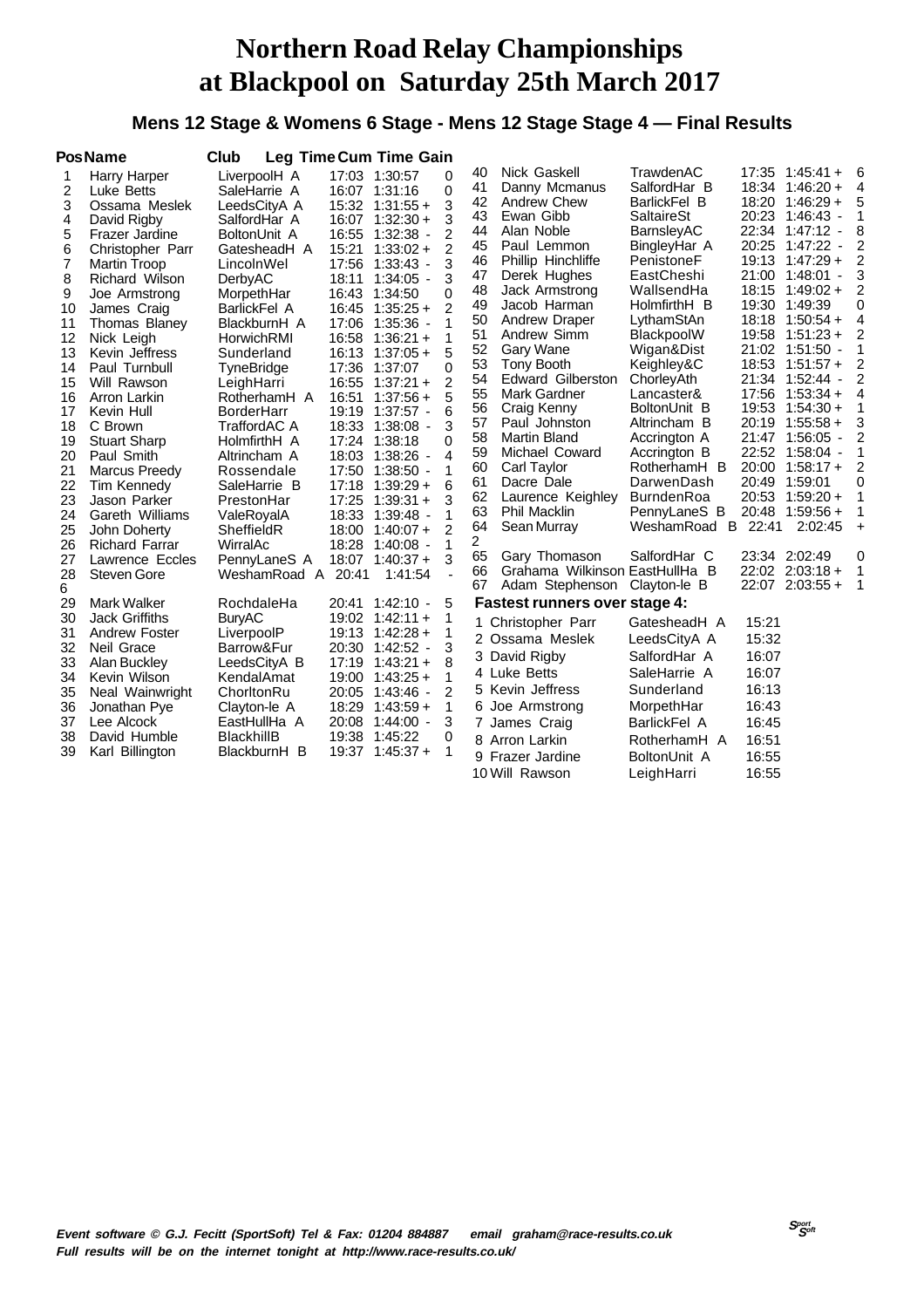### **Mens 12 Stage & Womens 6 Stage - Mens 12 Stage Stage 4 — Final Results**

|                                                                                                                                                              | <b>PosName</b>                                                                                                                                                                                                                                                                                                                                                                                                                                       | Club                                                                                                                                                                                                                                                                                                                                                                                                        |                | <b>Leg Time Cum Time Gain</b>                                                                                                                                                                                                                                                                                                                                                                                                                                                                                    |                                                                                                                                                                                                             |                                                                                                                                                                      |                                                                                                                                                                                                                                                                                                                                                                                                                                               |                                                                                                                                                                                                                                                                                                                                                                                       |                                                                                        |                                                                                                                                                                                                                                                                                                                                                                                                                                                                                   |                                                                                                                               |
|--------------------------------------------------------------------------------------------------------------------------------------------------------------|------------------------------------------------------------------------------------------------------------------------------------------------------------------------------------------------------------------------------------------------------------------------------------------------------------------------------------------------------------------------------------------------------------------------------------------------------|-------------------------------------------------------------------------------------------------------------------------------------------------------------------------------------------------------------------------------------------------------------------------------------------------------------------------------------------------------------------------------------------------------------|----------------|------------------------------------------------------------------------------------------------------------------------------------------------------------------------------------------------------------------------------------------------------------------------------------------------------------------------------------------------------------------------------------------------------------------------------------------------------------------------------------------------------------------|-------------------------------------------------------------------------------------------------------------------------------------------------------------------------------------------------------------|----------------------------------------------------------------------------------------------------------------------------------------------------------------------|-----------------------------------------------------------------------------------------------------------------------------------------------------------------------------------------------------------------------------------------------------------------------------------------------------------------------------------------------------------------------------------------------------------------------------------------------|---------------------------------------------------------------------------------------------------------------------------------------------------------------------------------------------------------------------------------------------------------------------------------------------------------------------------------------------------------------------------------------|----------------------------------------------------------------------------------------|-----------------------------------------------------------------------------------------------------------------------------------------------------------------------------------------------------------------------------------------------------------------------------------------------------------------------------------------------------------------------------------------------------------------------------------------------------------------------------------|-------------------------------------------------------------------------------------------------------------------------------|
| 1<br>2<br>3<br>4<br>5<br>6<br>$\overline{7}$<br>8<br>9<br>10<br>11<br>12<br>13<br>14<br>15<br>16<br>17<br>18<br>19<br>20<br>21<br>22<br>23<br>24<br>25<br>26 | Harry Harper<br>Luke Betts<br>Ossama Meslek<br>David Rigby<br>Frazer Jardine<br>Christopher Parr<br><b>Martin Troop</b><br>Richard Wilson<br>Joe Armstrong<br>James Craig<br>Thomas Blaney<br>Nick Leigh<br>Kevin Jeffress<br>Paul Turnbull<br>Will Rawson<br>Arron Larkin<br>Kevin Hull<br>C Brown<br><b>Stuart Sharp</b><br>Paul Smith<br>Marcus Preedy<br>Tim Kennedy<br>Jason Parker<br>Gareth Williams<br>John Doherty<br><b>Richard Farrar</b> | LiverpoolH A<br>SaleHarrie A<br>LeedsCityA A<br>SalfordHar A<br>BoltonUnit A<br>GatesheadH A<br>LincolnWel<br>DerbyAC<br>MorpethHar<br><b>BarlickFel A</b><br>BlackburnH A<br>HorwichRMI<br>Sunderland<br>TyneBridge<br>LeighHarri<br>RotherhamH A<br><b>BorderHarr</b><br>TraffordAC A<br>HolmfirthH A<br>Altrincham A<br>Rossendale<br>SaleHarrie B<br>PrestonHar<br>ValeRoyalA<br>SheffieldR<br>WirralAc | 15:21<br>16:51 | 17:03 1:30:57<br>16:07 1:31:16<br>$15:32$ $1:31:55+$<br>$16:07$ 1:32:30 +<br>16:55 1:32:38 -<br>$1:33:02 +$<br>17:56 1:33:43 -<br>18:11 1:34:05 -<br>16:43 1:34:50<br>$16:45$ 1:35:25 +<br>17:06 1:35:36 -<br>$16:58$ 1:36:21 +<br>$16:13$ $1:37:05 +$<br>17:36 1:37:07<br>$16:55$ $1:37:21 +$<br>$1:37:56+$<br>19:19 1:37:57 -<br>18:33 1:38:08 -<br>17:24 1:38:18<br>18:03 1:38:26 -<br>17:50 1:38:50 -<br>$17:18$ 1:39:29 +<br>$17:25$ 1:39:31 +<br>18:33 1:39:48 -<br>$18:00$ $1:40:07 +$<br>18:28 1:40:08 - | $\Omega$<br>$\mathbf{0}$<br>3<br>3<br>2<br>$\overline{2}$<br>3<br>3<br>0<br>$\overline{2}$<br>1<br>1<br>5<br>$\Omega$<br>$\overline{2}$<br>5<br>6<br>3<br>0<br>4<br>1<br>6<br>3<br>1<br>$\overline{2}$<br>1 | 40<br>41<br>42<br>43<br>44<br>45<br>46<br>47<br>48<br>49<br>50<br>51<br>52<br>53<br>54<br>55<br>56<br>57<br>58<br>59<br>60<br>61<br>62<br>63<br>64<br>$\overline{2}$ | <b>Nick Gaskell</b><br>Danny Mcmanus<br><b>Andrew Chew</b><br>Ewan Gibb<br>Alan Noble<br>Paul Lemmon<br>Phillip Hinchliffe<br>Derek Hughes<br>Jack Armstrong<br>Jacob Harman<br>Andrew Draper<br>Andrew Simm<br>Gary Wane<br>Tony Booth<br><b>Edward Gilberston</b><br>Mark Gardner<br>Craig Kenny<br>Paul Johnston<br><b>Martin Bland</b><br>Michael Coward<br>Carl Taylor<br>Dacre Dale<br>Laurence Keighley<br>Phil Macklin<br>Sean Murray | TrawdenAC<br>SalfordHar B<br>BarlickFel B<br>SaltaireSt<br>BarnsleyAC<br>BingleyHar A<br>PenistoneF<br>EastCheshi<br>WallsendHa<br>HolmfirthH B<br>LythamStAn<br>BlackpoolW<br>Wigan&Dist<br>Keighley&C<br>ChorleyAth<br>Lancaster&<br>BoltonUnit B<br>Altrincham B<br>Accrington A<br>Accrington B<br>RotherhamH B<br>DarwenDash<br>BurndenRoa<br>PennyLaneS B<br>WeshamRoad B 22:41 | 21:00<br>19:58<br>20:00                                                                | $17:35$ $1:45:41 +$<br>$18:34$ 1:46:20 +<br>$18:20$ 1:46:29 +<br>20:23 1:46:43 -<br>22:34 1:47:12 -<br>20:25 1:47:22 -<br>19:13 1:47:29 +<br>$1:48:01$ -<br>$18:15$ 1:49:02 +<br>19:30 1:49:39<br>$18:18$ 1:50:54 +<br>$1:51:23+$<br>21:02 1:51:50 -<br>$18:53$ $1:51:57 +$<br>21:34 1:52:44 -<br>$17:56$ $1:53:34 +$<br>19:53 1:54:30 +<br>20:19 1:55:58 +<br>21:47 1:56:05 -<br>22:52 1:58:04 -<br>$1:58:17+$<br>20:49 1:59:01<br>20:53 1:59:20 +<br>20:48 1:59:56 +<br>2:02:45 | - 6<br>4<br>5<br>1<br>8<br>2<br>2<br>3<br>2<br>0<br>4<br>2<br>1<br>2<br>2<br>4<br>1<br>3<br>2<br>1<br>2<br>0<br>1<br>1<br>$+$ |
| 27<br>28<br>6                                                                                                                                                | Lawrence Eccles<br><b>Steven Gore</b>                                                                                                                                                                                                                                                                                                                                                                                                                | PennyLaneS A<br>WeshamRoad A                                                                                                                                                                                                                                                                                                                                                                                | 20:41          | $18:07$ $1:40:37+$<br>1:41:54                                                                                                                                                                                                                                                                                                                                                                                                                                                                                    | 3<br>L.                                                                                                                                                                                                     | 65<br>66<br>67                                                                                                                                                       | Gary Thomason<br>Grahama Wilkinson EastHullHa B<br>Adam Stephenson                                                                                                                                                                                                                                                                                                                                                                            | SalfordHar C<br>Clayton-le B                                                                                                                                                                                                                                                                                                                                                          |                                                                                        | 23:34 2:02:49<br>$22:02$ $2:03:18 +$<br>22:07 2:03:55 +                                                                                                                                                                                                                                                                                                                                                                                                                           | 0<br>$\overline{1}$<br>$\overline{\phantom{0}}$                                                                               |
| 29<br>30                                                                                                                                                     | <b>Mark Walker</b><br><b>Jack Griffiths</b>                                                                                                                                                                                                                                                                                                                                                                                                          | RochdaleHa<br><b>BuryAC</b>                                                                                                                                                                                                                                                                                                                                                                                 |                | 20:41 1:42:10 -<br>$19:02$ 1:42:11 +                                                                                                                                                                                                                                                                                                                                                                                                                                                                             | 5<br>1                                                                                                                                                                                                      |                                                                                                                                                                      | <b>Fastest runners over stage 4:</b>                                                                                                                                                                                                                                                                                                                                                                                                          |                                                                                                                                                                                                                                                                                                                                                                                       |                                                                                        |                                                                                                                                                                                                                                                                                                                                                                                                                                                                                   |                                                                                                                               |
| 31<br>32<br>33<br>34<br>35<br>36<br>37<br>38<br>39                                                                                                           | Andrew Foster<br>Neil Grace<br>Alan Buckley<br>Kevin Wilson<br>Neal Wainwright<br>Jonathan Pye<br>Lee Alcock<br>David Humble<br>Karl Billington                                                                                                                                                                                                                                                                                                      | LiverpoolP<br>Barrow&Fur<br>LeedsCityA B<br>KendalAmat<br>ChorltonRu<br>Clayton-le A<br>EastHullHa A<br><b>BlackhillB</b><br>BlackburnH B                                                                                                                                                                                                                                                                   | 19:00          | $19:13$ $1:42:28 +$<br>20:30 1:42:52 -<br>$17:19$ 1:43:21 +<br>$1:43:25+$<br>20:05 1:43:46 -<br>$18:29$ 1:43:59 +<br>20:08 1:44:00 -<br>19:38 1:45:22<br>$19:37$ $1:45:37 +$                                                                                                                                                                                                                                                                                                                                     | 1<br>3<br>8<br>1<br>2<br>1<br>3<br>0<br>1                                                                                                                                                                   |                                                                                                                                                                      | 1 Christopher Parr<br>2 Ossama Meslek<br>3 David Rigby<br>4 Luke Betts<br>5 Kevin Jeffress<br>6 Joe Armstrong<br>7 James Craig<br>8 Arron Larkin<br>9 Frazer Jardine<br>10 Will Rawson                                                                                                                                                                                                                                                        | GatesheadH A<br>LeedsCityA A<br>SalfordHar A<br>SaleHarrie A<br>Sunderland<br>MorpethHar<br>BarlickFel A<br>RotherhamH A<br>BoltonUnit A<br>LeighHarri                                                                                                                                                                                                                                | 15:21<br>15:32<br>16:07<br>16:07<br>16:13<br>16:43<br>16:45<br>16:51<br>16:55<br>16:55 |                                                                                                                                                                                                                                                                                                                                                                                                                                                                                   |                                                                                                                               |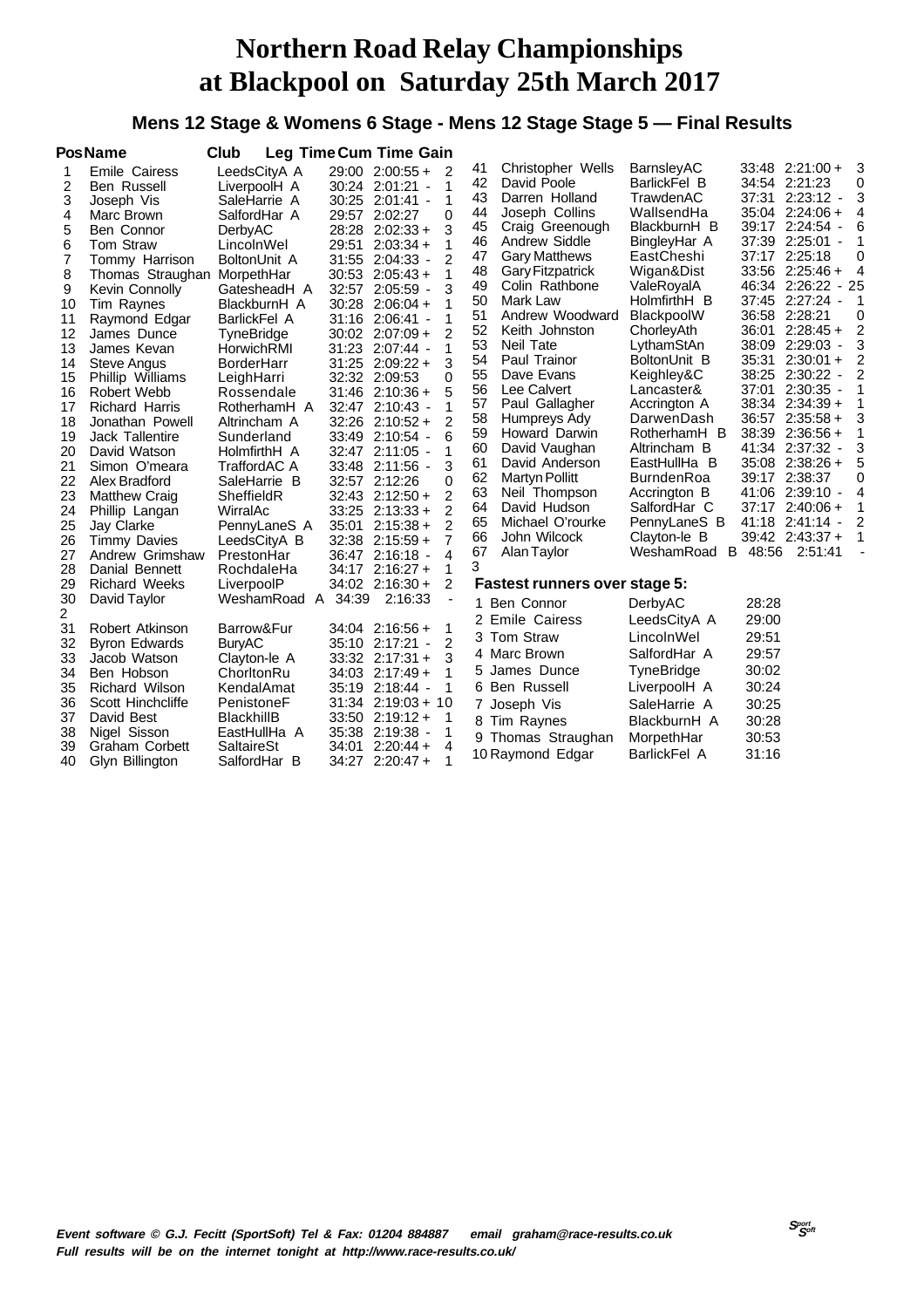### **Mens 12 Stage & Womens 6 Stage - Mens 12 Stage Stage 5 — Final Results**

|                                                                                                                                                       | <b>PosName</b>                                                                                                                                                                                                                                                                                                                                                                                                                                                                                     | Club                                                                                                                                                                                                                                                                                                                                                                                                                   |                                                                                                                                     | Leg Time Cum Time Gain                                                                                                                                                                                                                                                                                                                                                                                                                                                                                                                                                                                                                         |                                                                                                                                                                |                                                                                                                                                                                                                                                                                                                                                                                                                                                                                             |                                                                                                                                                                                                                                                                                                                                                                                                                               |                                                                                                                              |                                                                                                                                                                                                                                                                                                                                                                                                                                                                                                                                                                                  |                                                                                                                                                               |
|-------------------------------------------------------------------------------------------------------------------------------------------------------|----------------------------------------------------------------------------------------------------------------------------------------------------------------------------------------------------------------------------------------------------------------------------------------------------------------------------------------------------------------------------------------------------------------------------------------------------------------------------------------------------|------------------------------------------------------------------------------------------------------------------------------------------------------------------------------------------------------------------------------------------------------------------------------------------------------------------------------------------------------------------------------------------------------------------------|-------------------------------------------------------------------------------------------------------------------------------------|------------------------------------------------------------------------------------------------------------------------------------------------------------------------------------------------------------------------------------------------------------------------------------------------------------------------------------------------------------------------------------------------------------------------------------------------------------------------------------------------------------------------------------------------------------------------------------------------------------------------------------------------|----------------------------------------------------------------------------------------------------------------------------------------------------------------|---------------------------------------------------------------------------------------------------------------------------------------------------------------------------------------------------------------------------------------------------------------------------------------------------------------------------------------------------------------------------------------------------------------------------------------------------------------------------------------------|-------------------------------------------------------------------------------------------------------------------------------------------------------------------------------------------------------------------------------------------------------------------------------------------------------------------------------------------------------------------------------------------------------------------------------|------------------------------------------------------------------------------------------------------------------------------|----------------------------------------------------------------------------------------------------------------------------------------------------------------------------------------------------------------------------------------------------------------------------------------------------------------------------------------------------------------------------------------------------------------------------------------------------------------------------------------------------------------------------------------------------------------------------------|---------------------------------------------------------------------------------------------------------------------------------------------------------------|
| 1<br>2<br>3<br>4<br>5<br>6<br>7<br>8<br>9<br>10<br>11<br>12<br>13<br>14<br>15<br>16<br>17<br>18<br>19<br>20<br>21<br>22<br>23<br>24<br>25<br>26<br>27 | Emile Cairess<br>Ben Russell<br>Joseph Vis<br>Marc Brown<br><b>Ben Connor</b><br><b>Tom Straw</b><br>Tommy Harrison<br>Thomas Straughan<br>Kevin Connolly<br>Tim Raynes<br>Raymond Edgar<br>James Dunce<br>James Kevan<br><b>Steve Angus</b><br>Phillip Williams<br>Robert Webb<br><b>Richard Harris</b><br>Jonathan Powell<br>Jack Tallentire<br>David Watson<br>Simon O'meara<br>Alex Bradford<br><b>Matthew Craig</b><br>Phillip Langan<br>Jay Clarke<br><b>Timmy Davies</b><br>Andrew Grimshaw | LeedsCityA A<br>LiverpoolH A<br>SaleHarrie A<br>SalfordHar A<br>DerbyAC<br>LincolnWel<br>BoltonUnit A<br>MorpethHar<br>GatesheadH A<br>BlackburnH A<br>BarlickFel A<br>TyneBridge<br>HorwichRMI<br><b>BorderHarr</b><br>LeighHarri<br>Rossendale<br>RotherhamH A<br>Altrincham A<br>Sunderland<br>HolmfirthH A<br>TraffordAC A<br>SaleHarrie B<br>SheffieldR<br>WirralAc<br>PennyLaneS A<br>LeedsCityA B<br>PrestonHar | 29:51<br>31:55<br>30:53<br>32:57<br>30:28<br>31:16<br>31:23<br>31:25<br>32:32<br>33:49<br>32:43<br>33:25<br>35:01<br>32:38<br>36:47 | $29:00$ $2:00:55 +$<br>2<br>1<br>30:24 2:01:21 -<br>1<br>30:25 2:01:41 -<br>0<br>29:57 2:02:27<br>3<br>28:28 2:02:33 +<br>1<br>$2:03:34+$<br>$\overline{2}$<br>$2:04:33 -$<br>1<br>$2:05:43+$<br>3<br>$2:05:59 -$<br>1<br>$2:06:04 +$<br>1<br>$2:06:41 -$<br>2<br>$30:02$ $2:07:09 +$<br>1<br>$2:07:44 -$<br>3<br>$2:09:22+$<br>0<br>2:09:53<br>5<br>$31:46$ 2:10:36 +<br>32:47 2:10:43 -<br>1<br>2<br>$32:26$ $2:10:52 +$<br>6<br>$2:10:54 -$<br>32:47 2:11:05 -<br>1<br>3<br>33:48 2:11:56 -<br>0<br>32:57 2:12:26<br>$\overline{2}$<br>$2:12:50+$<br>$\overline{2}$<br>$2:13:33+$<br>2<br>$2:15:38+$<br>7<br>$2:15:59+$<br>4<br>$2:16:18 -$ | 41<br>42<br>43<br>44<br>45<br>46<br>47<br>48<br>49<br>50<br>51<br>52<br>53<br>54<br>55<br>56<br>57<br>58<br>59<br>60<br>61<br>62<br>63<br>64<br>65<br>66<br>67 | Christopher Wells<br>David Poole<br>Darren Holland<br>Joseph Collins<br>Craig Greenough<br>Andrew Siddle<br><b>Gary Matthews</b><br><b>Gary Fitzpatrick</b><br>Colin Rathbone<br>Mark Law<br>Andrew Woodward<br>Keith Johnston<br>Neil Tate<br>Paul Trainor<br>Dave Evans<br>Lee Calvert<br>Paul Gallagher<br>Humpreys Ady<br>Howard Darwin<br>David Vaughan<br>David Anderson<br><b>Martyn Pollitt</b><br>Neil Thompson<br>David Hudson<br>Michael O'rourke<br>John Wilcock<br>Alan Taylor | BarnsleyAC<br>BarlickFel B<br>TrawdenAC<br>WallsendHa<br>BlackburnH B<br>BingleyHar A<br>EastCheshi<br>Wigan&Dist<br>ValeRoyalA<br>HolmfirthH B<br><b>BlackpoolW</b><br>ChorleyAth<br>LythamStAn<br>BoltonUnit B<br>Keighley&C<br>Lancaster&<br>Accrington A<br>DarwenDash<br>RotherhamH B<br>Altrincham B<br>EastHullHa B<br><b>BurndenRoa</b><br>Accrington B<br>SalfordHar C<br>PennyLaneS B<br>Clayton-le B<br>WeshamRoad | 37:39<br>37:17<br>37:45<br>36:01<br>38:09<br>35:31<br>38:25<br>37:01<br>36:57<br>35:08<br>39:17<br>37:17<br>41:18<br>B 48:56 | $33:48$ $2:21:00+$<br>34:54 2:21:23<br>37:31 2:23:12 -<br>35:04 2:24:06 +<br>39:17 2:24:54<br>$\overline{\phantom{a}}$<br>2:25:01<br>$\overline{\phantom{a}}$<br>2:25:18<br>$33:56$ $2:25:46+$<br>$-25$<br>46:34 2:26:22<br>2:27:24<br>$\overline{\phantom{a}}$<br>36:58 2:28:21<br>$2:28:45+$<br>$2:29:03 -$<br>$2:30:01 +$<br>2:30:22<br>$\overline{\phantom{a}}$<br>$2:30:35 -$<br>38:34 2:34:39 +<br>$2:35:58+$<br>38:39 2:36:56 +<br>41:34 2:37:32<br>$\overline{a}$<br>$2:38:26+$<br>2:38:37<br>41:06 2:39:10 -<br>$2:40:06+$<br>$2:41:14 -$<br>39:42 2:43:37 +<br>2:51:41 | 3<br>0<br>3<br>4<br>6<br>1<br>0<br>$\overline{4}$<br>$\mathbf 1$<br>0<br>2<br>3<br>2<br>2<br>1<br>1<br>3<br>1<br>3<br>5<br>0<br>4<br>1<br>$\overline{2}$<br>1 |
| 28                                                                                                                                                    | Danial Bennett                                                                                                                                                                                                                                                                                                                                                                                                                                                                                     | RochdaleHa                                                                                                                                                                                                                                                                                                                                                                                                             |                                                                                                                                     | $34:17$ $2:16:27+$<br>1                                                                                                                                                                                                                                                                                                                                                                                                                                                                                                                                                                                                                        | 3                                                                                                                                                              |                                                                                                                                                                                                                                                                                                                                                                                                                                                                                             |                                                                                                                                                                                                                                                                                                                                                                                                                               |                                                                                                                              |                                                                                                                                                                                                                                                                                                                                                                                                                                                                                                                                                                                  |                                                                                                                                                               |
| 29<br>30<br>2<br>31<br>32<br>33<br>34<br>35<br>36<br>37<br>38<br>39<br>40                                                                             | <b>Richard Weeks</b><br>David Taylor<br>Robert Atkinson<br><b>Byron Edwards</b><br>Jacob Watson<br>Ben Hobson<br><b>Richard Wilson</b><br>Scott Hinchcliffe<br>David Best<br>Nigel Sisson<br><b>Graham Corbett</b><br>Glyn Billington                                                                                                                                                                                                                                                              | LiverpoolP<br>WeshamRoad A<br>Barrow&Fur<br><b>BuryAC</b><br>Clayton-le A<br>ChorltonRu<br>KendalAmat<br>PenistoneF<br><b>BlackhillB</b><br>EastHullHa A<br><b>SaltaireSt</b><br>SalfordHar B                                                                                                                                                                                                                          | 34:39<br>34:03<br>35:38<br>34:01                                                                                                    | $\overline{2}$<br>$34:02$ $2:16:30+$<br>2:16:33<br>÷,<br>$34:04$ 2:16:56 +<br>1<br>2<br>35:10 2:17:21 -<br>3<br>$33:32$ $2:17:31 +$<br>1<br>$2:17:49+$<br>1<br>35:19 2:18:44 -<br>$31:34$ $2:19:03 + 10$<br>$33:50$ $2:19:12 +$<br>1<br>$2:19:38 -$<br>1<br>$2:20:44+$<br>4<br>1<br>$34:27$ 2:20:47 +                                                                                                                                                                                                                                                                                                                                          | 1.<br>3<br>5.                                                                                                                                                  | <b>Fastest runners over stage 5:</b><br>Ben Connor<br>2 Emile Cairess<br>Tom Straw<br>4 Marc Brown<br>James Dunce<br>6 Ben Russell<br>7 Joseph Vis<br>8 Tim Raynes<br>9 Thomas Straughan<br>10 Raymond Edgar                                                                                                                                                                                                                                                                                | DerbyAC<br>LeedsCityA A<br>LincolnWel<br>SalfordHar A<br>TyneBridge<br>LiverpoolH A<br>SaleHarrie A<br>BlackburnH A<br>MorpethHar<br>BarlickFel A                                                                                                                                                                                                                                                                             | 28:28<br>29:00<br>29:51<br>29:57<br>30:02<br>30:24<br>30:25<br>30:28<br>30:53<br>31:16                                       |                                                                                                                                                                                                                                                                                                                                                                                                                                                                                                                                                                                  |                                                                                                                                                               |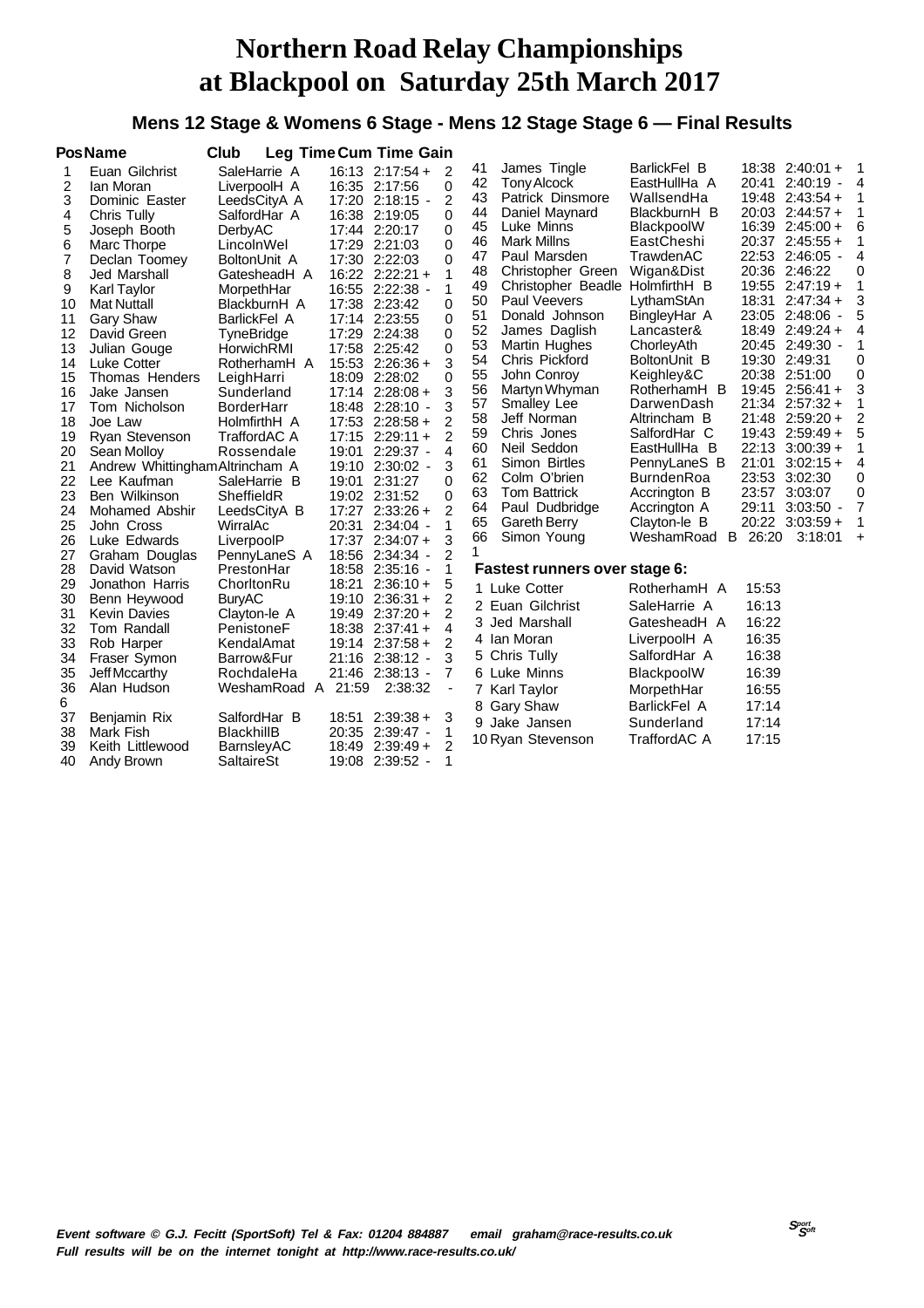### **Mens 12 Stage & Womens 6 Stage - Mens 12 Stage Stage 6 — Final Results**

|                                                                                                                                      | <b>PosName</b>                                                                                                                                                                                                                                                                                                                                                                                    | Club                                                                                                                                                                                                                                                                                                                           | <b>Leg Time Cum Time Gain</b>                                                                                                                                                                                                                                                                                                                                                                                                     |                                                                                                                                                                   |                                                                                                                                  |                                                                                                                                                                                                                                                                                                                                                                                                                |                                                                                                                                                                                                                                                                                                                              |                                                                                                 |                                                                                                                                                                                                                                                                                                                                                                                |                                                                         |
|--------------------------------------------------------------------------------------------------------------------------------------|---------------------------------------------------------------------------------------------------------------------------------------------------------------------------------------------------------------------------------------------------------------------------------------------------------------------------------------------------------------------------------------------------|--------------------------------------------------------------------------------------------------------------------------------------------------------------------------------------------------------------------------------------------------------------------------------------------------------------------------------|-----------------------------------------------------------------------------------------------------------------------------------------------------------------------------------------------------------------------------------------------------------------------------------------------------------------------------------------------------------------------------------------------------------------------------------|-------------------------------------------------------------------------------------------------------------------------------------------------------------------|----------------------------------------------------------------------------------------------------------------------------------|----------------------------------------------------------------------------------------------------------------------------------------------------------------------------------------------------------------------------------------------------------------------------------------------------------------------------------------------------------------------------------------------------------------|------------------------------------------------------------------------------------------------------------------------------------------------------------------------------------------------------------------------------------------------------------------------------------------------------------------------------|-------------------------------------------------------------------------------------------------|--------------------------------------------------------------------------------------------------------------------------------------------------------------------------------------------------------------------------------------------------------------------------------------------------------------------------------------------------------------------------------|-------------------------------------------------------------------------|
| 1<br>2<br>3<br>4<br>5<br>6<br>$\overline{7}$<br>8<br>9<br>10<br>11<br>12<br>13<br>14<br>15<br>16<br>17<br>18<br>19<br>20<br>21<br>22 | Euan Gilchrist<br>lan Moran<br>Dominic Easter<br>Chris Tully<br>Joseph Booth<br>Marc Thorpe<br>Declan Toomey<br>Jed Marshall<br><b>Karl Taylor</b><br><b>Mat Nuttall</b><br><b>Gary Shaw</b><br>David Green<br>Julian Gouge<br><b>Luke Cotter</b><br>Thomas Henders<br>Jake Jansen<br>Tom Nicholson<br>Joe Law<br>Ryan Stevenson<br>Sean Molloy<br>Andrew Whittingham Altrincham A<br>Lee Kaufman | SaleHarrie A<br>LiverpoolH A<br>LeedsCityA A<br>SalfordHar A<br>DerbyAC<br>LincolnWel<br>BoltonUnit A<br>GatesheadH A<br>MorpethHar<br>BlackburnH A<br>BarlickFel A<br>TyneBridge<br>HorwichRMI<br>RotherhamH A<br>LeighHarri<br>Sunderland<br><b>BorderHarr</b><br>HolmfirthH A<br>TraffordAC A<br>Rossendale<br>SaleHarrie B | $16:13$ $2:17:54+$<br>16:35 2:17:56<br>17:20 2:18:15 -<br>16:38 2:19:05<br>17:44 2:20:17<br>17:29 2:21:03<br>17:30 2:22:03<br>$16:22$ $2:22:21+$<br>16:55 2:22:38 -<br>17:38 2:23:42<br>17:14 2:23:55<br>17:29 2:24:38<br>17:58 2:25:42<br>$15:53$ $2:26:36 +$<br>18:09 2:28:02<br>$17:14$ $2:28:08 +$<br>18:48 2:28:10 -<br>$17:53$ $2:28:58 +$<br>$17:15$ 2:29:11 +<br>$2:29:37 -$<br>19:01<br>19:10 2:30:02 -<br>19:01 2:31:27 | 2<br>0<br>2<br>0<br>0<br>$\Omega$<br>$\Omega$<br>1<br>1<br>$\Omega$<br>0<br>$\Omega$<br>$\Omega$<br>3<br>0<br>3<br>3<br>2<br>$\overline{2}$<br>4<br>3<br>$\Omega$ | 41<br>42<br>43<br>44<br>45<br>46<br>47<br>48<br>49<br>50<br>51<br>52<br>53<br>54<br>55<br>56<br>57<br>58<br>59<br>60<br>61<br>62 | James Tingle<br>Tony Alcock<br>Patrick Dinsmore<br>Daniel Maynard<br>Luke Minns<br><b>Mark Millns</b><br>Paul Marsden<br>Christopher Green<br>Christopher Beadle HolmfirthH B<br><b>Paul Veevers</b><br>Donald Johnson<br>James Daglish<br>Martin Hughes<br>Chris Pickford<br>John Conroy<br>Martyn Whyman<br><b>Smalley Lee</b><br>Jeff Norman<br>Chris Jones<br>Neil Seddon<br>Simon Birtles<br>Colm O'brien | BarlickFel B<br>EastHullHa A<br>WallsendHa<br>BlackburnH B<br>BlackpoolW<br>EastCheshi<br>TrawdenAC<br>Wigan&Dist<br>LythamStAn<br>BingleyHar A<br>Lancaster&<br>ChorleyAth<br>BoltonUnit B<br>Keighley&C<br>RotherhamH B<br>DarwenDash<br>Altrincham B<br>SalfordHar C<br>EastHullHa B<br>PennyLaneS B<br><b>BurndenRoa</b> | 16:39<br>20:37<br>22:53<br>19:55<br>18:31<br>20:38<br>21:48<br>19:43<br>22:13<br>21:01<br>23:53 | $18:38$ $2:40:01 +$<br>20:41 2:40:19 -<br>$19:48$ $2:43:54+$<br>$20:03$ $2:44:57+$<br>$2:45:00+$<br>$2:45:55+$<br>$2:46:05 -$<br>20:36 2:46:22<br>$2:47:19+$<br>$2:47:34+$<br>23:05 2:48:06 -<br>18:49 2:49:24 +<br>20:45 2:49:30 -<br>19:30 2:49:31<br>2:51:00<br>$19:45$ 2:56:41 +<br>$21:34$ $2:57:32 +$<br>$2:59:20+$<br>$2:59:49+$<br>$3:00:39+$<br>$3:02:15+$<br>3:02:30 | 4<br>1<br>6<br>4<br>0<br>3<br>5<br>4<br>0<br>0<br>3<br>2<br>5<br>4<br>0 |
| 25<br>26                                                                                                                             | John Cross<br>Luke Edwards                                                                                                                                                                                                                                                                                                                                                                        | WirralAc<br>LiverpoolP                                                                                                                                                                                                                                                                                                         | 20:31<br>$2:34:04 -$<br>17:37 2:34:07 +                                                                                                                                                                                                                                                                                                                                                                                           | 1<br>3                                                                                                                                                            | 65<br>66<br>1                                                                                                                    | <b>Gareth Berry</b><br>Simon Young                                                                                                                                                                                                                                                                                                                                                                             | Clayton-le B<br>WeshamRoad<br>B                                                                                                                                                                                                                                                                                              | 26:20                                                                                           | 20:22 3:03:59 +<br>3:18:01                                                                                                                                                                                                                                                                                                                                                     | $\ddot{}$                                                               |
| 27<br>28                                                                                                                             | Graham Douglas<br>David Watson                                                                                                                                                                                                                                                                                                                                                                    | PennyLaneS A<br>PrestonHar                                                                                                                                                                                                                                                                                                     | 18:56 2:34:34 -<br>18:58 2:35:16 -                                                                                                                                                                                                                                                                                                                                                                                                | $\overline{2}$<br>1                                                                                                                                               |                                                                                                                                  | Fastest runners over stage 6:                                                                                                                                                                                                                                                                                                                                                                                  |                                                                                                                                                                                                                                                                                                                              |                                                                                                 |                                                                                                                                                                                                                                                                                                                                                                                |                                                                         |
| 29<br>30<br>31<br>32<br>33<br>34<br>35<br>36<br>6<br>37<br>38<br>39<br>40                                                            | Jonathon Harris<br>Benn Heywood<br><b>Kevin Davies</b><br>Tom Randall<br>Rob Harper<br>Fraser Symon<br>Jeff Mccarthy<br>Alan Hudson<br>Benjamin Rix<br>Mark Fish<br>Keith Littlewood<br>Andy Brown                                                                                                                                                                                                | ChorltonRu<br><b>BuryAC</b><br>Clayton-le A<br>PenistoneF<br>KendalAmat<br>Barrow&Fur<br>RochdaleHa<br>WeshamRoad A 21:59<br>SalfordHar B<br><b>BlackhillB</b><br>BarnsleyAC<br>SaltaireSt                                                                                                                                     | 18:21<br>$2:36:10+$<br>19:10 2:36:31 +<br>$19:49$ $2:37:20+$<br>$18:38$ $2:37:41 +$<br>19:14 2:37:58 +<br>21:16 2:38:12 -<br>21:46 2:38:13 -<br>2:38:32<br>18:51<br>$2:39:38+$<br>20:35 2:39:47 -<br>$18:49$ 2:39:49 +<br>19:08 2:39:52 -                                                                                                                                                                                         | 5<br>2<br>$\overline{2}$<br>4<br>2<br>3<br>$\overline{7}$<br>$\blacksquare$<br>3<br>1<br>$\overline{2}$<br>1                                                      |                                                                                                                                  | 1 Luke Cotter<br>2 Euan Gilchrist<br>3 Jed Marshall<br>4 Ian Moran<br>5 Chris Tully<br>6 Luke Minns<br>7 Karl Taylor<br>8 Gary Shaw<br>9 Jake Jansen<br>10 Ryan Stevenson                                                                                                                                                                                                                                      | RotherhamH A<br>SaleHarrie A<br>GatesheadH A<br>LiverpoolH A<br>SalfordHar A<br>BlackpoolW<br>MorpethHar<br><b>BarlickFel A</b><br>Sunderland<br><b>TraffordAC A</b>                                                                                                                                                         | 15:53<br>16:13<br>16:22<br>16:35<br>16:38<br>16:39<br>16:55<br>17:14<br>17:14<br>17:15          |                                                                                                                                                                                                                                                                                                                                                                                |                                                                         |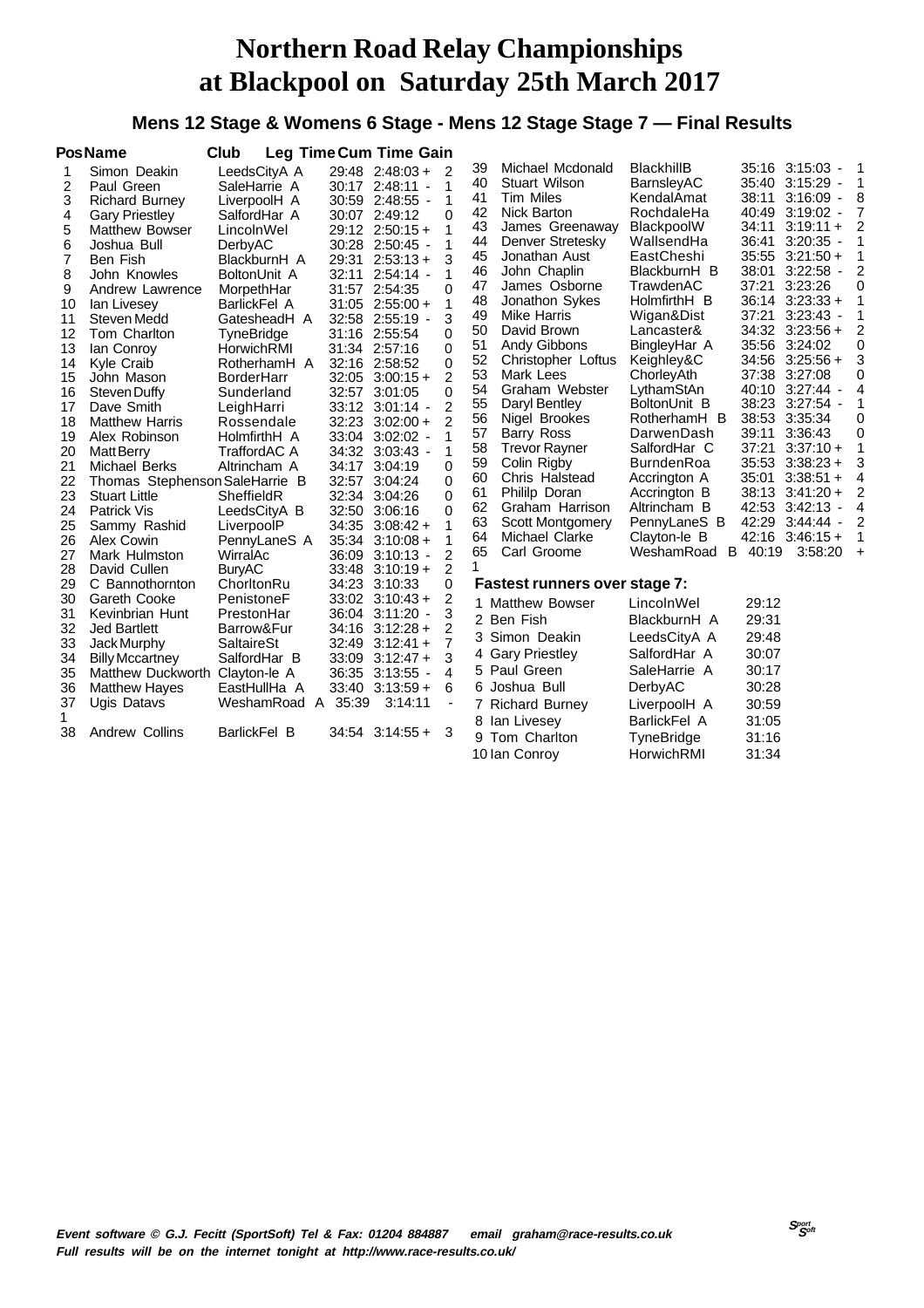### **Mens 12 Stage & Womens 6 Stage - Mens 12 Stage Stage 7 — Final Results**

|          | <b>PosName</b>                 | Club                     |       | <b>Leg Time Cum Time Gain</b>      |                |          |                                     |                            |                |                       |           |
|----------|--------------------------------|--------------------------|-------|------------------------------------|----------------|----------|-------------------------------------|----------------------------|----------------|-----------------------|-----------|
| 1        | Simon Deakin                   | LeedsCityA A             |       | $29:48$ 2:48:03 +                  | 2              | 39       | Michael Mcdonald                    | <b>BlackhillB</b>          |                | 35:16 3:15:03 -       | 1         |
| 2        | Paul Green                     | SaleHarrie A             |       | 30:17 2:48:11 -                    | 1              | 40       | Stuart Wilson                       | BarnsleyAC                 |                | 35:40 3:15:29 -       | 1         |
| 3        | <b>Richard Burney</b>          | LiverpoolH A             |       | 30:59 2:48:55 -                    | 1              | 41       | <b>Tim Miles</b>                    | KendalAmat                 | 38:11          | $3:16:09 -$           | 8         |
| 4        | <b>Gary Priestley</b>          | SalfordHar A             |       | 30:07 2:49:12                      | $\Omega$       | 42       | Nick Barton                         | RochdaleHa                 | 40:49          | $3:19:02 -$           | 7         |
| 5        | <b>Matthew Bowser</b>          | LincolnWel               |       | $29:12$ $2:50:15+$                 | 1              | 43       | James Greenaway                     | BlackpoolW                 | 34:11          | $3:19:11 +$           | 2         |
| 6        | Joshua Bull                    | DerbyAC                  |       | 30:28 2:50:45 -                    | 1              | 44       | Denver Stretesky                    | WallsendHa                 | 36:41          | $3:20:35 -$           |           |
| 7        | Ben Fish                       | BlackburnH A             | 29:31 | $2:53:13+$                         | 3              | 45       | Jonathan Aust                       | EastCheshi                 | 35:55          | $3:21:50+$            |           |
| 8        | John Knowles                   | BoltonUnit A             | 32:11 | $2:54:14 -$                        | 1              | 46       | John Chaplin                        | BlackburnH B               | 38:01          | $3:22:58 -$           | 2         |
| 9        | Andrew Lawrence                | MorpethHar               |       | 31:57 2:54:35                      | 0              | 47       | James Osborne                       | TrawdenAC                  | 37:21          | 3:23:26               | 0         |
| 10       | lan Livesey                    | BarlickFel A             |       | $31:05$ 2:55:00 +                  | 1              | 48       | Jonathon Sykes                      | HolmfirthH B               |                | $36:14$ $3:23:33 +$   |           |
| 11       | Steven Medd                    | GatesheadH A             |       | 32:58 2:55:19 -                    | 3              | 49       | Mike Harris                         | Wigan&Dist                 | 37:21          | $3:23:43$ -           |           |
| 12       | Tom Charlton                   | TyneBridge               |       | 31:16 2:55:54                      | 0              | 50       | David Brown                         | Lancaster&                 |                | 34:32 3:23:56 +       | 2         |
| 13       | lan Conroy                     | HorwichRMI               |       | 31:34 2:57:16                      | 0              | 51       | Andy Gibbons                        | BingleyHar A               |                | 35:56 3:24:02         | 0         |
| 14       | <b>Kyle Craib</b>              | RotherhamH A             |       | 32:16 2:58:52                      | $\Omega$       | 52       | Christopher Loftus                  | Keighley&C                 |                | $34:56$ $3:25:56 +$   | 3         |
| 15       | John Mason                     | <b>BorderHarr</b>        |       | $32:05$ $3:00:15 +$                | 2              | 53       | Mark Lees                           | ChorleyAth                 | 37:38          | 3:27:08               | 0         |
| 16       | Steven Duffy                   | Sunderland               |       | 32:57 3:01:05                      | $\Omega$       | 54       | Graham Webster                      | LythamStAn                 |                | 40:10 3:27:44 -       | 4         |
| 17       | Dave Smith                     | LeighHarri               |       | 33:12 3:01:14 -                    | 2              | 55       | Daryl Bentley                       | BoltonUnit B               |                | 38:23 3:27:54 -       |           |
| 18       | <b>Matthew Harris</b>          | Rossendale               |       | $32:23$ $3:02:00 +$                | $\mathcal{P}$  | 56       | Nigel Brookes                       | RotherhamH B               |                | 38:53 3:35:34         | 0         |
| 19       | Alex Robinson                  | HolmfirthH A             |       | 33:04 3:02:02 -                    |                | 57<br>58 | Barry Ross                          | DarwenDash<br>SalfordHar C | 39:11<br>37:21 | 3:36:43<br>$3:37:10+$ | 0<br>1    |
| 20       | <b>Matt Berry</b>              | TraffordAC A             |       | 34:32 3:03:43 -                    | 1              | 59       | <b>Trevor Rayner</b><br>Colin Rigby | <b>BurndenRoa</b>          |                | $35:53$ $3:38:23 +$   | 3         |
| 21       | Michael Berks                  | Altrincham A             | 34:17 | 3:04:19                            | $\Omega$       | 60       | Chris Halstead                      | Accrington A               | 35:01          | $3:38:51 +$           | 4         |
| 22       | Thomas Stephenson SaleHarrie B |                          | 32:57 | 3:04:24                            | 0              | 61       | Phililp Doran                       | Accrington B               |                | $38:13$ $3:41:20 +$   | 2         |
| 23       | <b>Stuart Little</b>           | SheffieldR               |       | 32:34 3:04:26                      | $\Omega$       | 62       | Graham Harrison                     | Altrincham B               | 42:53          | $3:42:13 -$           | 4         |
| 24       | <b>Patrick Vis</b>             | LeedsCityA B             |       | 32:50 3:06:16                      | 0              | 63       | <b>Scott Montgomery</b>             | PennyLaneS B               |                | 42:29 3:44:44 -       | 2         |
| 25       | Sammy Rashid                   | LiverpoolP               |       | $34:35$ $3:08:42 +$                | 1              | 64       | Michael Clarke                      | Clayton-le B               |                | $42:16$ $3:46:15 +$   | 1         |
| 26<br>27 | Alex Cowin<br>Mark Hulmston    | PennyLaneS A<br>WirralAc | 36:09 | $35:34$ $3:10:08 +$<br>$3:10:13 -$ | 1<br>2         | 65       | Carl Groome                         | WeshamRoad<br>B            | 40:19          | 3:58:20               | $\ddot{}$ |
| 28       | David Cullen                   | <b>BuryAC</b>            |       | $33:48$ $3:10:19+$                 | $\overline{2}$ | 1        |                                     |                            |                |                       |           |
| 29       | C Bannothornton                | ChorltonRu               |       | 34:23 3:10:33                      | 0              |          | Fastest runners over stage 7:       |                            |                |                       |           |
| 30       | Gareth Cooke                   | PenistoneF               |       | $33:02$ $3:10:43 +$                | 2              |          |                                     |                            |                |                       |           |
| 31       | Kevinbrian Hunt                | PrestonHar               |       | 36:04 3:11:20 -                    | 3              |          | 1 Matthew Bowser                    | LincolnWel                 | 29:12          |                       |           |
| 32       | Jed Bartlett                   | Barrow&Fur               |       | $34:16$ $3:12:28 +$                | 2              |          | 2 Ben Fish                          | BlackburnH A               | 29:31          |                       |           |
| 33       | Jack Murphy                    | <b>SaltaireSt</b>        |       | $32:49$ $3:12:41 +$                | 7              |          | 3 Simon Deakin                      | LeedsCityA A               | 29:48          |                       |           |
| 34       | <b>Billy Mccartney</b>         | SalfordHar B             |       | $33:09$ $3:12:47 +$                | 3              |          | 4 Gary Priestley                    | SalfordHar A               | 30:07          |                       |           |
| 35       | Matthew Duckworth Clayton-le A |                          |       | 36:35 3:13:55 -                    | 4              |          | 5 Paul Green                        | SaleHarrie A               | 30:17          |                       |           |
| 36       | <b>Matthew Hayes</b>           | EastHullHa A             |       | $33:40$ $3:13:59 +$                | 6              |          | 6 Joshua Bull                       | DerbyAC                    | 30:28          |                       |           |
| 37       | Ugis Datavs                    | WeshamRoad A             | 35:39 | 3:14:11                            | $\blacksquare$ |          | 7 Richard Burney                    | LiverpoolH A               | 30:59          |                       |           |
| 1        |                                |                          |       |                                    |                |          | 8 Ian Livesey                       | BarlickFel A               | 31:05          |                       |           |
| 38       | Andrew Collins                 | BarlickFel B             |       | $34:54$ $3:14:55 +$                | 3              |          |                                     |                            |                |                       |           |
|          |                                |                          |       |                                    |                | 9        | Tom Charlton                        | TyneBridge                 | 31:16          |                       |           |
|          |                                |                          |       |                                    |                |          | 10 Ian Conroy                       | HorwichRMI                 | 31:34          |                       |           |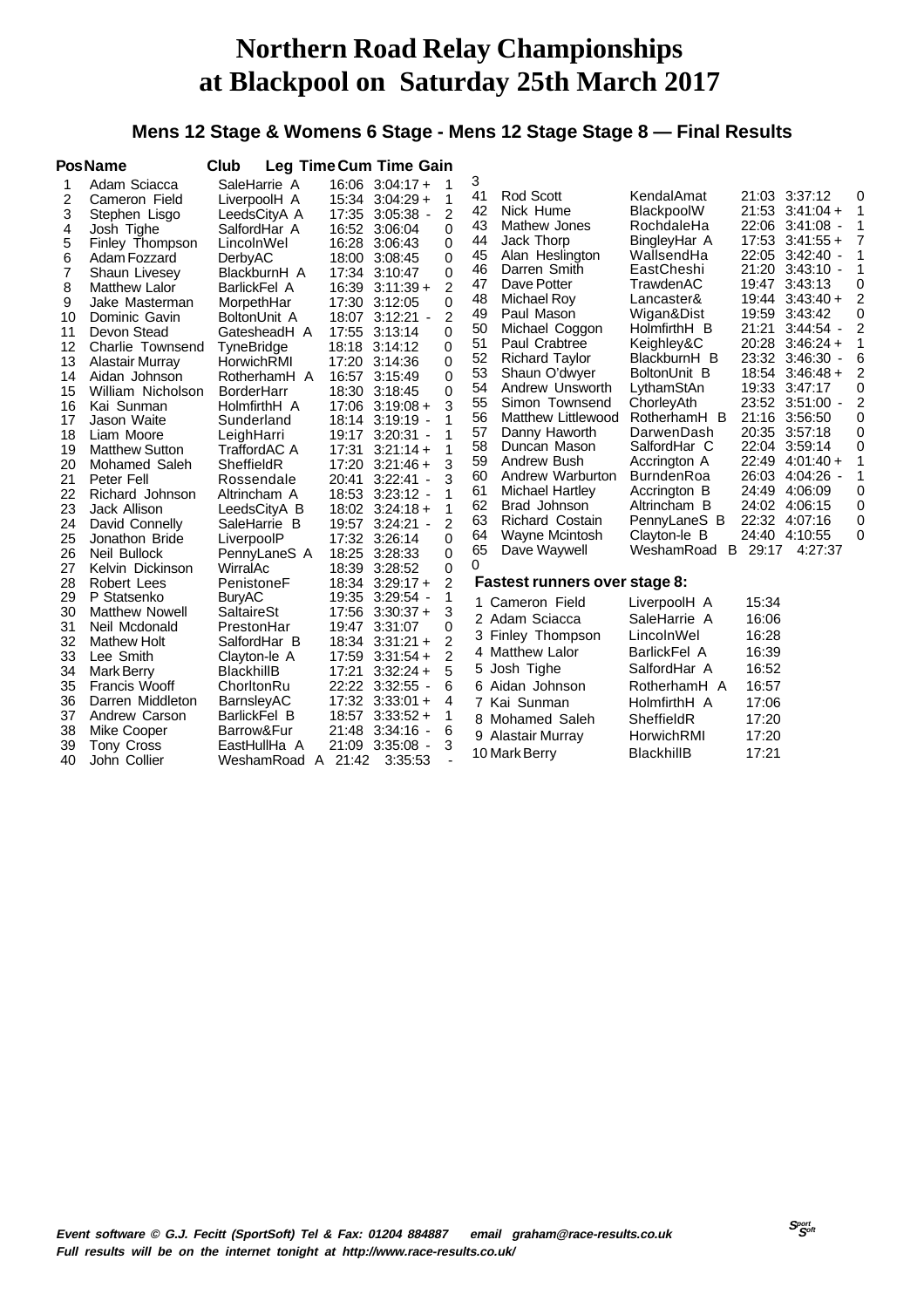#### **Mens 12 Stage & Womens 6 Stage - Mens 12 Stage Stage 8 — Final Results**

|                | <b>PosName</b>                     | Club                              |            | Leg Time Cum Time Gain         |                |          |                                 |                            |         |                                        |                |
|----------------|------------------------------------|-----------------------------------|------------|--------------------------------|----------------|----------|---------------------------------|----------------------------|---------|----------------------------------------|----------------|
| 1              | Adam Sciacca                       | SaleHarrie A                      |            | $16:06$ $3:04:17+$             | 1              | 3        |                                 |                            |         |                                        |                |
| 2              | Cameron Field                      | LiverpoolH A                      |            | $15:34$ $3:04:29 +$            | 1              | 41       | Rod Scott                       | KendalAmat                 |         | 21:03 3:37:12                          | 0              |
| 3              | Stephen Lisgo                      | LeedsCityA A                      | 17:35      | $3:05:38 -$                    | 2              | 42       | Nick Hume                       | BlackpoolW                 |         | $21:53$ $3:41:04 +$                    | $\mathbf 1$    |
| 4              | Josh Tighe                         | SalfordHar A                      |            | 16:52 3:06:04                  | 0              | 43<br>44 | Mathew Jones                    | RochdaleHa                 |         | 22:06 3:41:08 -<br>$17:53$ $3:41:55 +$ | 1<br>7         |
| 5              | Finley Thompson                    | LincolnWel                        | 16:28      | 3:06:43                        | $\Omega$       | 45       | Jack Thorp                      | BingleyHar A<br>WallsendHa |         | 22:05 3:42:40 -                        | 1              |
| 6              | Adam Fozzard                       | DerbyAC                           |            | 18:00 3:08:45                  | 0              | 46       | Alan Heslington<br>Darren Smith | EastCheshi                 |         | 21:20 3:43:10 -                        | 1              |
| $\overline{7}$ | Shaun Livesey                      | BlackburnH A                      | 17:34      | 3:10:47                        | 0              | 47       | Dave Potter                     | TrawdenAC                  |         | 19:47 3:43:13                          | 0              |
| 8              | <b>Matthew Lalor</b>               | BarlickFel A                      | 16:39      | $3:11:39+$                     | 2              | 48       | <b>Michael Roy</b>              | Lancaster&                 |         | $19:44$ $3:43:40 +$                    | 2              |
| 9              | Jake Masterman                     | MorpethHar                        | 17:30      | 3:12:05                        | $\Omega$       | 49       | Paul Mason                      | Wigan&Dist                 | 19:59   | 3:43:42                                | 0              |
| 10             | Dominic Gavin                      | BoltonUnit A                      | 18:07      | $3:12:21 -$                    | 2              | 50       | Michael Coggon                  | HolmfirthH B               | 21:21   | $3:44:54$ -                            | $\overline{2}$ |
| 11             | Devon Stead                        | GatesheadH A                      | 17:55      | 3:13:14                        | 0              | 51       | Paul Crabtree                   | Keighley&C                 |         | 20:28 3:46:24 +                        | 1              |
| 12             | Charlie Townsend                   | <b>TyneBridge</b>                 |            | 18:18 3:14:12                  | $\Omega$       | 52       | <b>Richard Taylor</b>           | BlackburnH B               |         | 23:32 3:46:30 -                        | 6              |
| 13             | Alastair Murray                    | HorwichRMI                        |            | 17:20 3:14:36<br>16:57 3:15:49 | 0<br>$\Omega$  | 53       | Shaun O'dwyer                   | BoltonUnit B               |         | 18:54 3:46:48 +                        | $\overline{2}$ |
| 14<br>15       | Aidan Johnson<br>William Nicholson | RotherhamH A<br><b>BorderHarr</b> |            | 18:30 3:18:45                  | 0              | 54       | Andrew Unsworth                 | LythamStAn                 |         | 19:33 3:47:17                          | 0              |
| 16             | Kai Sunman                         | HolmfirthH A                      |            | $17:06$ $3:19:08 +$            | 3              | 55       | Simon Townsend                  | ChorleyAth                 |         | 23:52 3:51:00 -                        | $\overline{2}$ |
| 17             | Jason Waite                        | Sunderland                        | 18:14      | $3:19:19 -$                    | 1              | 56       | <b>Matthew Littlewood</b>       | RotherhamH B               |         | 21:16 3:56:50                          | 0              |
| 18             | Liam Moore                         | LeighHarri                        |            | 19:17 3:20:31 -                | 1              | 57       | Danny Haworth                   | DarwenDash                 |         | 20:35 3:57:18                          | 0              |
| 19             | <b>Matthew Sutton</b>              | TraffordAC A                      | 17:31      | $3:21:14+$                     | 1              | 58       | Duncan Mason                    | SalfordHar C               |         | 22:04 3:59:14                          | 0              |
| 20             | Mohamed Saleh                      | SheffieldR                        |            | 17:20 3:21:46 +                | 3              | 59       | Andrew Bush                     | Accrington A               | 22:49   | $4:01:40+$                             | 1              |
| 21             | Peter Fell                         | Rossendale                        | 20:41      | $3:22:41 -$                    | 3              | 60       | Andrew Warburton                | <b>BurndenRoa</b>          | 26:03   | $4:04:26$ -                            | 1              |
| 22             | Richard Johnson                    | Altrincham A                      |            | 18:53 3:23:12 -                | 1              | 61       | Michael Hartley                 | Accrington B               | 24:49   | 4:06:09                                | 0              |
| 23             | Jack Allison                       | LeedsCityA B                      |            | $18:02$ $3:24:18 +$            | 1              | 62       | Brad Johnson                    | Altrincham B               |         | 24:02 4:06:15                          | 0              |
| 24             | David Connelly                     | SaleHarrie B                      | 19:57      | $3:24:21 -$                    | $\overline{2}$ | 63       | <b>Richard Costain</b>          | PennyLaneS B               | 22:32   | 4:07:16                                | 0              |
| 25             | Jonathon Bride                     | LiverpoolP                        | 17:32      | 3:26:14                        | $\Omega$       | 64       | Wayne Mcintosh                  | Clayton-le B               |         | 24:40 4:10:55                          | $\Omega$       |
| 26             | Neil Bullock                       | PennyLaneS A                      | 18:25      | 3:28:33                        | $\Omega$       | 65       | Dave Waywell                    | WeshamRoad                 | B 29:17 | 4:27:37                                |                |
| 27             | Kelvin Dickinson                   | WirralAc                          | 18:39      | 3:28:52                        | 0              | 0        |                                 |                            |         |                                        |                |
| 28             | Robert Lees                        | PenistoneF                        |            | 18:34 3:29:17 +                | 2              |          | Fastest runners over stage 8:   |                            |         |                                        |                |
| 29             | P Statsenko                        | <b>BuryAC</b>                     |            | 19:35 3:29:54 -                | 1              |          | 1 Cameron Field                 | LiverpoolH A               | 15:34   |                                        |                |
| 30             | <b>Matthew Nowell</b>              | <b>SaltaireSt</b>                 | 17:56      | $3:30:37+$                     | 3              |          | 2 Adam Sciacca                  | SaleHarrie A               | 16:06   |                                        |                |
| 31             | Neil Mcdonald                      | PrestonHar                        |            | 19:47 3:31:07                  | 0              |          | 3 Finley Thompson               | LincolnWel                 | 16:28   |                                        |                |
| 32             | <b>Mathew Holt</b>                 | SalfordHar B                      | 18:34      | $3:31:21 +$                    | $\overline{2}$ |          |                                 |                            |         |                                        |                |
| 33             | Lee Smith                          | Clayton-le A                      | 17:59      | $3:31:54 +$                    | $\overline{2}$ |          | 4 Matthew Lalor                 | <b>BarlickFel A</b>        | 16:39   |                                        |                |
| 34             | <b>Mark Berry</b>                  | <b>BlackhillB</b>                 | 17:21      | $3:32:24+$                     | 5              |          | 5 Josh Tighe                    | SalfordHar A               | 16:52   |                                        |                |
| 35             | <b>Francis Wooff</b>               | ChorltonRu                        |            | 22:22 3:32:55 -                | 6              |          | 6 Aidan Johnson                 | RotherhamH A               | 16:57   |                                        |                |
| 36             | Darren Middleton                   | BarnsleyAC                        |            | 17:32 3:33:01 +                | 4              |          | 7 Kai Sunman                    | HolmfirthH A               | 17:06   |                                        |                |
| 37             | Andrew Carson                      | <b>BarlickFel B</b>               |            | $18:57$ $3:33:52 +$            | 1              |          | 8 Mohamed Saleh                 | SheffieldR                 | 17:20   |                                        |                |
| 38             | Mike Cooper                        | Barrow&Fur                        | 21:48      | $3:34:16 -$                    | 6              |          | 9 Alastair Murray               | HorwichRMI                 | 17:20   |                                        |                |
| 39             | <b>Tony Cross</b>                  | EastHullHa A                      |            | 21:09 3:35:08 -                | 3              |          | 10 Mark Berry                   | <b>BlackhillB</b>          | 17:21   |                                        |                |
| 40             | John Collier                       | WeshamRoad                        | 21:42<br>A | 3:35:53                        |                |          |                                 |                            |         |                                        |                |
|                |                                    |                                   |            |                                |                |          |                                 |                            |         |                                        |                |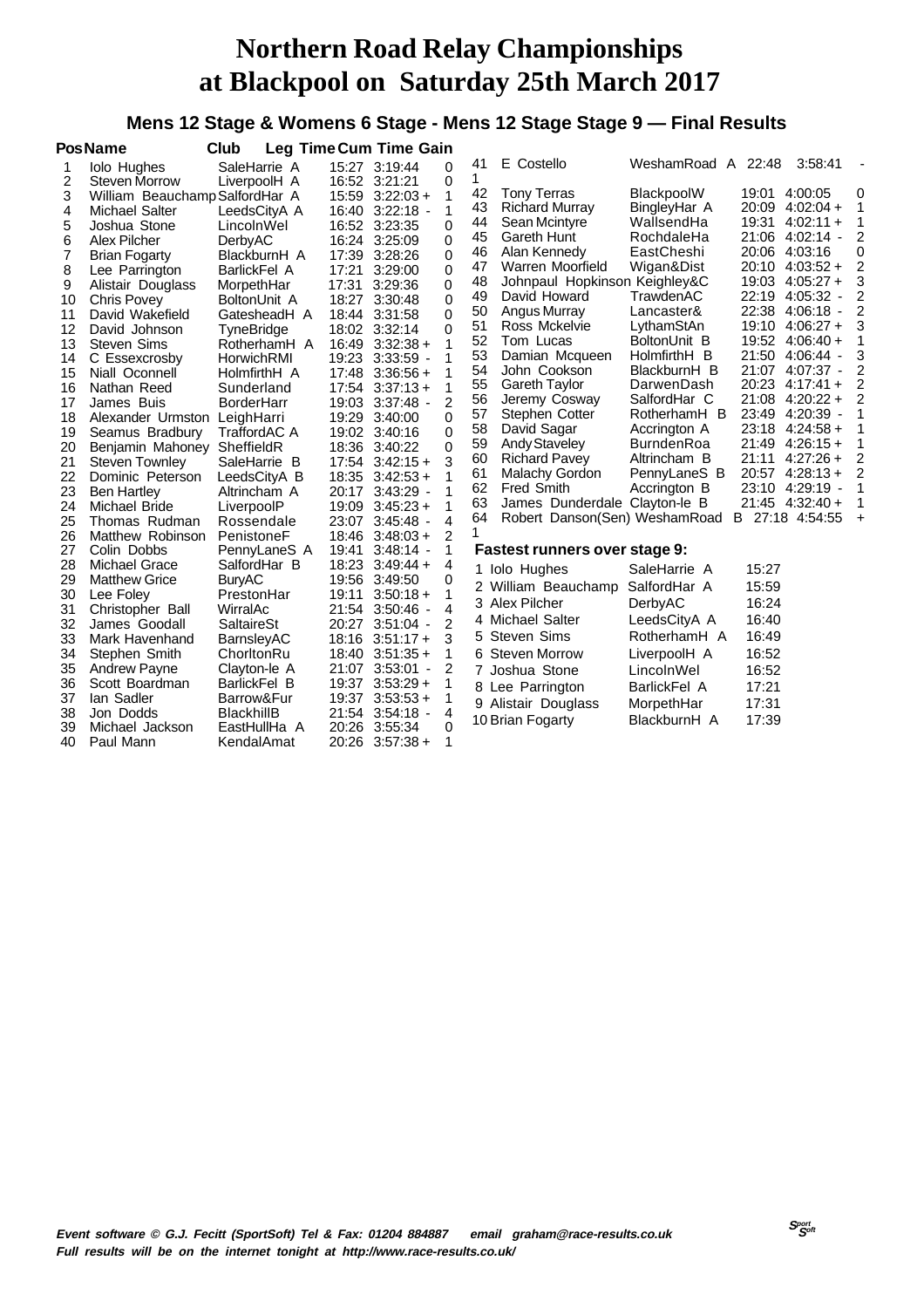#### **Mens 12 Stage & Womens 6 Stage - Mens 12 Stage Stage 9 — Final Results**

|          | <b>Pos Name</b>                     | Club                         |                | Leg Time Cum Time Gain    |               |          |                                             |                            |       |                                    |                          |
|----------|-------------------------------------|------------------------------|----------------|---------------------------|---------------|----------|---------------------------------------------|----------------------------|-------|------------------------------------|--------------------------|
| 1        | <b>Iolo Hughes</b>                  | SaleHarrie A                 |                | 15:27 3:19:44             | 0             | 41       | E Costello                                  | WeshamRoad A 22:48         |       | 3:58:41                            | $\overline{\phantom{a}}$ |
| 2        | <b>Steven Morrow</b>                | LiverpoolH A                 |                | 16:52 3:21:21             | 0             | 1        |                                             |                            |       | 19:01 4:00:05                      | 0                        |
| 3        | William Beauchamp SalfordHar A      |                              |                | $15:59$ $3:22:03+$        | 1             | 42<br>43 | <b>Tony Terras</b><br><b>Richard Murray</b> | BlackpoolW<br>BingleyHar A |       | 20:09 4:02:04 +                    | 1                        |
| 4        | Michael Salter                      | LeedsCityA A                 |                | 16:40 3:22:18 -           | 1             | 44       | Sean Mcintyre                               | WallsendHa                 | 19:31 | $4:02:11+$                         | 1                        |
| 5        | Joshua Stone                        | LincolnWel                   |                | 16:52 3:23:35             | 0             | 45       | Gareth Hunt                                 | RochdaleHa                 |       | 21:06 4:02:14 -                    | 2                        |
| 6        | Alex Pilcher                        | DerbyAC                      |                | 16:24 3:25:09             | 0             | 46       | Alan Kennedy                                | EastCheshi                 | 20:06 | 4:03:16                            | 0                        |
| 7<br>8   | <b>Brian Fogarty</b>                | BlackburnH A<br>BarlickFel A | 17:21          | 17:39 3:28:26<br>3:29:00  | 0<br>$\Omega$ | 47       | Warren Moorfield                            | Wigan&Dist                 | 20:10 | $4:03:52+$                         | 2                        |
| 9        | Lee Parrington<br>Alistair Douglass | MorpethHar                   | 17:31          | 3:29:36                   | 0             | 48       | Johnpaul Hopkinson Keighley&C               |                            | 19:03 | $4:05:27+$                         | 3                        |
| 10       | <b>Chris Povey</b>                  | BoltonUnit A                 | 18:27          | 3:30:48                   | $\mathbf 0$   | 49       | David Howard                                | TrawdenAC                  | 22:19 | $4:05:32 -$                        | 2                        |
| 11       | David Wakefield                     | GatesheadH A                 |                | 18:44 3:31:58             | $\mathbf{0}$  | 50       | Angus Murray                                | Lancaster&                 | 22:38 | $4:06:18$ -                        | 2                        |
| 12       | David Johnson                       | TyneBridge                   |                | 18:02 3:32:14             | 0             | 51       | Ross Mckelvie                               | LythamStAn                 |       | 19:10 4:06:27 +                    | 3                        |
| 13       | <b>Steven Sims</b>                  | RotherhamH A                 | 16:49          | $3:32:38 +$               | 1             | 52       | Tom Lucas                                   | BoltonUnit B               |       | 19:52 4:06:40 +                    | 1                        |
| 14       | C Essexcrosby                       | HorwichRMI                   | 19:23          | $3:33:59$ -               | 1             | 53       | Damian Mcqueen                              | HolmfirthH B               |       | 21:50 4:06:44 -                    | 3                        |
| 15       | Niall Oconnell                      | HolmfirthH A                 |                | $17:48$ 3:36:56 +         | 1             | 54       | John Cookson                                | BlackburnH B               |       | 21:07 4:07:37 -                    | 2                        |
| 16       | Nathan Reed                         | Sunderland                   |                | $17:54$ $3:37:13 +$       | 1             | 55       | <b>Gareth Taylor</b>                        | DarwenDash                 | 20:23 | $4:17:41+$                         | 2                        |
| 17       | James Buis                          | <b>BorderHarr</b>            |                | 19:03 3:37:48 -           | 2             | 56       | Jeremy Cosway                               | SalfordHar C               | 21:08 | $4:20:22+$                         | 2                        |
| 18       | Alexander Urmston                   | LeighHarri                   | 19:29          | 3:40:00                   | 0             | 57       | Stephen Cotter                              | RotherhamH B               | 23:49 | 4:20:39                            | 1                        |
| 19       | Seamus Bradbury                     | TraffordAC A                 |                | 19:02 3:40:16             | $\mathbf 0$   | 58       | David Sagar                                 | Accrington A               | 23:18 | $4:24:58+$                         |                          |
| 20       | Benjamin Mahoney SheffieldR         |                              |                | 18:36 3:40:22             | 0             | 59       | <b>Andy Staveley</b>                        | <b>BurndenRoa</b>          | 21:49 | $4:26:15+$                         | 1                        |
| 21       | <b>Steven Townley</b>               | SaleHarrie B                 | 17:54          | $3:42:15+$                | 3             | 60       | <b>Richard Pavey</b>                        | Altrincham B               | 21:11 | $4:27:26+$                         | $\overline{2}$           |
| 22       | Dominic Peterson                    | LeedsCityA B                 |                | $18:35$ $3:42:53 +$       | 1             | 61       | Malachy Gordon                              | PennyLaneS B               |       | $20:57$ 4:28:13 +                  | $\overline{2}$           |
| 23       | <b>Ben Hartley</b>                  | Altrincham A                 | 20:17          | $3:43:29$ -               | 1             | 62       | <b>Fred Smith</b>                           | Accrington B               |       | 23:10 4:29:19 -                    | 1                        |
| 24       | Michael Bride                       | LiverpoolP                   | 19:09          | $3:45:23+$                | 1             | 63       | James Dunderdale Clayton-le B               |                            |       | 21:45 4:32:40 +<br>B 27:18 4:54:55 | 1                        |
| 25       | Thomas Rudman                       | Rossendale                   | 23:07          | $3:45:48$ -               | 4             | 64<br>1  | Robert Danson(Sen) WeshamRoad               |                            |       |                                    | $\ddot{}$                |
| 26       | Matthew Robinson                    | PenistoneF                   |                | $18:46$ $3:48:03 +$       | 2             |          |                                             |                            |       |                                    |                          |
| 27       | Colin Dobbs                         | PennyLaneS A                 | 19:41          | $3:48:14$ -               | 1             |          | Fastest runners over stage 9:               |                            |       |                                    |                          |
| 28       | <b>Michael Grace</b>                | SalfordHar B                 | 18:23          | $3:49:44+$                | 4             |          | <b>Iolo Hughes</b>                          | SaleHarrie A               | 15:27 |                                    |                          |
| 29       | <b>Matthew Grice</b>                | <b>BuryAC</b>                |                | 19:56 3:49:50             | 0<br>1        |          | 2 William Beauchamp                         | SalfordHar A               | 15:59 |                                    |                          |
| 30<br>31 | Lee Foley                           | PrestonHar<br>WirralAc       | 19:11<br>21:54 | $3:50:18+$<br>$3:50:46$ - | 4             |          | 3 Alex Pilcher                              | DerbyAC                    | 16:24 |                                    |                          |
| 32       | Christopher Ball<br>James Goodall   | SaltaireSt                   | 20:27          | $3:51:04 -$               | 2             |          | 4 Michael Salter                            | LeedsCityA A               | 16:40 |                                    |                          |
| 33       | Mark Havenhand                      | BarnsleyAC                   |                | $18:16$ $3:51:17+$        | 3             |          | 5 Steven Sims                               | RotherhamH A               | 16:49 |                                    |                          |
| 34       | Stephen Smith                       | ChorltonRu                   |                | $18:40$ $3:51:35 +$       | 1             |          | 6 Steven Morrow                             | LiverpoolH A               | 16:52 |                                    |                          |
| 35       | <b>Andrew Payne</b>                 | Clayton-le A                 | 21:07          | $3:53:01 -$               | 2             |          | 7 Joshua Stone                              | LincolnWel                 | 16:52 |                                    |                          |
| 36       | Scott Boardman                      | BarlickFel B                 | 19:37          | $3:53:29+$                | 1             |          |                                             | <b>BarlickFel A</b>        | 17:21 |                                    |                          |
| 37       | lan Sadler                          | Barrow&Fur                   | 19:37          | $3:53:53+$                | 1             |          | 8 Lee Parrington                            |                            |       |                                    |                          |
| 38       | Jon Dodds                           | <b>BlackhillB</b>            |                | 21:54 3:54:18 -           | 4             |          | 9 Alistair Douglass                         | MorpethHar                 | 17:31 |                                    |                          |
| 39       | Michael Jackson                     | EastHullHa A                 |                | 20:26 3:55:34             | 0             |          | 10 Brian Fogarty                            | BlackburnH A               | 17:39 |                                    |                          |
| 40       | Paul Mann                           | KendalAmat                   |                | 20:26 3:57:38 +           | 1             |          |                                             |                            |       |                                    |                          |
|          |                                     |                              |                |                           |               |          |                                             |                            |       |                                    |                          |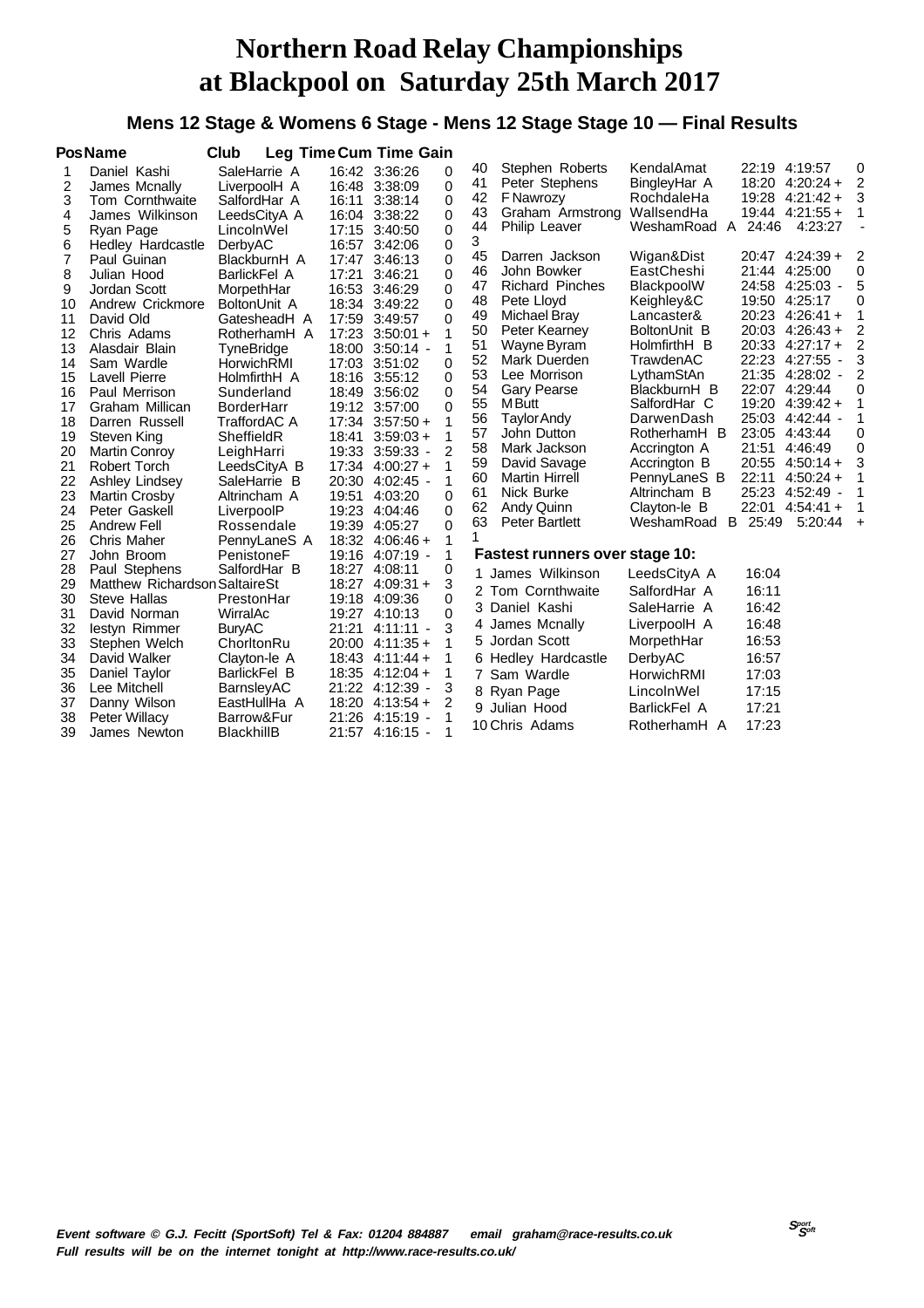#### **Mens 12 Stage & Womens 6 Stage - Mens 12 Stage Stage 10 — Final Results**

|                                                                                                                               | <b>PosName</b>                                                                                                                                                                                                                                                                                                                                                                                       | Club                                                                                                                                                                                                                                                                                                                                                           |                         | Leg Time Cum Time Gain                                                                                                                                                                                                                                                                                                                                                                                    |                                                                                                                                                        |                                                                                                                                       |                                                                                                                                                                                                                                                                                                                                                                                                     |                                                                                                                                                                                                                                                                                                                         |                                                                                                            |                                                                                                                                                                                                                                                                                                                                                                                                               |                                                                                      |
|-------------------------------------------------------------------------------------------------------------------------------|------------------------------------------------------------------------------------------------------------------------------------------------------------------------------------------------------------------------------------------------------------------------------------------------------------------------------------------------------------------------------------------------------|----------------------------------------------------------------------------------------------------------------------------------------------------------------------------------------------------------------------------------------------------------------------------------------------------------------------------------------------------------------|-------------------------|-----------------------------------------------------------------------------------------------------------------------------------------------------------------------------------------------------------------------------------------------------------------------------------------------------------------------------------------------------------------------------------------------------------|--------------------------------------------------------------------------------------------------------------------------------------------------------|---------------------------------------------------------------------------------------------------------------------------------------|-----------------------------------------------------------------------------------------------------------------------------------------------------------------------------------------------------------------------------------------------------------------------------------------------------------------------------------------------------------------------------------------------------|-------------------------------------------------------------------------------------------------------------------------------------------------------------------------------------------------------------------------------------------------------------------------------------------------------------------------|------------------------------------------------------------------------------------------------------------|---------------------------------------------------------------------------------------------------------------------------------------------------------------------------------------------------------------------------------------------------------------------------------------------------------------------------------------------------------------------------------------------------------------|--------------------------------------------------------------------------------------|
| 1<br>2<br>3<br>4<br>5<br>6<br>7<br>8<br>9<br>10<br>11<br>12<br>13<br>14<br>15<br>16<br>17<br>18<br>19<br>20<br>21<br>22<br>23 | Daniel Kashi<br>James Mcnally<br>Tom Cornthwaite<br>James Wilkinson<br>Ryan Page<br>Hedley Hardcastle<br>Paul Guinan<br>Julian Hood<br>Jordan Scott<br>Andrew Crickmore<br>David Old<br>Chris Adams<br>Alasdair Blain<br>Sam Wardle<br>Lavell Pierre<br>Paul Merrison<br>Graham Millican<br>Darren Russell<br>Steven King<br><b>Martin Conroy</b><br>Robert Torch<br>Ashley Lindsey<br>Martin Crosby | SaleHarrie A<br>LiverpoolH A<br>SalfordHar A<br>LeedsCityA A<br>LincolnWel<br>DerbyAC<br>BlackburnH A<br>BarlickFel A<br>MorpethHar<br>BoltonUnit A<br>GatesheadH A<br>RotherhamH A<br>TyneBridge<br>HorwichRMI<br>HolmfirthH A<br>Sunderland<br><b>BorderHarr</b><br>TraffordAC A<br>SheffieldR<br>LeighHarri<br>LeedsCityA B<br>SaleHarrie B<br>Altrincham A | 16:11<br>16:04<br>19:51 | 16:42 3:36:26<br>16:48 3:38:09<br>3:38:14<br>3:38:22<br>17:15 3:40:50<br>16:57 3:42:06<br>17:47 3:46:13<br>17:21 3:46:21<br>16:53 3:46:29<br>18:34 3:49:22<br>17:59 3:49:57<br>$17:23$ 3:50:01 +<br>18:00 3:50:14 -<br>17:03 3:51:02<br>18:16 3:55:12<br>18:49 3:56:02<br>19:12 3:57:00<br>$17:34$ $3:57:50 +$<br>$18:41$ $3:59:03 +$<br>19:33 3:59:33 -<br>17:34 4:00:27 +<br>20:30 4:02:45 -<br>4:03:20 | 0<br>0<br>0<br>$\Omega$<br>0<br>0<br>$\Omega$<br>0<br>0<br>0<br>0<br>1<br>1<br>$\Omega$<br>$\Omega$<br>$\Omega$<br>$\Omega$<br>2<br>1<br>1<br>$\Omega$ | 40<br>41<br>42<br>43<br>44<br>3<br>45<br>46<br>47<br>48<br>49<br>50<br>51<br>52<br>53<br>54<br>55<br>56<br>57<br>58<br>59<br>60<br>61 | Stephen Roberts<br>Peter Stephens<br><b>F Nawrozy</b><br>Graham Armstrong WallsendHa<br>Philip Leaver<br>Darren Jackson<br>John Bowker<br><b>Richard Pinches</b><br>Pete Lloyd<br>Michael Bray<br>Peter Kearney<br>Wayne Byram<br>Mark Duerden<br>Lee Morrison<br><b>Gary Pearse</b><br>M Butt<br>Taylor Andy<br>John Dutton<br>Mark Jackson<br>David Savage<br><b>Martin Hirrell</b><br>Nick Burke | KendalAmat<br>BingleyHar A<br>RochdaleHa<br>WeshamRoad A<br>Wigan&Dist<br>EastCheshi<br>BlackpoolW<br>Keighley&C<br>Lancaster&<br>BoltonUnit B<br>HolmfirthH B<br>TrawdenAC<br>LythamStAn<br>BlackburnH B<br>SalfordHar C<br>DarwenDash<br>RotherhamH B<br>Accrington A<br>Accrington B<br>PennyLaneS B<br>Altrincham B | 24:46<br>21:51<br>22:11                                                                                    | 22:19 4:19:57<br>$18:20$ 4:20:24 +<br>$19:28$ 4:21:42 +<br>$19:44$ 4:21:55 +<br>4:23:27<br>$20:47$ 4:24:39 +<br>21:44 4:25:00<br>24:58 4:25:03 -<br>19:50 4:25:17<br>20:23 4:26:41 +<br>$20:03$ 4:26:43 +<br>20:33 4:27:17 +<br>22:23 4:27:55 -<br>21:35 4:28:02 -<br>22:07 4:29:44<br>$19:20$ 4:39:42 +<br>25:03 4:42:44 -<br>23:05 4:43:44<br>4:46:49<br>$20:55$ 4:50:14 +<br>$4:50:24+$<br>25:23 4:52:49 - | 0<br>$\overline{c}$<br>3<br>2<br>0<br>5<br>0<br>2<br>2<br>3<br>2<br>0<br>0<br>0<br>3 |
| 24<br>25<br>26<br>27<br>28<br>29<br>30<br>31<br>32<br>33<br>34<br>35<br>36<br>37<br>38<br>39                                  | Peter Gaskell<br>Andrew Fell<br>Chris Maher<br>John Broom<br>Paul Stephens<br>Matthew Richardson SaltaireSt<br>Steve Hallas<br>David Norman<br>lestyn Rimmer<br>Stephen Welch<br>David Walker<br>Daniel Taylor<br>Lee Mitchell<br>Danny Wilson<br>Peter Willacy<br>James Newton                                                                                                                      | LiverpoolP<br>Rossendale<br>PennyLaneS A<br>PenistoneF<br>SalfordHar B<br>PrestonHar<br>WirralAc<br><b>BuryAC</b><br>ChorltonRu<br>Clayton-le A<br>BarlickFel B<br>BarnsleyAC<br>EastHullHa A<br>Barrow&Fur<br>BlackhillB                                                                                                                                      |                         | 19:23 4:04:46<br>19:39 4:05:27<br>18:32 4:06:46 +<br>19:16 4:07:19 -<br>18:27 4:08:11<br>18:27 4:09:31 +<br>19:18 4:09:36<br>19:27 4:10:13<br>21:21 4:11:11 -<br>$20:00$ 4:11:35 +<br>$18:43$ 4:11:44 +<br>$18:35$ 4:12:04 +<br>21:22 4:12:39 -<br>$18:20$ 4:13:54 +<br>21:26 4:15:19 -<br>21:57 4:16:15 -                                                                                                | $\Omega$<br>$\Omega$<br>1<br>1<br>0<br>3<br>0<br>$\Omega$<br>3<br>1<br>3<br>2<br>1<br>1                                                                | 62<br>63                                                                                                                              | Andy Quinn<br><b>Peter Bartlett</b><br>Fastest runners over stage 10:<br>1 James Wilkinson<br>2 Tom Cornthwaite<br>3 Daniel Kashi<br>4 James Mcnally<br>5 Jordan Scott<br>6 Hedley Hardcastle<br>7 Sam Wardle<br>8 Ryan Page<br>9 Julian Hood<br>10 Chris Adams                                                                                                                                     | Clayton-le B<br>WeshamRoad<br>LeedsCityA A<br>SalfordHar A<br>SaleHarrie A<br>LiverpoolH A<br>MorpethHar<br>DerbyAC<br>HorwichRMI<br>LincolnWel<br><b>BarlickFel A</b><br>RotherhamH A                                                                                                                                  | 22:01<br>B 25:49<br>16:04<br>16:11<br>16:42<br>16:48<br>16:53<br>16:57<br>17:03<br>17:15<br>17:21<br>17:23 | $4:54:41+$<br>5:20:44                                                                                                                                                                                                                                                                                                                                                                                         | $\ddot{}$                                                                            |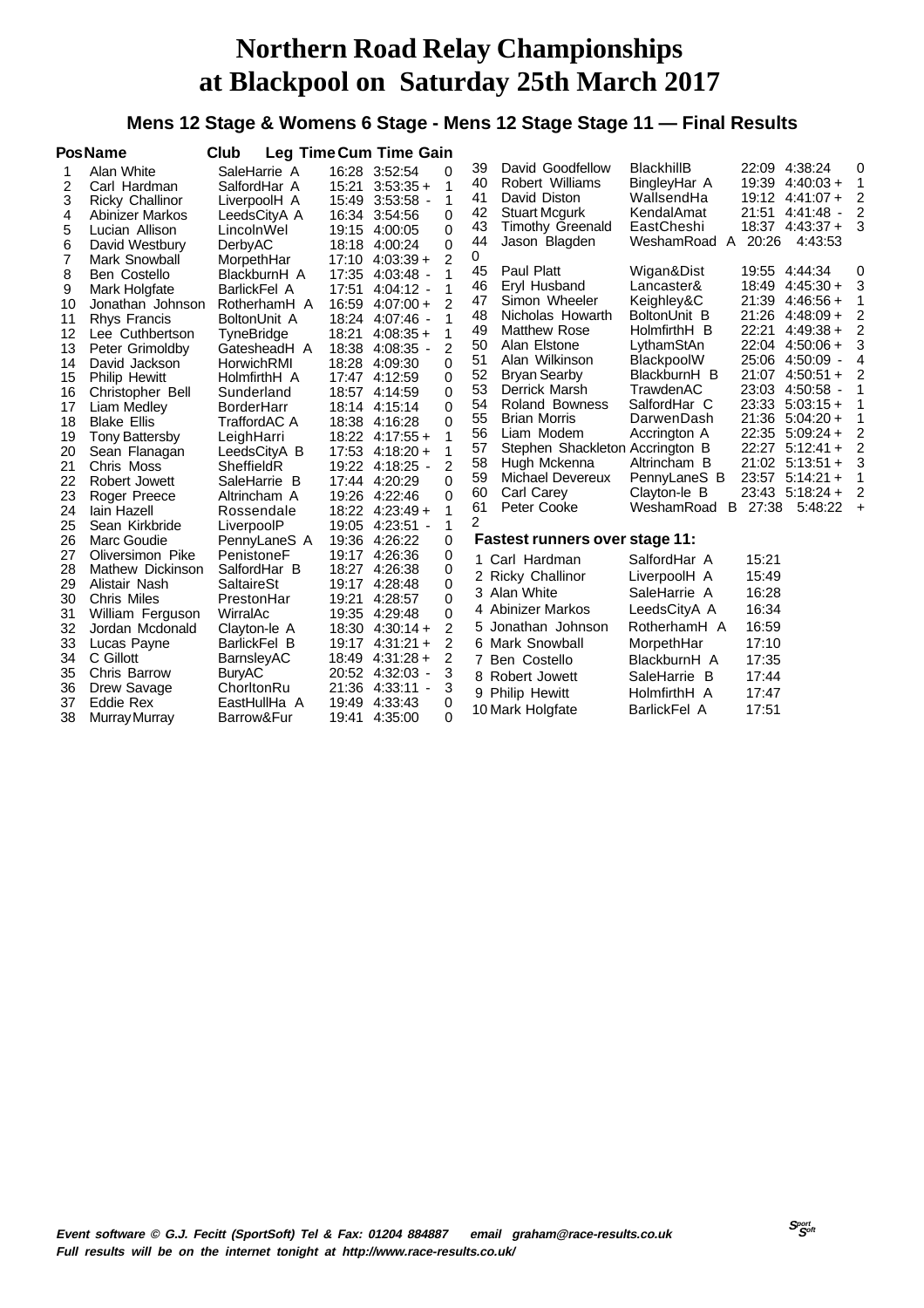#### **Mens 12 Stage & Womens 6 Stage - Mens 12 Stage Stage 11 — Final Results**

|    | <b>PosName</b>         | Club                |       | Leg Time Cum Time Gain              |                |    |                                       |                   |         |                    |                |
|----|------------------------|---------------------|-------|-------------------------------------|----------------|----|---------------------------------------|-------------------|---------|--------------------|----------------|
| 1  | Alan White             | SaleHarrie A        |       | 16:28 3:52:54                       | 0              | 39 | David Goodfellow                      | <b>BlackhillB</b> |         | 22:09 4:38:24      | 0              |
| 2  | Carl Hardman           | SalfordHar A        | 15:21 | $3:53:35+$                          | 1              | 40 | Robert Williams                       | BingleyHar A      |         | 19:39 4:40:03 +    | 1              |
| 3  | <b>Ricky Challinor</b> | LiverpoolH A        |       | 15:49 3:53:58 -                     | 1              | 41 | David Diston                          | WallsendHa        |         | 19:12 4:41:07 +    | 2              |
| 4  | Abinizer Markos        | LeedsCityA A        |       | 16:34 3:54:56                       | $\Omega$       | 42 | <b>Stuart Mcgurk</b>                  | KendalAmat        |         | 21:51 4:41:48 -    | 2              |
| 5  | Lucian Allison         | LincolnWel          |       | 19:15 4:00:05                       | 0              | 43 | <b>Timothy Greenald</b>               | EastCheshi        |         | $18:37$ 4:43:37 +  | 3              |
| 6  | David Westbury         | DerbyAC             |       | 18:18 4:00:24                       | 0              | 44 | Jason Blagden                         | WeshamRoad<br>A   | 20:26   | 4:43:53            |                |
| 7  | Mark Snowball          | MorpethHar          |       | $17:10$ 4:03:39 +                   | $\overline{2}$ | 0  |                                       |                   |         |                    |                |
| 8  | Ben Costello           | BlackburnH A        |       | 17:35 4:03:48 -                     |                | 45 | Paul Platt                            | Wigan&Dist        |         | 19:55 4:44:34      | 0              |
| 9  | Mark Holgfate          | <b>BarlickFel A</b> | 17:51 | $4:04:12 -$                         | 1              | 46 | Eryl Husband                          | Lancaster&        |         | $18:49$ 4:45:30 +  | 3              |
| 10 | Jonathan Johnson       | RotherhamH A        |       | $16:59$ $4:07:00+$                  | $\mathcal{P}$  | 47 | Simon Wheeler                         | Keighley&C        | 21:39   | 4:46:56 +          | 1              |
| 11 | <b>Rhys Francis</b>    | BoltonUnit A        |       | 18:24 4:07:46 -                     |                | 48 | Nicholas Howarth                      | BoltonUnit B      |         | $21:26$ 4:48:09 +  | 2              |
| 12 | Lee Cuthbertson        | TyneBridge          | 18:21 | $4:08:35+$                          | 1              | 49 | <b>Matthew Rose</b>                   | HolmfirthH B      | 22:21   | $4:49:38+$         | 2              |
| 13 | Peter Grimoldby        | GatesheadH A        | 18:38 | $4:08:35$ -                         | $\overline{2}$ | 50 | Alan Elstone                          | LythamStAn        |         | 22:04 4:50:06 +    | 3              |
| 14 | David Jackson          | HorwichRMI          | 18:28 | 4:09:30                             | 0              | 51 | Alan Wilkinson                        | BlackpoolW        |         | 25:06 4:50:09 -    | 4              |
| 15 | <b>Philip Hewitt</b>   | HolmfirthH A        |       | 17:47 4:12:59                       | 0              | 52 | Bryan Searby                          | BlackburnH B      |         | $21:07$ 4:50:51 +  | 2              |
| 16 | Christopher Bell       | Sunderland          |       | 18:57 4:14:59                       | $\Omega$       | 53 | Derrick Marsh                         | TrawdenAC         |         | 23:03 4:50:58 -    | 1              |
| 17 | Liam Medley            | BorderHarr          |       | 18:14 4:15:14                       | $\Omega$       | 54 | Roland Bowness                        | SalfordHar C      |         | $23:33$ $5:03:15+$ | 1              |
| 18 | <b>Blake Ellis</b>     | TraffordAC A        |       | 18:38 4:16:28                       | 0              | 55 | <b>Brian Morris</b>                   | DarwenDash        |         | $21:36$ 5:04:20 +  | 1              |
| 19 | <b>Tony Battersby</b>  | LeighHarri          |       | $18:22$ 4:17:55 +                   | 1              | 56 | Liam Modem                            | Accrington A      |         | 22:35 5:09:24 +    | 2              |
| 20 | Sean Flanagan          | LeedsCityA B        |       | $17:53$ 4:18:20 +                   | 1              | 57 | Stephen Shackleton Accrington B       |                   |         | $22:27$ 5:12:41 +  | $\overline{2}$ |
| 21 | Chris Moss             | SheffieldR          |       | 19:22 4:18:25 -                     | 2              | 58 | Hugh Mckenna                          | Altrincham B      |         | $21:02$ 5:13:51 +  | 3              |
| 22 | Robert Jowett          | SaleHarrie B        |       | 17:44 4:20:29                       | $\Omega$       | 59 | Michael Devereux                      | PennyLaneS B      |         | 23:57 5:14:21 +    | 1              |
| 23 | Roger Preece           | Altrincham A        |       | 19:26 4:22:46                       | 0              | 60 | Carl Carey                            | Clayton-le B      |         | 23:43 5:18:24 +    | 2              |
| 24 | lain Hazell            | Rossendale          |       | $18:22$ 4:23:49 +                   | 1              | 61 | Peter Cooke                           | WeshamRoad        | B 27:38 | $5:48:22 +$        |                |
| 25 | Sean Kirkbride         | LiverpoolP          |       | 19:05 4:23:51 -                     | 1              | 2  |                                       |                   |         |                    |                |
| 26 | Marc Goudie            | PennyLaneS A        |       | 19:36 4:26:22                       | 0              |    | <b>Fastest runners over stage 11:</b> |                   |         |                    |                |
| 27 | Oliversimon Pike       | PenistoneF          |       | 19:17 4:26:36                       | 0              |    | 1 Carl Hardman                        | SalfordHar A      | 15:21   |                    |                |
| 28 | Mathew Dickinson       | SalfordHar B        |       | 18:27 4:26:38                       | 0              |    | 2 Ricky Challinor                     | LiverpoolH A      | 15:49   |                    |                |
| 29 | Alistair Nash          | <b>SaltaireSt</b>   |       | 19:17 4:28:48                       | 0              |    | 3 Alan White                          | SaleHarrie A      | 16:28   |                    |                |
| 30 | <b>Chris Miles</b>     | PrestonHar          | 19:21 | 4:28:57                             | 0              |    |                                       |                   |         |                    |                |
| 31 | William Ferguson       | WirralAc            |       | 19:35 4:29:48                       | 0              |    | 4 Abinizer Markos                     | LeedsCityA A      | 16:34   |                    |                |
| 32 | Jordan Mcdonald        | Clayton-le A        |       | $18:30$ 4:30:14 +                   | 2              |    | 5 Jonathan Johnson                    | RotherhamH A      | 16:59   |                    |                |
| 33 | Lucas Payne            | BarlickFel B        |       | 19:17 4:31:21 +                     | 2              |    | 6 Mark Snowball                       | MorpethHar        | 17:10   |                    |                |
| 34 | C Gillott              | BarnsleyAC          |       | $18:49$ 4:31:28 +                   | 2              |    | 7 Ben Costello                        | BlackburnH A      | 17:35   |                    |                |
| 35 | Chris Barrow           | BuryAC              |       | 20:52 4:32:03 -                     | 3              |    | 8 Robert Jowett                       | SaleHarrie B      | 17:44   |                    |                |
| 36 | Drew Savage            | ChorltonRu          | 21:36 | 4:33:11<br>$\overline{\phantom{a}}$ | 3              |    | 9 Philip Hewitt                       | HolmfirthH A      | 17:47   |                    |                |
| 37 | Eddie Rex              | EastHullHa A        | 19:49 | 4:33:43                             | 0              |    | 10 Mark Holgfate                      | BarlickFel A      | 17:51   |                    |                |
| 38 | Murray Murray          | Barrow&Fur          | 19:41 | 4:35:00                             | $\Omega$       |    |                                       |                   |         |                    |                |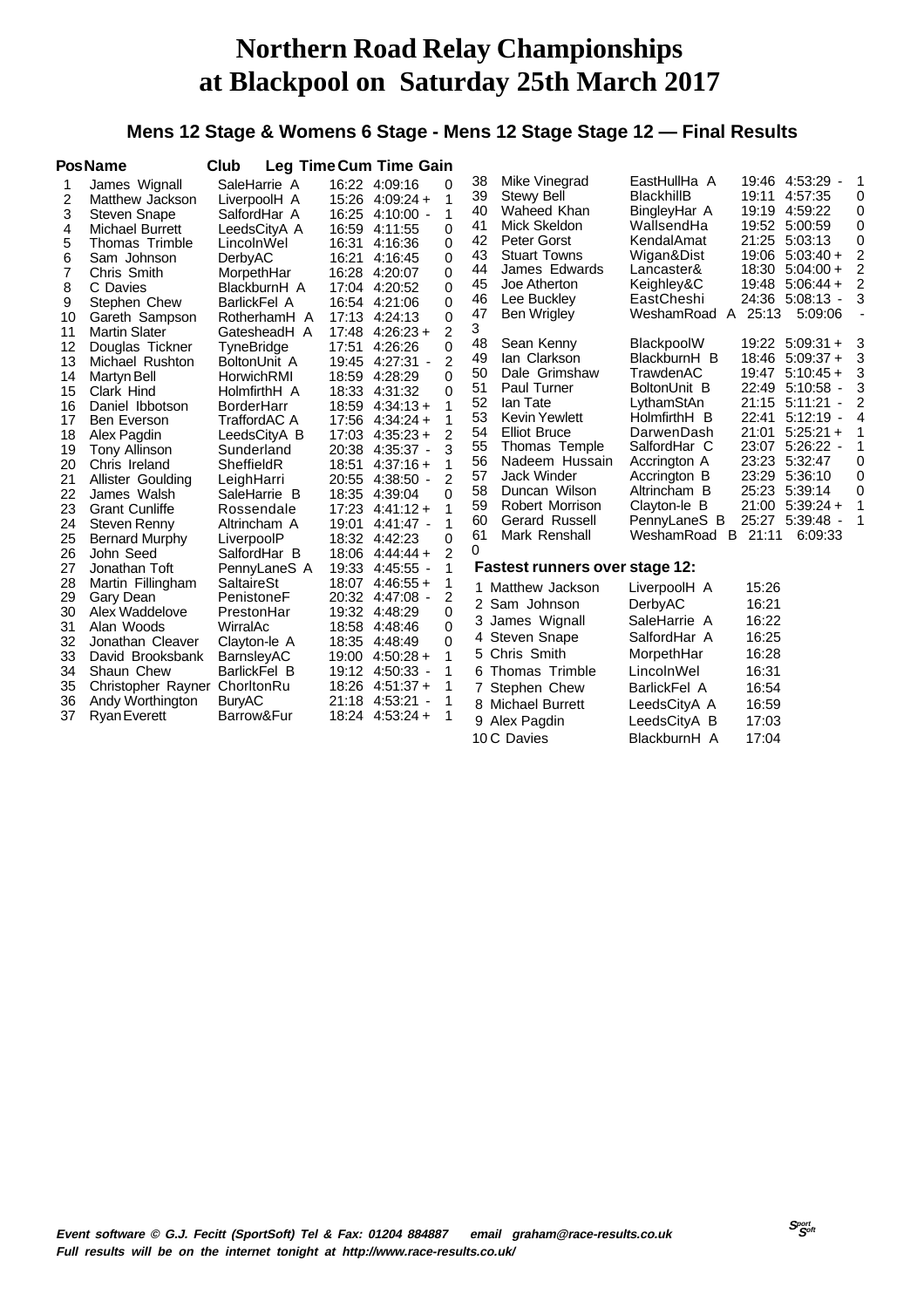#### **Mens 12 Stage & Womens 6 Stage - Mens 12 Stage Stage 12 — Final Results**

|                                                                                                                         | <b>PosName</b>                                                                                                                                                                                                                                                                                                                                                                                    | Club                                                                                                                                                                                                                                                                                                                                           |                                                                                                          | <b>Leg Time Cum Time Gain</b>                                                                                                                                                                                                                                                                                                           |                                                                                                                                                                                                       |                                                                                                                                 |                                                                                                                                                                                                                                                                                                                                                                    |                                                                                                                                                                                                                                                                                                                                            |                                                                                                          |                                                                                                                                                                                                                                                                                                                                                                   |                                                                                                                                         |
|-------------------------------------------------------------------------------------------------------------------------|---------------------------------------------------------------------------------------------------------------------------------------------------------------------------------------------------------------------------------------------------------------------------------------------------------------------------------------------------------------------------------------------------|------------------------------------------------------------------------------------------------------------------------------------------------------------------------------------------------------------------------------------------------------------------------------------------------------------------------------------------------|----------------------------------------------------------------------------------------------------------|-----------------------------------------------------------------------------------------------------------------------------------------------------------------------------------------------------------------------------------------------------------------------------------------------------------------------------------------|-------------------------------------------------------------------------------------------------------------------------------------------------------------------------------------------------------|---------------------------------------------------------------------------------------------------------------------------------|--------------------------------------------------------------------------------------------------------------------------------------------------------------------------------------------------------------------------------------------------------------------------------------------------------------------------------------------------------------------|--------------------------------------------------------------------------------------------------------------------------------------------------------------------------------------------------------------------------------------------------------------------------------------------------------------------------------------------|----------------------------------------------------------------------------------------------------------|-------------------------------------------------------------------------------------------------------------------------------------------------------------------------------------------------------------------------------------------------------------------------------------------------------------------------------------------------------------------|-----------------------------------------------------------------------------------------------------------------------------------------|
| 1<br>2<br>3<br>4<br>5<br>6<br>7<br>8<br>9<br>10<br>11<br>12<br>13<br>14<br>15<br>16<br>17<br>18<br>19<br>20<br>21<br>22 | James Wignall<br>Matthew Jackson<br><b>Steven Snape</b><br>Michael Burrett<br>Thomas Trimble<br>Sam Johnson<br>Chris Smith<br>C Davies<br>Stephen Chew<br>Gareth Sampson<br><b>Martin Slater</b><br>Douglas Tickner<br>Michael Rushton<br>Martyn Bell<br>Clark Hind<br>Daniel Ibbotson<br><b>Ben Everson</b><br>Alex Pagdin<br>Tony Allinson<br>Chris Ireland<br>Allister Goulding<br>James Walsh | SaleHarrie A<br>LiverpoolH A<br>SalfordHar A<br>LeedsCityA A<br>LincolnWel<br>DerbyAC<br>MorpethHar<br>BlackburnH A<br>BarlickFel A<br>RotherhamH A<br>GatesheadH A<br>TyneBridge<br>BoltonUnit A<br>HorwichRMI<br>HolmfirthH A<br><b>BorderHarr</b><br>TraffordAC A<br>LeedsCityA B<br>Sunderland<br>SheffieldR<br>LeighHarri<br>SaleHarrie B | 16:31<br>16:21<br>17:48<br>17:51<br>18:59<br>18:33<br>18:59<br>17:56<br>17:03<br>20:38<br>18:51<br>18:35 | 16:22 4:09:16<br>$15:26$ 4:09:24 +<br>16:25 4:10:00 -<br>16:59 4:11:55<br>4:16:36<br>4:16:45<br>16:28 4:20:07<br>17:04 4:20:52<br>16:54 4:21:06<br>17:13 4:24:13<br>$4:26:23+$<br>4:26:26<br>19:45 4:27:31 -<br>4:28:29<br>4:31:32<br>$4:34:13+$<br>$4:34:24+$<br>$4:35:23+$<br>$4:35:37 -$<br>$4:37:16+$<br>20:55 4:38:50 -<br>4:39:04 | 0<br>1<br>$\mathbf 1$<br>0<br>$\Omega$<br>$\Omega$<br>0<br>$\Omega$<br>0<br>0<br>$\overline{2}$<br>$\Omega$<br>2<br>$\Omega$<br>0<br>1<br>1<br>$\overline{2}$<br>3<br>1<br>$\overline{2}$<br>$\Omega$ | 38<br>39<br>40<br>41<br>42<br>43<br>44<br>45<br>46<br>47<br>3<br>48<br>49<br>50<br>51<br>52<br>53<br>54<br>55<br>56<br>57<br>58 | Mike Vinegrad<br>Stewy Bell<br>Waheed Khan<br>Mick Skeldon<br>Peter Gorst<br><b>Stuart Towns</b><br>James Edwards<br>Joe Atherton<br>Lee Buckley<br><b>Ben Wrigley</b><br>Sean Kenny<br>lan Clarkson<br>Dale Grimshaw<br>Paul Turner<br>lan Tate<br>Kevin Yewlett<br><b>Elliot Bruce</b><br>Thomas Temple<br>Nadeem Hussain<br><b>Jack Winder</b><br>Duncan Wilson | EastHullHa A<br><b>BlackhillB</b><br>BingleyHar A<br>WallsendHa<br>KendalAmat<br>Wigan&Dist<br>Lancaster&<br>Keighley&C<br>EastCheshi<br>WeshamRoad<br>$\mathsf{A}$<br>BlackpoolW<br>BlackburnH B<br>TrawdenAC<br>BoltonUnit B<br>LythamStAn<br>HolmfirthH B<br>DarwenDash<br>SalfordHar C<br>Accrington A<br>Accrington B<br>Altrincham B | 19:11<br>18:30<br>19:48<br>25:13<br>18:46<br>19:47<br>22:49<br>21:15<br>22:41<br>21:01<br>23:29<br>25:23 | 19:46 4:53:29 -<br>4:57:35<br>19:19 4:59:22<br>19:52 5:00:59<br>21:25 5:03:13<br>19:06 5:03:40 +<br>$5:04:00 +$<br>$5:06:44+$<br>24:36 5:08:13 -<br>5:09:06<br>19:22 5:09:31 +<br>$5:09:37+$<br>$5:10:45+$<br>5:10:58<br>$\overline{\phantom{a}}$<br>5:11:21<br>5:12:19<br>$\blacksquare$<br>$5:25:21+$<br>23:07 5:26:22 -<br>23:23 5:32:47<br>5:36:10<br>5:39:14 | 1<br>0<br>0<br>0<br>0<br>$\overline{2}$<br>$\overline{2}$<br>$\overline{2}$<br>3<br>3<br>3<br>3<br>3<br>2<br>4<br>1<br>1<br>0<br>0<br>0 |
| 23<br>24<br>25<br>26<br>27<br>28<br>29<br>30<br>31<br>32<br>33<br>34<br>35<br>36<br>37                                  | <b>Grant Cunliffe</b><br>Steven Renny<br><b>Bernard Murphy</b><br>John Seed<br>Jonathan Toft<br>Martin Fillingham<br>Gary Dean<br>Alex Waddelove<br>Alan Woods<br>Jonathan Cleaver<br>David Brooksbank<br>Shaun Chew<br>Christopher Rayner ChorltonRu<br>Andy Worthington<br><b>Ryan Everett</b>                                                                                                  | Rossendale<br>Altrincham A<br>LiverpoolP<br>SalfordHar B<br>PennyLaneS A<br>SaltaireSt<br>PenistoneF<br>PrestonHar<br>WirralAc<br>Clayton-le A<br><b>BarnsleyAC</b><br>BarlickFel B<br><b>BuryAC</b><br>Barrow&Fur                                                                                                                             | 17:23<br>19:01<br>18:06<br>19:33<br>18:07<br>20:32<br>18:58<br>19:00                                     | $4:41:12+$<br>$4:41:47$ -<br>18:32 4:42:23<br>$4:44:44+$<br>$4:45:55 -$<br>$4:46:55 +$<br>$4:47:08 -$<br>19:32 4:48:29<br>4:48:46<br>18:35 4:48:49<br>$4:50:28 +$<br>19:12 4:50:33 -<br>$18:26$ 4:51:37 +<br>21:18 4:53:21<br>18:24 4:53:24 +                                                                                           | 1<br>1<br>$\Omega$<br>$\overline{2}$<br>1<br>1<br>2<br>0<br>$\Omega$<br>$\Omega$<br>1<br>1<br>1                                                                                                       | 59<br>60<br>61<br>$\Omega$                                                                                                      | Robert Morrison<br>Gerard Russell<br>Mark Renshall<br><b>Fastest runners over stage 12:</b><br>1 Matthew Jackson<br>2 Sam Johnson<br>3 James Wignall<br>4 Steven Snape<br>5 Chris Smith<br>6 Thomas Trimble<br>7 Stephen Chew<br>8 Michael Burrett<br>9 Alex Pagdin<br>10 C Davies                                                                                 | Clayton-le B<br>PennyLaneS B<br>WeshamRoad<br>LiverpoolH A<br>DerbyAC<br>SaleHarrie A<br>SalfordHar A<br>MorpethHar<br>LincolnWel<br><b>BarlickFel A</b><br>LeedsCityA A<br>LeedsCityA B<br>BlackburnH A                                                                                                                                   | B 21:11<br>15:26<br>16:21<br>16:22<br>16:25<br>16:28<br>16:31<br>16:54<br>16:59<br>17:03<br>17:04        | $21:00$ 5:39:24 +<br>25:27 5:39:48 -<br>6:09:33                                                                                                                                                                                                                                                                                                                   | 1<br>1                                                                                                                                  |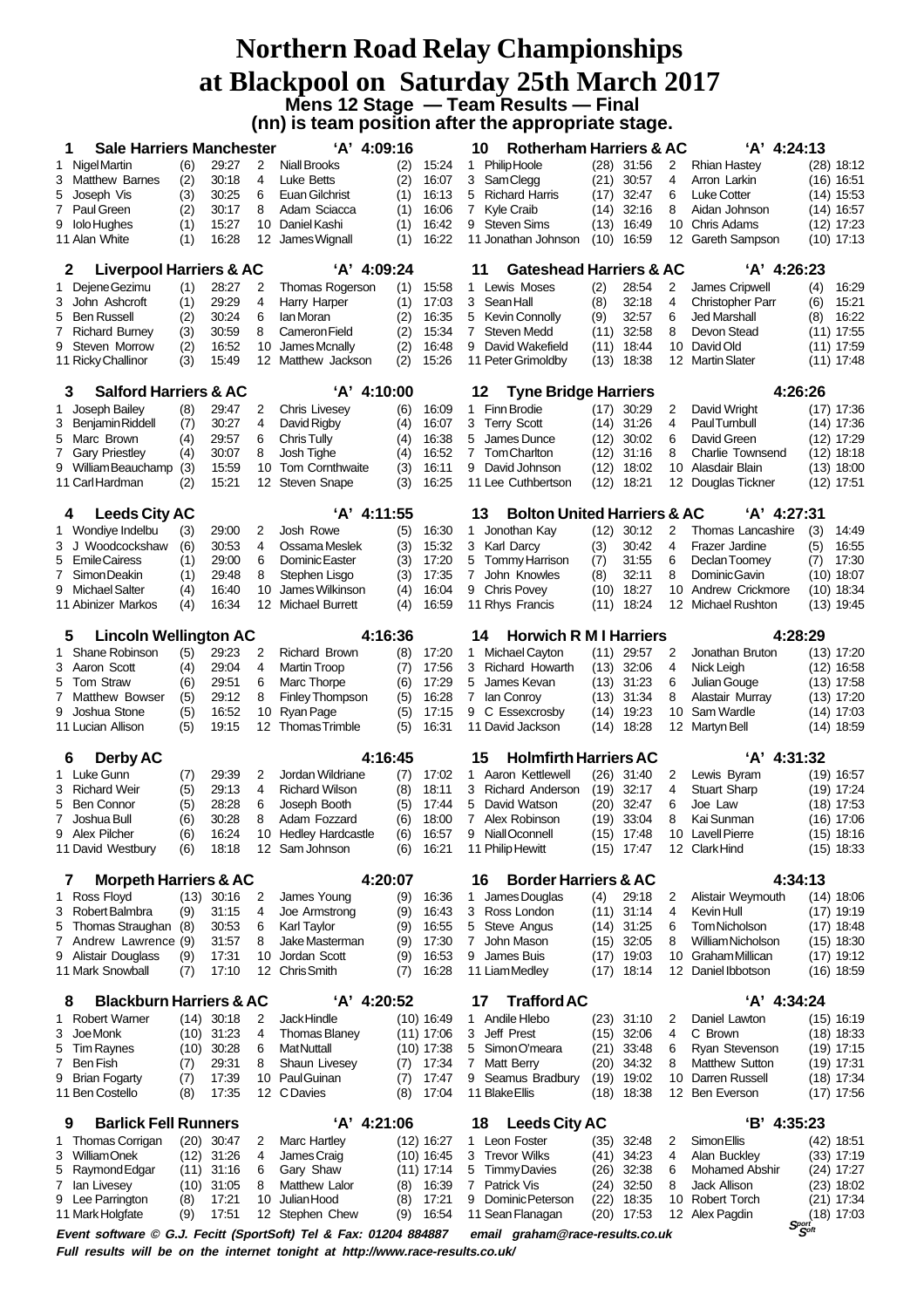### **Northern Road Relay Championships at Blackpool on Saturday 25th March 2017 Mens 12 Stage — Team Results — Final (nn) is team position after the appropriate stage.**

| <b>Sale Harriers Manchester</b><br>1                             |                                                                                                      |                |         | 'A' 4:09:16                      |            |                | 10                                       | <b>Rotherham Harriers &amp; AC</b>                                           |             |                              |          | 'A' 4:24:13                                                      |            |                              |  |
|------------------------------------------------------------------|------------------------------------------------------------------------------------------------------|----------------|---------|----------------------------------|------------|----------------|------------------------------------------|------------------------------------------------------------------------------|-------------|------------------------------|----------|------------------------------------------------------------------|------------|------------------------------|--|
| Nigel Martin<br>1                                                | (6)                                                                                                  | 29:27          | 2       | <b>Niall Brooks</b>              | (2)        | 15:24          | 1                                        | <b>Philip Hoole</b>                                                          |             | $(28)$ 31:56                 | 2        | <b>Rhian Hastey</b>                                              |            | $(28)$ 18:12                 |  |
| <b>Matthew Barnes</b><br>3                                       | (2)                                                                                                  | 30:18          | 4       | Luke Betts                       | (2)        | 16:07          | 3                                        | <b>SamClegg</b>                                                              | (21)        | 30:57                        | 4        | Arron Larkin                                                     |            | $(16)$ 16:51                 |  |
| Joseph Vis<br>5                                                  | (3)                                                                                                  | 30:25          | 6       | Euan Gilchrist                   | (1)        | 16:13          | 5                                        | <b>Richard Harris</b>                                                        | (17)        | 32:47                        | 6        | <b>Luke Cotter</b>                                               |            | $(14)$ 15:53                 |  |
| Paul Green<br>$7^{\circ}$                                        | (2)                                                                                                  | 30:17          | 8       | Adam Sciacca                     | (1)        | 16:06          | 7                                        | <b>Kyle Craib</b>                                                            | (14)        | 32:16                        | 8        | Aidan Johnson                                                    |            | $(14)$ 16:57                 |  |
| <b>Iolo Hughes</b><br>9                                          | (1)                                                                                                  | 15:27          | 10      | Daniel Kashi                     | (1)        | 16:42          | 9                                        | <b>Steven Sims</b>                                                           | (13)        | 16:49                        | 10       | Chris Adams                                                      |            | $(12)$ 17:23                 |  |
| 11 Alan White                                                    | (1)                                                                                                  | 16:28          | 12      | James Wignall                    | (1)        | 16:22          |                                          | 11 Jonathan Johnson<br>(10)<br>16:59<br>12<br>Gareth Sampson<br>$(10)$ 17:13 |             |                              |          |                                                                  |            |                              |  |
| <b>Liverpool Harriers &amp; AC</b><br>2                          |                                                                                                      |                |         | 'A' 4:09:24                      |            |                | <b>Gateshead Harriers &amp; AC</b><br>11 |                                                                              |             |                              |          | 'A' 4:26:23                                                      |            |                              |  |
| Dejene Gezimu<br>1<br>John Ashcroft                              | (1)                                                                                                  | 28:27<br>29:29 | 2       | Thomas Rogerson                  | (1)        | 15.58          | 1.                                       | Lewis Moses                                                                  | (2)         | 28.54                        | 2        | James Cripwell                                                   | (4)        | 16:29                        |  |
| 3<br><b>Ben Russell</b><br>5                                     | (1)<br>(2)                                                                                           | 30:24          | 4<br>6  | Harry Harper<br>lan Moran        | (1)<br>(2) | 17:03<br>16:35 | 3<br>5                                   | Sean Hall<br><b>Kevin Connolly</b>                                           | (8)<br>(9)  | 32:18<br>32:57               | 4<br>6   | <b>Christopher Parr</b><br><b>Jed Marshall</b>                   | (6)<br>(8) | 15:21<br>16:22               |  |
| <b>Richard Burney</b><br>7                                       | (3)                                                                                                  | 30:59          | 8       | Cameron Field                    | (2)        | 15:34          | $\overline{7}$                           | <b>Steven Medd</b>                                                           | (11)        | 32:58                        | 8        | Devon Stead                                                      |            | $(11)$ 17:55                 |  |
| 9<br>Steven Morrow                                               | (2)                                                                                                  | 16:52          | 10      | James Mcnally                    | (2)        | 16:48          | 9                                        | David Wakefield                                                              | (11)        | 18:44                        | 10       | David Old                                                        |            | $(11)$ 17:59                 |  |
| 11 Ricky Challinor                                               | (3)                                                                                                  | 15:49          | 12      | Matthew Jackson                  | (2)        | 15:26          |                                          | 11 Peter Grimoldby                                                           | (13)        | 18:38                        |          | 12 Martin Slater                                                 |            | $(11)$ 17:48                 |  |
| <b>Salford Harriers &amp; AC</b><br>3                            |                                                                                                      |                |         | 'A' 4:10:00                      |            |                | 12                                       | <b>Tyne Bridge Harriers</b>                                                  |             |                              |          | 4:26:26                                                          |            |                              |  |
| Joseph Bailey<br>1                                               | (8)                                                                                                  | 29:47          | 2       | <b>Chris Livesey</b>             | (6)        | 16:09          | 1.                                       | <b>Finn Brodie</b>                                                           |             | $(17)$ 30:29                 | 2        | David Wright                                                     |            | $(17)$ 17:36                 |  |
| 3<br><b>Benjamin Riddell</b>                                     | (7)                                                                                                  | 30:27          | 4       | David Rigby                      | (4)        | 16:07          | 3                                        | <b>Terry Scott</b>                                                           |             | $(14)$ 31:26                 | 4        | <b>PaulTurnbull</b>                                              |            | $(14)$ 17:36                 |  |
| Marc Brown<br>5                                                  | (4)                                                                                                  | 29:57          | 6       | Chris Tully                      | (4)        | 16:38          | 5                                        | James Dunce                                                                  | (12)        | 30:02                        | 6        | David Green                                                      |            | $(12)$ 17:29                 |  |
| <b>Gary Priestley</b><br>7                                       | (4)                                                                                                  | 30:07          | 8       | Josh Tighe                       | (4)        | 16:52          | $\overline{7}$                           | <b>Tom Charlton</b>                                                          | (12)        | 31:16                        | 8        | <b>Charlie Townsend</b>                                          |            | $(12)$ 18:18                 |  |
| William Beauchamp<br>9                                           | (3)                                                                                                  | 15:59          | 10      | Tom Cornthwaite                  | (3)        | 16:11          | 9                                        | David Johnson                                                                | (12)        | 18:02                        | 10       | Alasdair Blain                                                   |            | $(13)$ 18:00                 |  |
| 11 Carl Hardman                                                  | (2)                                                                                                  | 15:21          | 12      | <b>Steven Snape</b>              | (3)        | 16:25          |                                          | 11 Lee Cuthbertson                                                           | (12)        | 18:21                        | 12       | Douglas Tickner                                                  |            | $(12)$ 17:51                 |  |
| 4                                                                | 'A' 4:11:55<br><b>Bolton United Harriers &amp; AC</b><br><b>Leeds City AC</b><br>13<br>$'A'$ 4:27:31 |                |         |                                  |            |                |                                          |                                                                              |             |                              |          |                                                                  |            |                              |  |
| Wondiye Indelbu<br>1                                             | (3)                                                                                                  | 29:00          | 2       | Josh Rowe                        | (5)        | 16:30          | 1.                                       | Jonothan Kay                                                                 | (12)        | 30:12                        | 2        | Thomas Lancashire                                                | (3)        | 14:49                        |  |
| Woodcockshaw<br>J<br>3                                           | (6)                                                                                                  | 30:53          | 4       | Ossama Meslek                    | (3)        | 15:32          | 3                                        | Karl Darcy                                                                   | (3)         | 30:42                        | 4        | Frazer Jardine                                                   | (5)        | 16:55                        |  |
| <b>EmileCairess</b><br>5                                         | (1)                                                                                                  | 29:00          | 6       | Dominic Easter                   | (3)        | 17:20          | 5                                        | Tommy Harrison                                                               | (7)         | 31:55                        | 6        | Declan Toomey                                                    | (7)        | 17:30                        |  |
| Simon Deakin<br>7<br>Michael Salter<br>9                         | (1)                                                                                                  | 29:48<br>16:40 | 8<br>10 | Stephen Lisgo<br>James Wilkinson | (3)<br>(4) | 17:35<br>16:04 | 7<br>9                                   | John Knowles<br><b>Chris Povey</b>                                           | (8)<br>(10) | 32:11<br>18:27               | 8<br>10  | Dominic Gavin<br>Andrew Crickmore                                |            | $(10)$ 18:07<br>$(10)$ 18:34 |  |
| 11 Abinizer Markos                                               | (4)<br>(4)                                                                                           | 16:34          | 12      | <b>Michael Burrett</b>           | (4)        | 16:59          |                                          | 11 Rhys Francis                                                              | (11)        | 18:24                        | 12       | <b>Michael Rushton</b>                                           |            |                              |  |
| $(13)$ 19:45                                                     |                                                                                                      |                |         |                                  |            |                |                                          |                                                                              |             |                              |          |                                                                  |            |                              |  |
| <b>Lincoln Wellington AC</b><br>5                                |                                                                                                      |                |         | 4:16:36                          |            |                | 14                                       | <b>Horwich R M I Harriers</b>                                                |             |                              |          | 4:28:29                                                          |            |                              |  |
| Shane Robinson<br>1                                              | (5)                                                                                                  | 29:23          | 2       | <b>Richard Brown</b>             | (8)        | 17:20          | 1.                                       | Michael Cayton                                                               |             | $(11)$ 29:57                 | 2        | Jonathan Bruton                                                  |            | (13) 17:20                   |  |
| Aaron Scott<br>3<br>Tom Straw                                    | (4)                                                                                                  | 29:04<br>29.51 | 4       | Martin Troop                     | (7)        | 17:56<br>17:29 | 3                                        | Richard Howarth                                                              | (13)        | 32:06<br>$(13)$ 31:23        | 4        | Nick Leigh                                                       |            | $(12)$ 16:58                 |  |
| 5<br><b>Matthew Bowser</b><br>7                                  | (6)<br>(5)                                                                                           | 29:12          | 6<br>8  | Marc Thorpe<br>Finley Thompson   | (6)<br>(5) | 16:28          | 5<br>7                                   | James Kevan<br>lan Conroy                                                    | (13)        | 31:34                        | 6<br>8   | Julian Gouge<br>Alastair Murray                                  |            | $(13)$ 17:58<br>$(13)$ 17:20 |  |
| 9<br>Joshua Stone                                                | (5)                                                                                                  | 16:52          | 10      | Ryan Page                        | (5)        | 17:15          | 9                                        | C Essexcrosby                                                                | (14)        | 19:23                        | 10       | Sam Wardle                                                       |            | $(14)$ 17:03                 |  |
| 11 Lucian Allison                                                | (5)                                                                                                  | 19:15          | 12      | <b>Thomas Trimble</b>            | (5)        | 16:31          |                                          | 11 David Jackson                                                             | (14)        | 18:28                        | 12       | Martyn Bell                                                      |            | $(14)$ 18:59                 |  |
| <b>Derby AC</b><br>6                                             |                                                                                                      |                |         | 4:16:45                          |            |                | 15                                       | <b>Holmfirth Harriers AC</b>                                                 |             |                              |          | 'A' 4:31:32                                                      |            |                              |  |
| Luke Gunn<br>1.                                                  | (7)                                                                                                  | 29:39          | 2       | Jordan Wildriane                 | (7)        | 17:02          |                                          | 1 Aaron Kettlewell                                                           |             | $(26)$ 31:40                 | 2        | Lewis Byram                                                      |            | $(19)$ 16:57                 |  |
| <b>Richard Weir</b><br>3                                         | (5)                                                                                                  | 29:13          | 4       | <b>Richard Wilson</b>            | (8)        | 18:11          | 3                                        | Richard Anderson                                                             | (19)        | 32:17                        | 4        | <b>Stuart Sharp</b>                                              |            | $(19)$ 17:24                 |  |
| 5<br><b>Ben Connor</b>                                           | (5)                                                                                                  | 28:28          | 6       | Joseph Booth                     | (5)        | 17:44          | 5                                        | David Watson                                                                 | (20)        | 32:47                        | 6        | Joe Law                                                          |            | $(18)$ 17:53                 |  |
| $7^{\circ}$<br>Joshua Bull                                       | (6)                                                                                                  | 30:28          | 8       | Adam Fozzard                     | (6)        | 18:00          | 7                                        | Alex Robinson                                                                | (19)        | 33:04                        | 8        | Kai Sunman                                                       |            | (16) 17:06                   |  |
| 9 Alex Pilcher                                                   | (6)                                                                                                  | 16:24          | 10      | <b>Hedley Hardcastle</b>         | (6)        | 16:57          |                                          | 9 NiallOconnell                                                              |             | $(15)$ 17:48                 |          | 10 Lavell Pierre                                                 |            | $(15)$ 18:16                 |  |
| 11 David Westbury                                                | (6)                                                                                                  | 18:18          |         | 12 Sam Johnson                   | (6)        | 16:21          |                                          | 11 Philip Hewitt                                                             |             | $(15)$ 17:47                 |          | 12 ClarkHind                                                     |            | $(15)$ 18:33                 |  |
| <b>Morpeth Harriers &amp; AC</b><br>7                            |                                                                                                      |                |         | 4:20:07                          |            |                | 16                                       | <b>Border Harriers &amp; AC</b>                                              |             |                              |          | 4:34:13                                                          |            |                              |  |
| Ross Floyd<br>1                                                  |                                                                                                      | $(13)$ 30:16   | 2       | James Young                      | (9)        | 16:36          | 1.                                       | James Douglas                                                                | (4)         | 29:18                        | 2        | Alistair Weymouth                                                |            | $(14)$ 18:06                 |  |
| Robert Balmbra<br>3<br>Thomas Straughan<br>5                     | (9)<br>(8)                                                                                           | 31:15<br>30:53 | 4<br>6  | Joe Armstrong<br>Karl Taylor     | (9)<br>(9) | 16:43<br>16:55 | 3<br>5                                   | Ross London<br>Steve Angus                                                   |             | $(11)$ 31:14<br>$(14)$ 31:25 | 4<br>6   | Kevin Hull<br>Tom Nicholson                                      |            | $(17)$ 19:19<br>$(17)$ 18:48 |  |
| 7 Andrew Lawrence (9)                                            |                                                                                                      | 31:57          | 8       | Jake Masterman                   | (9)        | 17:30          | 7                                        | John Mason                                                                   |             | $(15)$ 32:05                 | 8        | William Nicholson                                                |            | $(15)$ 18:30                 |  |
| Alistair Douglass<br>9                                           | (9)                                                                                                  | 17:31          | 10      | Jordan Scott                     | (9)        | 16:53          | 9                                        | James Buis                                                                   | (17)        | 19:03                        | 10       | Graham Millican                                                  |            | $(17)$ 19:12                 |  |
| 11 Mark Snowball                                                 | (7)                                                                                                  | 17:10          | 12      | <b>Chris Smith</b>               | (7)        | 16:28          |                                          | 11 Liam Medley                                                               |             | $(17)$ 18:14                 |          | 12 Daniel Ibbotson                                               |            | $(16)$ 18:59                 |  |
| <b>Blackburn Harriers &amp; AC</b><br>8                          |                                                                                                      |                |         | 'A' 4:20:52                      |            |                | 17                                       | <b>Trafford AC</b>                                                           |             |                              |          | 'A' 4:34:24                                                      |            |                              |  |
| <b>Robert Warner</b><br>1                                        |                                                                                                      | $(14)$ 30:18   | 2       | Jack Hindle                      |            | (10) 16:49     |                                          | 1 Andile Hlebo                                                               |             | $(23)$ 31:10                 | 2        | Daniel Lawton                                                    |            | $(15)$ 16:19                 |  |
| Joe Monk<br>3                                                    |                                                                                                      | $(10)$ 31:23   | 4       | <b>Thomas Blaney</b>             |            | (11) 17:06     | 3                                        | Jeff Prest                                                                   | (15)        | 32:06                        | 4        | C Brown                                                          |            | $(18)$ 18:33                 |  |
| <b>Tim Raynes</b><br>5                                           | (10)                                                                                                 | 30:28          | 6       | <b>MatNuttall</b>                |            | (10) 17:38     | 5                                        | Simon O'meara                                                                | (21)        | 33:48                        | 6        | Ryan Stevenson                                                   |            | $(19)$ 17:15                 |  |
| <b>Ben Fish</b><br>7                                             | (7)                                                                                                  | 29:31          | 8       | Shaun Livesey                    | (7)        | 17:34          |                                          | 7 Matt Berry                                                                 | (20)        | 34:32                        | 8        | Matthew Sutton                                                   |            | $(19)$ 17:31                 |  |
| <b>Brian Fogarty</b><br>9<br>11 Ben Costello                     | (7)<br>(8)                                                                                           | 17:39<br>17:35 | 10      | <b>PaulGuinan</b><br>12 C Davies | (7)<br>(8) | 17:47<br>17:04 | 9                                        | Seamus Bradbury<br>11 Blake Ellis                                            | (18)        | $(19)$ 19:02<br>18:38        | 10<br>12 | Darren Russell<br><b>Ben Everson</b>                             |            | $(18)$ 17:34<br>$(17)$ 17:56 |  |
|                                                                  |                                                                                                      |                |         |                                  |            |                |                                          |                                                                              |             |                              |          |                                                                  |            |                              |  |
| <b>Barlick Fell Runners</b><br>9<br>Thomas Corrigan<br>1         |                                                                                                      | $(20)$ 30:47   | 2       | 'A' 4:21:06<br>Marc Hartley      |            | $(12)$ 16:27   | 18                                       | <b>Leeds City AC</b><br>1 Leon Foster                                        | (35)        | 32:48                        | 2        | 'B' 4:35:23<br>Simon Ellis                                       |            | $(42)$ 18:51                 |  |
| <b>WilliamOnek</b><br>3                                          |                                                                                                      | $(12)$ 31:26   | 4       | James Craig                      |            | (10) 16:45     |                                          | 3 Trevor Wilks                                                               | (41)        | 34:23                        | 4        | Alan Buckley                                                     |            | $(33)$ 17:19                 |  |
| Raymond Edgar<br>5                                               |                                                                                                      | $(11)$ 31:16   | 6       | Gary Shaw                        |            | (11) 17:14     | 5                                        | <b>Timmy Davies</b>                                                          | (26)        | 32:38                        | 6        | <b>Mohamed Abshir</b>                                            |            | $(24)$ 17:27                 |  |
| lan Livesey<br>$\epsilon$                                        |                                                                                                      | $(10)$ 31:05   | 8       | Matthew Lalor                    | (8)        | 16:39          | 7                                        | Patrick Vis                                                                  |             | $(24)$ 32:50                 | 8        | <b>Jack Allison</b>                                              |            | $(23)$ 18:02                 |  |
| Lee Parrington<br>9                                              | (8)                                                                                                  | 17:21          | 10      | Julian Hood                      | (8)        | 17:21          | 9                                        | Dominic Peterson                                                             | (22)        | 18:35                        | 10       | <b>Robert Torch</b>                                              |            | $(21)$ 17:34                 |  |
| 11 Mark Holgfate                                                 | (9)                                                                                                  | 17:51          |         | 12 Stephen Chew                  | (9)        | 16:54          |                                          | 11 Sean Flanagan                                                             |             | $(20)$ 17:53                 |          | 12 Alex Pagdin<br>$\mathbf{S}^\text{port}_\mathbf{S}^\text{off}$ |            | $(18)$ 17:03                 |  |
| Event software © G.J. Fecitt (SportSoft) Tel & Fax: 01204 884887 |                                                                                                      |                |         |                                  |            |                |                                          | email graham@race-results.co.uk                                              |             |                              |          |                                                                  |            |                              |  |

**Full results will be on the internet tonight at http://www.race-results.co.uk/**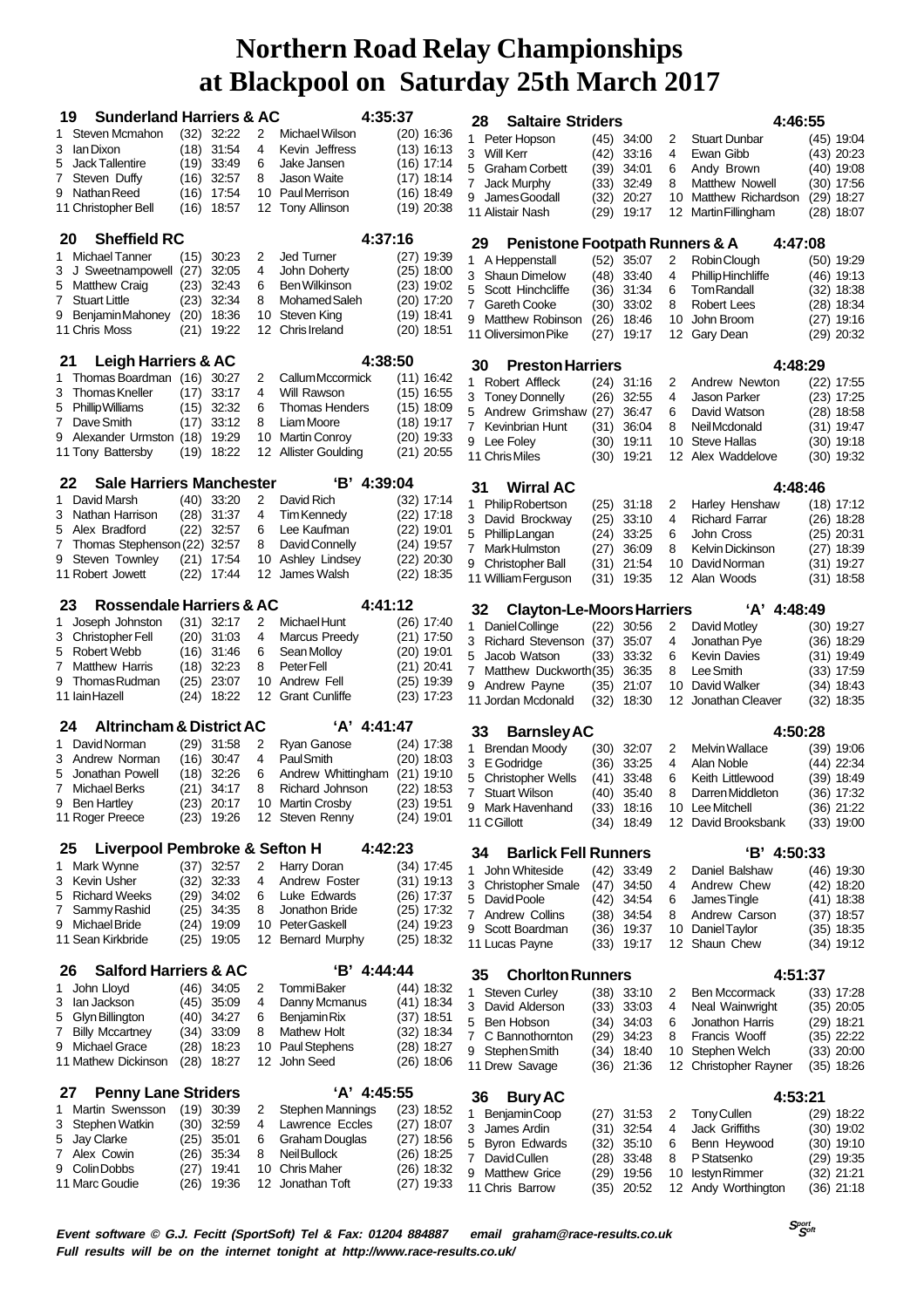| <b>Sunderland Harriers &amp; AC</b><br>19                                |                     |                       |          | 4:35:37                                     |                              |  | 28                  | <b>Saltaire Striders</b>                                   |              |                            |          | 4:46:55                             |                              |
|--------------------------------------------------------------------------|---------------------|-----------------------|----------|---------------------------------------------|------------------------------|--|---------------------|------------------------------------------------------------|--------------|----------------------------|----------|-------------------------------------|------------------------------|
| Steven Mcmahon<br>1                                                      | (32)                | 32:22                 | 2        | Michael Wilson                              | $(20)$ 16:36                 |  |                     | 1 Peter Hopson                                             | (45)         | 34:00                      | 2        | <b>Stuart Dunbar</b>                | $(45)$ 19:04                 |
| lan Dixon<br>3                                                           | (18)                | 31:54                 | 4        | Kevin Jeffress                              | $(13)$ 16:13                 |  |                     | 3 Will Kerr                                                | (42)         | 33:16                      | 4        | Ewan Gibb                           | $(43)$ 20:23                 |
| <b>Jack Tallentire</b><br>5                                              | (19)                | 33:49                 | 6        | Jake Jansen                                 | $(16)$ 17:14                 |  |                     | 5 Graham Corbett                                           | (39)         | 34:01                      | 6        | Andy Brown                          | $(40)$ 19:08                 |
| 7<br>Steven Duffy                                                        | (16)                | 32:57                 | 8        | <b>Jason Waite</b>                          | $(17)$ 18:14                 |  | $\overline{7}$      | Jack Murphy                                                | (33)         | 32:49                      | 8        | <b>Matthew Nowell</b>               | $(30)$ 17:56                 |
| Nathan Reed<br>9                                                         | (16)                | $(16)$ 17:54<br>18:57 | 10<br>12 | <b>PaulMerrison</b><br><b>Tony Allinson</b> | $(16)$ 18:49<br>$(19)$ 20:38 |  | 9                   | James Goodall                                              | (32)         | 20:27                      | 10       | Matthew Richardson                  | $(29)$ 18:27                 |
| 11 Christopher Bell                                                      |                     |                       |          |                                             |                              |  |                     | 11 Alistair Nash                                           |              | (29) 19:17                 |          | 12 Martin Fillingham                | $(28)$ 18:07                 |
| 20                                                                       | <b>Sheffield RC</b> |                       |          |                                             |                              |  |                     | 29<br><b>Penistone Footpath Runners &amp; A</b><br>4:47:08 |              |                            |          |                                     |                              |
| 1 Michael Tanner                                                         | (15)                | 30:23                 | 2        | <b>Jed Turner</b>                           | (27) 19:39                   |  |                     | 1 A Heppenstall                                            |              | $(52)$ 35:07               | 2        | Robin Clough                        | $(50)$ 19:29                 |
| 3<br>J<br>Sweetnampowell (27)                                            |                     | 32:05                 | 4        | John Doherty                                | $(25)$ 18:00                 |  |                     | 3 Shaun Dimelow                                            | (48)         | 33:40                      | 4        | Phillip Hinchliffe                  | $(46)$ 19:13                 |
| <b>Matthew Craig</b><br>5                                                | (23)                | 32:43                 | 6        | <b>Ben Wilkinson</b>                        | $(23)$ 19:02                 |  | 5                   | Scott Hinchcliffe                                          | (36)         | 31:34                      | 6        | <b>Tom Randall</b>                  | $(32)$ 18:38                 |
| <b>Stuart Little</b><br>7                                                | (23)                | 32:34                 | 8        | Mohamed Saleh                               | $(20)$ 17:20                 |  | $\mathbf{7}$        | <b>Gareth Cooke</b>                                        | (30)         | 33:02                      | 8        | Robert Lees                         | $(28)$ 18:34                 |
| 9<br>Benjamin Mahoney<br>11 Chris Moss                                   | (20)<br>(21)        | 18:36<br>19:22        | 10<br>12 | Steven King<br>Chris Ireland                | $(19)$ 18:41<br>$(20)$ 18:51 |  | 9                   | Matthew Robinson                                           | (26)         | 18:46                      | 10       | John Broom                          | $(27)$ 19:16                 |
|                                                                          |                     |                       |          |                                             |                              |  |                     | 11 Oliversimon Pike                                        | (27)         | 19:17                      | 12       | Gary Dean                           | $(29)$ 20:32                 |
| <b>Leigh Harriers &amp; AC</b><br>21                                     |                     |                       |          | 4:38:50                                     |                              |  | 30                  | <b>Preston Harriers</b>                                    |              |                            |          | 4:48:29                             |                              |
| Thomas Boardman (16)<br>1                                                |                     | 30:27                 | 2        | Callum Mccormick                            | $(11)$ 16:42                 |  |                     | 1 Robert Affleck                                           |              | $(24)$ 31:16               | 2        | Andrew Newton                       | $(22)$ 17:55                 |
| <b>Thomas Kneller</b><br>3                                               | (17)                | 33:17                 | 4        | Will Rawson                                 | $(15)$ 16:55                 |  |                     | 3 Toney Donnelly                                           | (26)         | 32:55                      | 4        | Jason Parker                        | $(23)$ 17:25                 |
| 5<br><b>PhillipWilliams</b><br>Dave Smith<br>7                           | (15)<br>(17)        | 32:32<br>33:12        | 6<br>8   | <b>Thomas Henders</b><br>Liam Moore         | $(15)$ 18:09<br>$(18)$ 19:17 |  | 5                   | Andrew Grimshaw (27)                                       |              | 36:47                      | 6        | David Watson                        | $(28)$ 18:58                 |
| 9<br>Alexander Urmston (18)                                              |                     | 19:29                 | 10       | <b>Martin Conroy</b>                        | $(20)$ 19:33                 |  |                     | 7 Kevinbrian Hunt                                          | (31)         | 36:04                      | 8        | Neil Mcdonald                       | $(31)$ 19:47                 |
| 11 Tony Battersby                                                        |                     | $(19)$ 18:22          | 12       | <b>Allister Goulding</b>                    | $(21)$ 20:55                 |  |                     | 9 Lee Foley                                                | (30)         | 19:11                      | 10       | <b>Steve Hallas</b>                 | $(30)$ 19:18                 |
|                                                                          |                     |                       |          |                                             |                              |  |                     | 11 Chris Miles                                             | (30)         | 19:21                      | 12       | Alex Waddelove                      | $(30)$ 19:32                 |
| <b>Sale Harriers Manchester</b><br>22                                    |                     |                       |          | 'B' 4:39:04                                 |                              |  | 31                  | <b>Wirral AC</b>                                           |              |                            |          | 4:48:46                             |                              |
| 1 David Marsh                                                            | (40)                | 33:20                 | 2        | David Rich                                  | (32) 17:14                   |  | 1                   | Philip Robertson                                           | (25)         | 31:18                      | 2        | Harley Henshaw                      | (18) 17:12                   |
| 3<br>Nathan Harrison                                                     | (28)                | 31:37                 | 4        | <b>Tim Kennedy</b>                          | $(22)$ 17:18                 |  | 3                   | David Brockway                                             | (25)         | 33:10                      | 4        | <b>Richard Farrar</b>               | $(26)$ 18:28                 |
| 5<br>Alex Bradford<br>Thomas Stephenson (22) 32:57<br>7                  | (22)                | 32:57                 | 6<br>8   | Lee Kaufman<br>David Connelly               | $(22)$ 19:01<br>$(24)$ 19:57 |  | 5                   | Phillip Langan                                             | (24)         | 33:25                      | 6        | John Cross                          | $(25)$ 20:31                 |
| Steven Townley<br>9                                                      |                     | $(21)$ 17:54          | 10       | Ashley Lindsey                              | $(22)$ 20:30                 |  |                     | 7 MarkHulmston                                             | (27)         | 36:09                      | 8        | <b>Kelvin Dickinson</b>             | $(27)$ 18:39                 |
| 11 Robert Jowett                                                         | (22)                | 17:44                 | 12       | James Walsh                                 | $(22)$ 18:35                 |  | 9                   | Christopher Ball                                           | (31)         | 21:54                      | 10       | David Norman                        | (31) 19:27                   |
| 11 William Ferguson<br>19:35<br>12<br>Alan Woods<br>$(31)$ 18:58<br>(31) |                     |                       |          |                                             |                              |  |                     |                                                            |              |                            |          |                                     |                              |
| Rossendale Harriers & AC<br>23                                           |                     |                       |          | 4:41:12                                     |                              |  | 32                  | <b>Clayton-Le-Moors Harriers</b>                           |              |                            |          | 'A' 4:48:49                         |                              |
| Joseph Johnston<br>1                                                     |                     | $(31)$ 32:17          | 2        | Michael Hunt                                | $(26)$ 17:40                 |  | 1.                  | Daniel Collinge                                            | (22)         | 30:56                      | 2        | David Motley                        | $(30)$ 19:27                 |
| Christopher Fell<br>3<br>5<br>Robert Webb                                | (16)                | $(20)$ 31:03<br>31:46 | 4<br>6   | Marcus Preedy<br>Sean Molloy                | $(21)$ 17:50<br>(20) 19:01   |  |                     | 3 Richard Stevenson (37)                                   |              | 35:07                      | 4        | Jonathan Pye                        | $(36)$ 18:29                 |
| 7<br><b>Matthew Harris</b>                                               | (18)                | 32:23                 | 8        | Peter Fell                                  | $(21)$ 20:41                 |  | 5                   | Jacob Watson                                               | (33)         | 33:32                      | 6        | <b>Kevin Davies</b>                 | $(31)$ 19:49                 |
| 9<br>Thomas Rudman                                                       | (25)                | 23:07                 | 10       | Andrew Fell                                 | $(25)$ 19:39                 |  | 7                   | Matthew Duckworth(35)                                      |              | 36:35                      | 8        | Lee Smith                           | $(33)$ 17:59                 |
| 11 Iain Hazell                                                           |                     | $(24)$ 18:22          | 12       | <b>Grant Cunliffe</b>                       | $(23)$ 17:23                 |  | 9                   | Andrew Payne<br>11 Jordan Mcdonald                         | (35)<br>(32) | 21:07<br>18:30             | 10<br>12 | David Walker<br>Jonathan Cleaver    | $(34)$ 18:43<br>$(32)$ 18:35 |
|                                                                          |                     |                       |          |                                             |                              |  |                     |                                                            |              |                            |          |                                     |                              |
| <b>Altrincham &amp; District AC</b><br>24                                |                     |                       |          | 'A' 4:41:47                                 |                              |  | 33                  | <b>Barnsley AC</b>                                         |              |                            |          | 4:50:28                             |                              |
| 1 David Norman<br>Andrew Norman                                          |                     | $(29)$ 31:58<br>30:47 | 2<br>4   | <b>Ryan Ganose</b><br><b>Paul Smith</b>     | $(24)$ 17:38                 |  | 1.                  | <b>Brendan Moody</b>                                       | (30)         | 32:07                      | 2        | <b>Melvin Wallace</b>               | $(39)$ 19:06                 |
| 3<br>5<br>Jonathan Powell                                                | (16)<br>(18)        | 32:26                 | 6        | Andrew Whittingham                          | $(20)$ 18:03<br>$(21)$ 19:10 |  |                     | 3 E Godridae                                               | (36)         | 33:25                      | 4        | Alan Noble                          | $(44)$ 22:34                 |
| 7 Michael Berks                                                          | (21)                | 34:17                 | 8        | Richard Johnson                             | (22) 18:53                   |  | 5                   | <b>Christopher Wells</b>                                   | (41)         | 33:48                      | 6        | Keith Littlewood                    | (39) 18:49                   |
| 9 Ben Hartley                                                            |                     | $(23)$ 20:17          |          | 10 Martin Crosby                            | $(23)$ 19:51                 |  | $\overline{7}$<br>9 | <b>Stuart Wilson</b><br>Mark Havenhand                     | (40)         | 35:40                      | 8        | Darren Middleton                    | $(36)$ 17:32                 |
| 11 Roger Preece                                                          |                     | $(23)$ 19:26          |          | 12 Steven Renny                             | $(24)$ 19:01                 |  |                     | 11 C Gillott                                               |              | $(33)$ 18:16<br>(34) 18:49 | 10       | Lee Mitchell<br>12 David Brooksbank | $(36)$ 21:22<br>$(33)$ 19:00 |
|                                                                          |                     |                       |          |                                             |                              |  |                     |                                                            |              |                            |          |                                     |                              |
| Liverpool Pembroke & Sefton H<br>25                                      |                     |                       |          | 4:42:23                                     |                              |  | 34                  | <b>Barlick Fell Runners</b>                                |              |                            |          | 'B' 4:50:33                         |                              |
| 1 Mark Wynne<br>Kevin Usher<br>3                                         | (32)                | $(37)$ 32:57<br>32:33 | 2<br>4   | Harry Doran<br>Andrew Foster                | $(34)$ 17:45<br>(31) 19:13   |  | 1                   | John Whiteside                                             | (42)         | 33:49                      | 2        | Daniel Balshaw                      | $(46)$ 19:30                 |
| <b>Richard Weeks</b><br>5                                                | (29)                | 34:02                 | 6        | Luke Edwards                                | (26) 17:37                   |  | 3                   | <b>Christopher Smale</b>                                   | (47)         | 34:50                      | 4        | Andrew Chew                         | (42) 18:20                   |
| Sammy Rashid<br>7                                                        | (25)                | 34:35                 | 8        | Jonathon Bride                              | $(25)$ 17:32                 |  | 5<br>$\overline{7}$ | <b>DavidPoole</b><br>Andrew Collins                        | (42)         | 34:54<br>34:54             | 6<br>8   | James Tingle<br>Andrew Carson       | $(41)$ 18:38                 |
| Michael Bride<br>9                                                       |                     | (24) 19:09            | 10       | Peter Gaskell                               | $(24)$ 19:23                 |  |                     | 9 Scott Boardman                                           | (38)         | (36) 19:37                 | 10       | Daniel Taylor                       | $(37)$ 18:57<br>$(35)$ 18:35 |
| 11 Sean Kirkbride                                                        |                     | $(25)$ 19:05          | 12       | <b>Bernard Murphy</b>                       | $(25)$ 18:32                 |  |                     | 11 Lucas Payne                                             |              | $(33)$ 19:17               |          | 12 Shaun Chew                       | $(34)$ 19:12                 |
| <b>Salford Harriers &amp; AC</b><br>26                                   |                     |                       |          | $B'$ 4:44:44                                |                              |  |                     |                                                            |              |                            |          |                                     |                              |
| 1 John Lloyd                                                             | (46)                | 34:05                 | 2        | <b>TommiBaker</b>                           | (44) 18:32                   |  | 35                  | <b>Chorlton Runners</b><br><b>Steven Curley</b>            |              |                            |          | 4:51:37                             |                              |
| lan Jackson<br>3                                                         | (45)                | 35:09                 | 4        | Danny Mcmanus                               | (41) 18:34                   |  | 1.<br>3             | David Alderson                                             | (33)         | $(38)$ 33:10<br>33:03      | 2<br>4   | Ben Mccormack<br>Neal Wainwright    | $(33)$ 17:28<br>$(35)$ 20:05 |
| Glyn Billington<br>5                                                     | (40)                | 34:27                 | 6        | <b>Benjamin Rix</b>                         | $(37)$ 18:51                 |  | 5                   | Ben Hobson                                                 | (34)         | 34:03                      | 6        | Jonathon Harris                     | $(29)$ 18:21                 |
| <b>Billy Mccartney</b><br>7                                              | (34)                | 33:09                 | 8        | <b>Mathew Holt</b>                          | (32) 18:34                   |  | $\overline{7}$      | C Bannothornton                                            | (29)         | 34:23                      | 8        | Francis Wooff                       | $(35)$ 22:22                 |
| <b>Michael Grace</b><br>9                                                |                     | $(28)$ 18:23          | 10       | Paul Stephens                               | $(28)$ 18:27                 |  |                     | 9 Stephen Smith                                            |              | (34) 18:40                 | 10       | Stephen Welch                       | $(33)$ 20:00                 |
| 11 Mathew Dickinson                                                      |                     | $(28)$ 18:27          | 12       | John Seed                                   | $(26)$ 18:06                 |  |                     | 11 Drew Savage                                             |              | (36) 21:36                 |          | 12 Christopher Rayner               | $(35)$ 18:26                 |
| <b>Penny Lane Striders</b><br>27                                         |                     |                       |          | 'A' 4:45:55                                 |                              |  | 36                  | <b>Bury AC</b>                                             |              |                            |          | 4:53:21                             |                              |
| Martin Swensson<br>1                                                     | (19)                | 30:39                 | 2        | Stephen Mannings                            | $(23)$ 18:52                 |  | 1.                  | Benjamin Coop                                              |              | $(27)$ 31:53               | 2        | <b>Tony Cullen</b>                  | $(29)$ 18:22                 |
| Stephen Watkin<br>3                                                      | (30)                | 32:59                 | 4        | Lawrence Eccles                             | $(27)$ 18:07                 |  | 3                   | James Ardin                                                | (31)         | 32:54                      | 4        | Jack Griffiths                      | $(30)$ 19:02                 |
| Jay Clarke<br>5                                                          | (25)                | 35.01                 | 6        | Graham Douglas                              | (27) 18:56                   |  | 5                   | <b>Byron Edwards</b>                                       | (32)         | 35:10                      | 6        | Benn Heywood                        | $(30)$ 19:10                 |
| 7 Alex Cowin                                                             | (26)                | 35:34                 | 8        | Neil Bullock                                | $(26)$ 18:25                 |  | $\overline{7}$      | David Cullen                                               | (28)         | 33:48                      | 8        | P Statsenko                         | $(29)$ 19:35                 |
| Colin Dobbs<br>9                                                         | (27)                | 19:41                 | 10       | <b>Chris Maher</b>                          | $(26)$ 18:32                 |  |                     | 9 Matthew Grice                                            | (29)         | 19:56                      | 10       | lestyn Rimmer                       | $(32)$ 21:21                 |
| 11 Marc Goudie                                                           | (26)                | 19:36                 | 12       | Jonathan Toft                               | (27) 19:33                   |  |                     | 11 Chris Barrow                                            |              | $(35)$ 20:52               |          | 12 Andy Worthington                 | $(36)$ 21:18                 |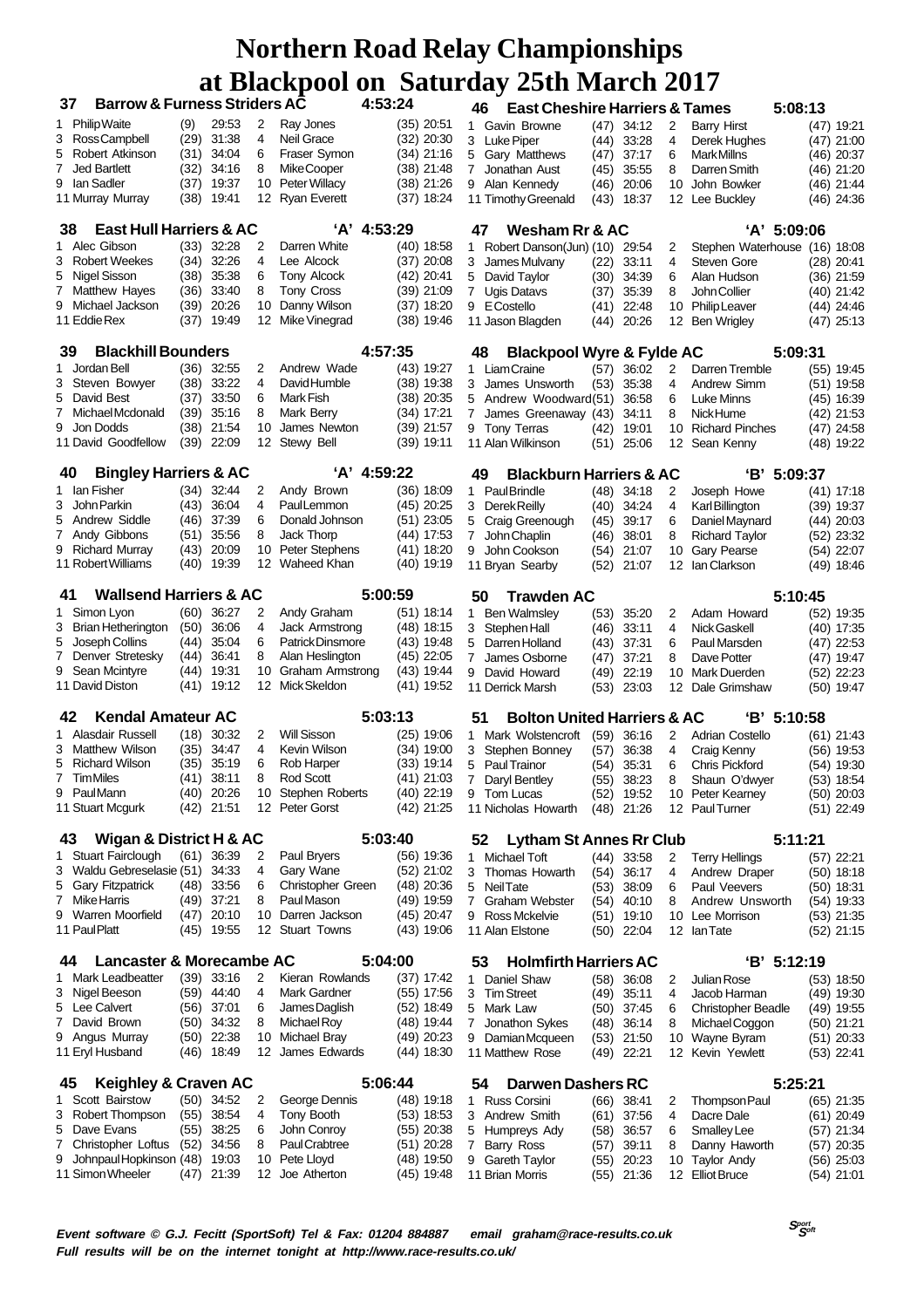| <b>Barrow &amp; Furness Striders AC</b><br>37           |                                  |      |              |    | 4:53:24              |             |              | <b>East Cheshire Harriers &amp; Tames</b><br>46 |                                              | 5:08:13 |              |    |                               |             |              |
|---------------------------------------------------------|----------------------------------|------|--------------|----|----------------------|-------------|--------------|-------------------------------------------------|----------------------------------------------|---------|--------------|----|-------------------------------|-------------|--------------|
| 1.                                                      | <b>Philip Waite</b>              | (9)  | 29:53        | 2  | Ray Jones            |             | $(35)$ 20:51 |                                                 | 1 Gavin Browne                               |         | $(47)$ 34:12 | 2  | <b>Barry Hirst</b>            |             | $(47)$ 19:21 |
| 3                                                       | Ross Campbell                    |      | $(29)$ 31:38 | 4  | Neil Grace           |             | $(32)$ 20:30 |                                                 | 3 Luke Piper                                 | (44)    | 33:28        | 4  | Derek Hughes                  |             | $(47)$ 21:00 |
| 5                                                       | Robert Atkinson                  | (31) | 34:04        | 6  | Fraser Symon         |             | $(34)$ 21:16 |                                                 | 5 Gary Matthews                              | (47)    | 37:17        | 6  | <b>MarkMillns</b>             |             | $(46)$ 20:37 |
| 7                                                       | <b>Jed Bartlett</b>              | (32) | 34:16        | 8  | Mike Cooper          |             | $(38)$ 21:48 |                                                 | 7 Jonathan Aust                              | (45)    | 35:55        | 8  | Darren Smith                  |             | (46) 21:20   |
| 9                                                       | lan Sadler                       | (37) | 19:37        | 10 | <b>Peter Willacy</b> |             | $(38)$ 21:26 |                                                 | 9 Alan Kennedy                               | (46)    | 20:06        | 10 | John Bowker                   |             | $(46)$ 21:44 |
|                                                         | 11 Murray Murray                 |      | $(38)$ 19:41 |    | 12 Ryan Everett      |             | $(37)$ 18:24 |                                                 | 11 Timothy Greenald                          |         | (43) 18:37   |    | 12 Lee Buckley                |             | $(46)$ 24:36 |
| <b>East Hull Harriers &amp; AC</b><br>'A' 4:53:29<br>38 |                                  |      |              |    |                      |             |              |                                                 | 47<br>Wesham Rr & AC                         |         |              |    |                               | 'A' 5:09:06 |              |
|                                                         | 1 Alec Gibson                    |      | $(33)$ 32:28 | 2  | Darren White         |             | $(40)$ 18:58 | $\mathbf{1}$                                    | Robert Danson(Jun) (10)                      |         | 29.54        | 2  | Stephen Waterhouse (16) 18:08 |             |              |
| 3                                                       | <b>Robert Weekes</b>             | (34) | 32:26        | 4  | Lee Alcock           |             | $(37)$ 20:08 |                                                 | 3 James Mulvany                              | (22)    | 33:11        | 4  | Steven Gore                   |             | $(28)$ 20:41 |
| 5                                                       | Nigel Sisson                     | (38) | 35:38        | 6  | Tony Alcock          |             | $(42)$ 20:41 | 5                                               | David Taylor                                 | (30)    | 34:39        | 6  | Alan Hudson                   |             | $(36)$ 21:59 |
| 7                                                       | Matthew Hayes                    | (36) | 33:40        | 8  | Tony Cross           |             | $(39)$ 21:09 | $\overline{7}$                                  | <b>Ugis Datavs</b>                           | (37)    | 35:39        | 8  | John Collier                  |             | $(40)$ 21:42 |
| 9                                                       | Michael Jackson                  | (39) | 20:26        | 10 | Danny Wilson         |             | $(37)$ 18:20 |                                                 | 9 E Costello                                 | (41)    | 22:48        | 10 | <b>Philip Leaver</b>          |             | $(44)$ 24:46 |
| 11 Eddie Rex                                            |                                  |      | $(37)$ 19:49 | 12 | Mike Vinegrad        |             | $(38)$ 19:46 |                                                 | 11 Jason Blagden                             | (44)    | 20:26        | 12 | <b>Ben Wrigley</b>            |             | $(47)$ 25:13 |
| 39                                                      | <b>Blackhill Bounders</b>        |      |              |    |                      | 4:57:35     |              |                                                 | <b>Blackpool Wyre &amp; Fylde AC</b><br>48   |         |              |    |                               | 5:09:31     |              |
| 1.                                                      | Jordan Bell                      |      | $(36)$ 32:55 | 2  | Andrew Wade          |             | $(43)$ 19:27 |                                                 | 1 Liam Craine                                | (57)    | 36:02        | 2  | Darren Tremble                |             | $(55)$ 19:45 |
| 3                                                       | Steven Bowyer                    | (38) | 33:22        | 4  | David Humble         |             | $(38)$ 19:38 |                                                 | 3 James Unsworth                             | (53)    | 35:38        | 4  | Andrew Simm                   |             | $(51)$ 19:58 |
| 5                                                       | David Best                       | (37) | 33.50        | 6  | Mark Fish            |             | $(38)$ 20:35 |                                                 | 5 Andrew Woodward(51)                        |         | 36.58        | 6  | <b>Luke Minns</b>             |             | $(45)$ 16:39 |
| 7                                                       | Michael Mcdonald                 | (39) | 35:16        | 8  | Mark Berry           |             | $(34)$ 17:21 |                                                 | 7 James Greenaway (43)                       |         | 34:11        | 8  | Nick Hume                     |             | $(42)$ 21:53 |
| 9                                                       | Jon Dodds                        |      | $(38)$ 21:54 | 10 | James Newton         |             | $(39)$ 21:57 |                                                 | 9 Tony Terras                                |         | $(42)$ 19:01 | 10 | <b>Richard Pinches</b>        |             | (47) 24:58   |
|                                                         | 11 David Goodfellow              |      | $(39)$ 22:09 |    | 12 Stewy Bell        |             | $(39)$ 19:11 |                                                 | 11 Alan Wilkinson                            | (51)    | 25:06        | 12 | Sean Kenny                    |             | $(48)$ 19:22 |
| 40                                                      | <b>Bingley Harriers &amp; AC</b> |      |              |    |                      | 'A' 4:59:22 |              |                                                 | <b>Blackburn Harriers &amp; AC</b><br>49     |         |              |    |                               | 'B' 5:09:37 |              |
| 1 Ian Fisher                                            |                                  |      | $(34)$ 32:44 | 2  | Andy Brown           |             | $(36)$ 18:09 | $\mathbf{1}$                                    | Paul Brindle                                 |         | $(48)$ 34:18 | 2  | Joseph Howe                   |             | $(41)$ 17:18 |
| 3                                                       | John Parkin                      | (43) | 36:04        | 4  | PaulLemmon           |             | $(45)$ 20:25 |                                                 | 3 Derek Reilly                               |         | $(40)$ 34:24 | 4  | Karl Billington               |             | $(39)$ 19:37 |
| 5                                                       | Andrew Siddle                    | (46) | 37:39        | 6  | Donald Johnson       |             | $(51)$ 23:05 |                                                 | 5 Craig Greenough                            | (45)    | 39:17        | 6  | Daniel Maynard                |             | $(44)$ 20:03 |
| 7                                                       | Andy Gibbons                     | (51) | 35:56        | 8  | Jack Thorp           |             | $(44)$ 17:53 |                                                 | 7 John Chaplin                               | (46)    | 38:01        | 8  | <b>Richard Taylor</b>         |             | $(52)$ 23:32 |
| 9                                                       | <b>Richard Murray</b>            | (43) | 20:09        | 10 | Peter Stephens       |             | $(41)$ 18:20 |                                                 | 9 John Cookson                               | (54)    | 21:07        | 10 | Gary Pearse                   |             | $(54)$ 22:07 |
|                                                         | 11 Robert Williams               | (40) | 19:39        | 12 | Waheed Khan          |             | $(40)$ 19:19 |                                                 | 11 Bryan Searby                              | (52)    | 21:07        | 12 | lan Clarkson                  |             | $(49)$ 18:46 |
| <b>Wallsend Harriers &amp; AC</b><br>41                 |                                  |      |              |    | 5:00:59              |             |              | <b>Trawden AC</b><br>50                         |                                              |         |              |    | 5:10:45                       |             |              |
| 1.                                                      | Simon Lyon                       |      | $(60)$ 36:27 | 2  | Andy Graham          |             | $(51)$ 18:14 | $\mathbf{1}$                                    | <b>Ben Walmsley</b>                          | (53)    | 35:20        | 2  | Adam Howard                   |             | $(52)$ 19:35 |
| 3                                                       | <b>Brian Hetherington</b>        | (50) | 36:06        | 4  | Jack Armstrong       |             | $(48)$ 18:15 |                                                 | 3 Stephen Hall                               | (46)    | 33:11        | 4  | Nick Gaskell                  |             | $(40)$ 17:35 |
| 5                                                       | Joseph Collins                   | (44) | 35:04        | 6  | Patrick Dinsmore     |             | $(43)$ 19:48 |                                                 | 5 Darren Holland                             | (43)    | 37:31        | 6  | Paul Marsden                  |             | $(47)$ 22:53 |
| 7                                                       | Denver Stretesky                 | (44) | 36:41        | 8  | Alan Heslington      |             | $(45)$ 22:05 | $7^{\circ}$                                     | James Osborne                                | (47)    | 37:21        | 8  | Dave Potter                   |             | $(47)$ 19:47 |
| 9                                                       | Sean Mcintyre                    | (44) | 19:31        | 10 | Graham Armstrong     |             | $(43)$ 19:44 |                                                 | 9 David Howard                               | (49)    | 22:19        | 10 | Mark Duerden                  |             | $(52)$ 22:23 |
|                                                         | 11 David Diston                  |      | $(41)$ 19:12 | 12 | Mick Skeldon         |             | $(41)$ 19:52 |                                                 | 11 Derrick Marsh                             | (53)    | 23:03        | 12 | Dale Grimshaw                 |             | $(50)$ 19:47 |
| 42                                                      | <b>Kendal Amateur AC</b>         |      |              |    |                      | 5:03:13     |              |                                                 | <b>Bolton United Harriers &amp; AC</b><br>51 |         |              |    |                               | 'B' 5:10:58 |              |
|                                                         | 1 Alasdair Russell               | (18) | 30:32        | 2  | <b>Will Sisson</b>   |             | $(25)$ 19:06 | $\mathbf{1}$                                    | Mark Wolstencroft                            |         | $(59)$ 36:16 | 2  | <b>Adrian Costello</b>        |             | $(61)$ 21:43 |
|                                                         | 3 Matthew Wilson                 | (35) | 34:47        | 4  | Kevin Wilson         |             | $(34)$ 19:00 |                                                 | 3 Stephen Bonney                             | (57)    | 36:38        | 4  | Craig Kenny                   |             | $(56)$ 19:53 |
| 5                                                       | <b>Richard Wilson</b>            | (35) | 35:19        | 6  | Rob Harper           |             | $(33)$ 19:14 |                                                 | 5 Paul Trainor                               | (54)    | 35:31        | 6  | <b>Chris Pickford</b>         |             | $(54)$ 19:30 |
| 7 TimMiles                                              |                                  | (41) | 38:11        | 8  | Rod Scott            |             | $(41)$ 21:03 | 7                                               | Daryl Bentley                                | (55)    | 38:23        | 8  | Shaun O'dwyer                 |             | $(53)$ 18:54 |
| 9                                                       | PaulMann                         |      | (40) 20:26   |    | 10 Stephen Roberts   |             | (40) 22:19   |                                                 | 9 Tom Lucas                                  | (52)    | 19:52        |    | 10 Peter Kearney              |             | $(50)$ 20:03 |
|                                                         | 11 Stuart Mcgurk                 |      | $(42)$ 21:51 |    | 12 Peter Gorst       |             | $(42)$ 21:25 |                                                 | 11 Nicholas Howarth                          |         | $(48)$ 21:26 |    | 12 Paul Turner                |             | $(51)$ 22:49 |
| 43                                                      | Wigan & District H & AC          |      |              |    |                      | 5:03:40     |              |                                                 | <b>Lytham St Annes Rr Club</b><br>52         |         |              |    |                               | 5:11:21     |              |
| 1                                                       | Stuart Fairclough                | (61) | 36:39        | 2  | Paul Bryers          |             | $(56)$ 19:36 | 1                                               | <b>Michael Toft</b>                          |         | $(44)$ 33:58 | 2  | <b>Terry Hellings</b>         |             | $(57)$ 22:21 |
| 3                                                       | Waldu Gebreselasie (51)          |      | 34:33        | 4  | Gary Wane            |             | $(52)$ 21:02 |                                                 | 3 Thomas Howarth                             | (54)    | 36:17        | 4  | Andrew Draper                 |             | $(50)$ 18:18 |
| 5                                                       | <b>Gary Fitzpatrick</b>          | (48) | 33:56        | 6  | Christopher Green    |             | $(48)$ 20:36 |                                                 | 5 Neil Tate                                  | (53)    | 38:09        | 6  | Paul Veevers                  |             | $(50)$ 18:31 |
| 7                                                       | Mike Harris                      | (49) | 37:21        | 8  | Paul Mason           |             | $(49)$ 19:59 | $\overline{7}$                                  | <b>Graham Webster</b>                        |         | $(54)$ 40:10 | 8  | Andrew Unsworth               |             | $(54)$ 19:33 |
| 9                                                       | Warren Moorfield                 | (47) | 20:10        | 10 | Darren Jackson       |             | $(45)$ 20:47 |                                                 | 9 Ross Mckelvie                              |         | (51) 19:10   |    | 10 Lee Morrison               |             | $(53)$ 21:35 |
| 11 Paul Platt                                           |                                  |      | $(45)$ 19:55 | 12 | <b>Stuart Towns</b>  |             | $(43)$ 19:06 |                                                 | 11 Alan Elstone                              |         | $(50)$ 22:04 |    | 12 Ian Tate                   |             | $(52)$ 21:15 |
| 44                                                      | Lancaster & Morecambe AC         |      |              |    |                      | 5:04:00     |              |                                                 | 53<br><b>Holmfirth Harriers AC</b>           |         |              |    |                               | 'B' 5:12:19 |              |
| 1                                                       | Mark Leadbeatter                 |      | $(39)$ 33:16 | 2  | Kieran Rowlands      |             | $(37)$ 17:42 | 1                                               | Daniel Shaw                                  | (58)    | 36:08        | 2  | <b>Julian Rose</b>            |             | $(53)$ 18:50 |
| 3                                                       | Nigel Beeson                     | (59) | 44:40        | 4  | <b>Mark Gardner</b>  |             | $(55)$ 17:56 |                                                 | 3 Tim Street                                 | (49)    | 35:11        | 4  | Jacob Harman                  |             | $(49)$ 19:30 |
| 5                                                       | Lee Calvert                      | (56) | 37:01        | 6  | James Daglish        |             | $(52)$ 18:49 |                                                 | 5 Mark Law                                   |         | $(50)$ 37:45 | 6  | <b>Christopher Beadle</b>     |             | $(49)$ 19:55 |
| 7                                                       | David Brown                      | (50) | 34:32        | 8  | Michael Roy          |             | $(48)$ 19:44 | 7                                               | Jonathon Sykes                               | (48)    | 36:14        | 8  | Michael Coggon                |             | $(50)$ 21:21 |
| 9                                                       | Angus Murray                     |      | $(50)$ 22:38 | 10 | Michael Bray         |             | $(49)$ 20:23 |                                                 | 9 Damian Mcqueen                             | (53)    | 21:50        | 10 | Wayne Byram                   |             | $(51)$ 20:33 |
|                                                         | 11 Eryl Husband                  |      | $(46)$ 18:49 | 12 | James Edwards        |             | $(44)$ 18:30 |                                                 | 11 Matthew Rose                              | (49)    | 22:21        | 12 | Kevin Yewlett                 |             | $(53)$ 22:41 |
| 45                                                      | <b>Keighley &amp; Craven AC</b>  |      |              |    |                      | 5:06:44     |              |                                                 | <b>Darwen Dashers RC</b><br>54               |         |              |    |                               | 5:25:21     |              |
| 1.                                                      | Scott Bairstow                   |      | $(50)$ 34:52 | 2  | George Dennis        |             | $(48)$ 19:18 |                                                 | 1 Russ Corsini                               | (66)    | 38:41        | 2  | Thompson Paul                 |             | $(65)$ 21:35 |
|                                                         | 3 Robert Thompson                | (55) | 38:54        | 4  | Tony Booth           |             | $(53)$ 18:53 |                                                 | 3 Andrew Smith                               | (61)    | 37:56        | 4  | Dacre Dale                    |             | $(61)$ 20:49 |
| 5                                                       | Dave Evans                       | (55) | 38:25        | 6  | John Conroy          |             | $(55)$ 20:38 |                                                 | 5 Humpreys Ady                               | (58)    | 36:57        | 6  | Smalley Lee                   |             | $(57)$ 21:34 |
| 7                                                       | Christopher Loftus               | (52) | 34:56        | 8  | Paul Crabtree        |             | $(51)$ 20:28 | $\overline{7}$                                  | Barry Ross                                   | (57)    | 39:11        | 8  | Danny Haworth                 |             | $(57)$ 20:35 |
| 9                                                       | Johnpaul Hopkinson (48) 19:03    |      |              | 10 | Pete Lloyd           |             | $(48)$ 19:50 |                                                 | 9 Gareth Taylor                              | (55)    | 20:23        | 10 | <b>Taylor Andy</b>            |             | $(56)$ 25:03 |
|                                                         | 11 Simon Wheeler                 |      | $(47)$ 21:39 |    | 12 Joe Atherton      |             | (45) 19:48   |                                                 | 11 Brian Morris                              |         | (55) 21:36   |    | 12 Elliot Bruce               |             | $(54)$ 21:01 |